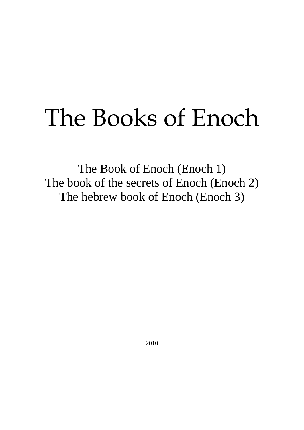# The Books of Enoch

The Book of Enoch (Enoch 1) The book of the secrets of Enoch (Enoch 2) The hebrew book of Enoch (Enoch 3)

2010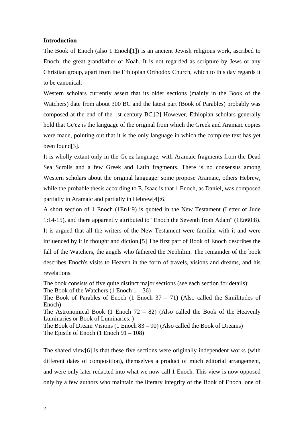#### **Introduction**

The Book of Enoch (also 1 Enoch[1]) is an ancient Jewish religious work, ascribed to Enoch, the great-grandfather of Noah. It is not regarded as scripture by Jews or any Christian group, apart from the Ethiopian Orthodox Church, which to this day regards it to be canonical.

Western scholars currently assert that its older sections (mainly in the Book of the Watchers) date from about 300 BC and the latest part (Book of Parables) probably was composed at the end of the 1st century BC.[2] However, Ethiopian scholars generally hold that Ge'ez is the language of the original from which the Greek and Aramaic copies were made, pointing out that it is the only language in which the complete text has yet been found[3].

It is wholly extant only in the Ge'ez language, with Aramaic fragments from the Dead Sea Scrolls and a few Greek and Latin fragments. There is no consensus among Western scholars about the original language: some propose Aramaic, others Hebrew, while the probable thesis according to E. Isaac is that 1 Enoch, as Daniel, was composed partially in Aramaic and partially in Hebrew[4]:6.

A short section of 1 Enoch (1En1:9) is quoted in the New Testament (Letter of Jude 1:14-15), and there apparently attributed to "Enoch the Seventh from Adam" (1En60:8). It is argued that all the writers of the New Testament were familiar with it and were influenced by it in thought and diction.[5] The first part of Book of Enoch describes the fall of the Watchers, the angels who fathered the Nephilim. The remainder of the book describes Enoch's visits to Heaven in the form of travels, visions and dreams, and his revelations.

The book consists of five quite distinct major sections (see each section for details): The Book of the Watchers  $(1$  Enoch  $1 - 36)$ 

The Book of Parables of Enoch  $(1 \text{ Enoch } 37 - 71)$  (Also called the Similitudes of Enoch)

The Astronomical Book (1 Enoch  $72 - 82$ ) (Also called the Book of the Heavenly Luminaries or Book of Luminaries. )

The Book of Dream Visions (1 Enoch 83 – 90) (Also called the Book of Dreams) The Epistle of Enoch (1 Enoch 91 – 108)

The shared view[6] is that these five sections were originally independent works (with different dates of composition), themselves a product of much editorial arrangement, and were only later redacted into what we now call 1 Enoch. This view is now opposed only by a few authors who maintain the literary integrity of the Book of Enoch, one of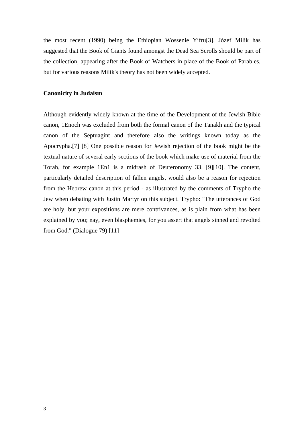the most recent (1990) being the Ethiopian Wossenie Yifru[3]. Józef Milik has suggested that the Book of Giants found amongst the Dead Sea Scrolls should be part of the collection, appearing after the Book of Watchers in place of the Book of Parables, but for various reasons Milik's theory has not been widely accepted.

#### **Canonicity in Judaism**

Although evidently widely known at the time of the Development of the Jewish Bible canon, 1Enoch was excluded from both the formal canon of the Tanakh and the typical canon of the Septuagint and therefore also the writings known today as the Apocrypha.[7] [8] One possible reason for Jewish rejection of the book might be the textual nature of several early sections of the book which make use of material from the Torah, for example 1En1 is a midrash of Deuteronomy 33. [9][10]. The content, particularly detailed description of fallen angels, would also be a reason for rejection from the Hebrew canon at this period - as illustrated by the comments of Trypho the Jew when debating with Justin Martyr on this subject. Trypho: "The utterances of God are holy, but your expositions are mere contrivances, as is plain from what has been explained by you; nay, even blasphemies, for you assert that angels sinned and revolted from God." (Dialogue 79) [11]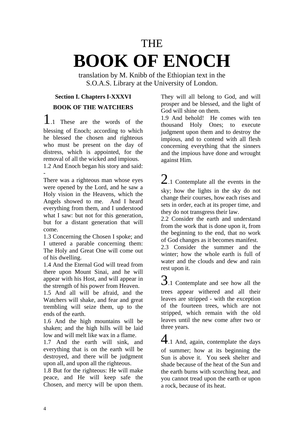# THE **BOOK OF ENOCH**

translation by M. Knibb of the Ethiopian text in the S.O.A.S. Library at the University of London.

### **Section I. Chapters I-XXXVI BOOK OF THE WATCHERS**

1.1 These are the words of the blessing of Enoch; according to which he blessed the chosen and righteous who must be present on the day of distress, which is appointed, for the removal of all the wicked and impious.

1.2 And Enoch began his story and said: -

There was a righteous man whose eyes were opened by the Lord, and he saw a Holy vision in the Heavens, which the Angels showed to me. And I heard everything from them, and I understood what I saw: but not for this generation, but for a distant generation that will come.

1.3 Concerning the Chosen I spoke; and I uttered a parable concerning them: The Holy and Great One will come out of his dwelling.

1.4 And the Eternal God will tread from there upon Mount Sinai, and he will appear with his Host, and will appear in the strength of his power from Heaven.

1.5 And all will be afraid, and the Watchers will shake, and fear and great trembling will seize them, up to the ends of the earth.

1.6 And the high mountains will be shaken; and the high hills will be laid low and will melt like wax in a flame.

1.7 And the earth will sink, and everything that is on the earth will be destroyed, and there will be judgment upon all, and upon all the righteous.

1.8 But for the righteous: He will make peace, and He will keep safe the Chosen, and mercy will be upon them.

They will all belong to God, and will prosper and be blessed, and the light of God will shine on them.

1.9 And behold! He comes with ten thousand Holy Ones; to execute judgment upon them and to destroy the impious, and to contend with all flesh concerning everything that the sinners and the impious have done and wrought against Him.

2.1 Contemplate all the events in the sky; how the lights in the sky do not change their courses, how each rises and sets in order, each at its proper time, and they do not transgress their law.

2.2 Consider the earth and understand from the work that is done upon it, from the beginning to the end, that no work of God changes as it becomes manifest.

2.3 Consider the summer and the winter; how the whole earth is full of water and the clouds and dew and rain rest upon it.

 $3.1$  Contemplate and see how all the trees appear withered and all their leaves are stripped - with the exception of the fourteen trees, which are not stripped, which remain with the old leaves until the new come after two or three years.

4.1 And, again, contemplate the days of summer; how at its beginning the Sun is above it. You seek shelter and shade because of the heat of the Sun and the earth burns with scorching heat, and you cannot tread upon the earth or upon a rock, because of its heat.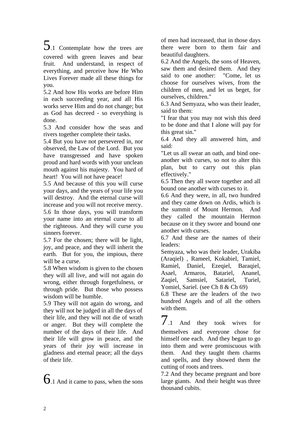$5.1$  Contemplate how the trees are covered with green leaves and bear fruit. And understand, in respect of everything, and perceive how He Who Lives Forever made all these things for you.

5.2 And how His works are before Him in each succeeding year, and all His works serve Him and do not change; but as God has decreed - so everything is done.

5.3 And consider how the seas and rivers together complete their tasks.

5.4 But you have not persevered in, nor observed, the Law of the Lord. But you have transgressed and have spoken proud and hard words with your unclean mouth against his majesty. You hard of heart! You will not have peace!

5.5 And because of this you will curse your days, and the years of your life you will destroy. And the eternal curse will increase and you will not receive mercy. 5.6 In those days, you will transform your name into an eternal curse to all the righteous. And they will curse you sinners forever.

5.7 For the chosen; there will be light, joy, and peace, and they will inherit the earth. But for you, the impious, there will be a curse.

5.8 When wisdom is given to the chosen they will all live, and will not again do wrong, either through forgetfulness, or through pride. But those who possess wisdom will be humble.

5.9 They will not again do wrong, and they will not be judged in all the days of their life, and they will not die of wrath or anger. But they will complete the number of the days of their life. And their life will grow in peace, and the years of their joy will increase in gladness and eternal peace; all the days of their life.

 $6.1$  And it came to pass, when the sons

of men had increased, that in those days there were born to them fair and beautiful daughters.

6.2 And the Angels, the sons of Heaven, saw them and desired them. And they said to one another: "Come, let us choose for ourselves wives, from the children of men, and let us beget, for ourselves, children."

6.3 And Semyaza, who was their leader, said to them:

"I fear that you may not wish this deed to be done and that I alone will pay for this great sin."

6.4 And they all answered him, and said:

"Let us all swear an oath, and bind oneanother with curses, so not to alter this plan, but to carry out this plan effectively."

6.5 Then they all swore together and all bound one another with curses to it.

6.6 And they were, in all, two hundred and they came down on Ardis, which is the summit of Mount Hermon. And they called the mountain Hermon because on it they swore and bound one another with curses.

6.7 And these are the names of their leaders:

Semyaza, who was their leader, Urakiba (Araqiel) , Rameel, Kokabiel, Tamiel, Ramiel, Daniel, Ezeqiel, Baraqiel, Asael, Armaros, Batariel, Ananel, Zaqiel, Samsiel, Satariel, Turiel, Yomiel, Sariel. (see Ch 8 & Ch 69)

6.8 These are the leaders of the two hundred Angels and of all the others with them.

7.1 And they took wives for themselves and everyone chose for himself one each. And they began to go into them and were promiscuous with them. And they taught them charms and spells, and they showed them the cutting of roots and trees.

7.2 And they became pregnant and bore large giants. And their height was three thousand cubits.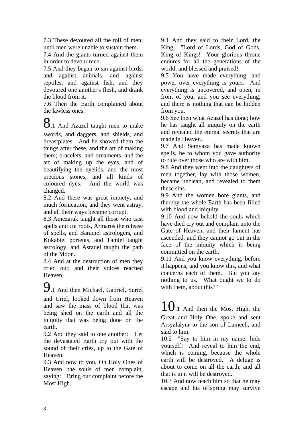7.3 These devoured all the toil of men; until men were unable to sustain them.

7.4 And the giants turned against them in order to devour men.

7.5 And they began to sin against birds, and against animals, and against reptiles, and against fish, and they devoured one another's flesh, and drank the blood from it.

7.6 Then the Earth complained about the lawless ones.

8.1 And Azazel taught men to make swords, and daggers, and shields, and breastplates. And he showed them the things after these, and the art of making them; bracelets, and ornaments, and the art of making up the eyes, and of beautifying the eyelids, and the most precious stones, and all kinds of coloured dyes. And the world was changed.

8.2 And there was great impiety, and much fornication, and they went astray, and all their ways became corrupt.

8.3 Amezarak taught all those who cast spells and cut roots, Armaros the release of spells, and Baraqiel astrologers, and Kokabiel portents, and Tamiel taught astrology, and Asradel taught the path of the Moon.

8.4 And at the destruction of men they cried out; and their voices reached Heaven.

9.1 And then Michael, Gabriel, Suriel

and Uriel, looked down from Heaven and saw the mass of blood that was being shed on the earth and all the iniquity that was being done on the earth.

9.2 And they said to one another: "Let the devastated Earth cry out with the sound of their cries, up to the Gate of Heaven.

9.3 And now to you, Oh Holy Ones of Heaven, the souls of men complain, saying: "Bring our complaint before the Most High."

9.4 And they said to their Lord, the King: "Lord of Lords, God of Gods, King of Kings! Your glorious throne endures for all the generations of the world, and blessed and praised!

9.5 You have made everything, and power over everything is yours. And everything is uncovered, and open, in front of you, and you see everything, and there is nothing that can be hidden from you.

9.6 See then what Azazel has done; how he has taught all iniquity on the earth and revealed the eternal secrets that are made in Heaven.

9.7 And Semyaza has made known spells, he to whom you gave authority to rule over those who are with him.

9.8 And they went into the daughters of men together, lay with those women, became unclean, and revealed to them these sins.

9.9 And the women bore giants, and thereby the whole Earth has been filled with blood and iniquity.

9.10 And now behold the souls which have died cry out and complain unto the Gate of Heaven, and their lament has ascended, and they cannot go out in the face of the iniquity which is being committed on the earth.

9.11 And you know everything, before it happens, and you know this, and what concerns each of them. But you say nothing to us. What ought we to do with them, about this?"

 $10$ .1 And then the Most High, the Great and Holy One, spoke and sent Arsyalalyur to the son of Lamech, and said to him:

10.2 "Say to him in my name; hide yourself! And reveal to him the end, which is coming, because the whole earth will be destroyed. A deluge is about to come on all the earth; and all that is in it will be destroyed.

10.3 And now teach him so that he may escape and his offspring may survive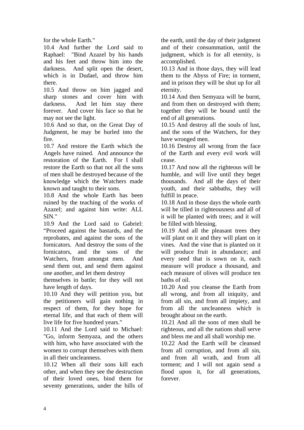for the whole Earth."

10.4 And further the Lord said to Raphael: "Bind Azazel by his hands and his feet and throw him into the darkness. And split open the desert, which is in Dudael, and throw him there.

10.5 And throw on him jagged and sharp stones and cover him with darkness. And let him stay there forever. And cover his face so that he may not see the light.

10.6 And so that, on the Great Day of Judgment, he may be hurled into the fire.

10.7 And restore the Earth which the Angels have ruined. And announce the restoration of the Earth. For I shall restore the Earth so that not all the sons of men shall be destroyed because of the knowledge which the Watchers made known and taught to their sons.

10.8 And the whole Earth has been ruined by the teaching of the works of Azazel; and against him write: ALL SIN."

10.9 And the Lord said to Gabriel: "Proceed against the bastards, and the reprobates, and against the sons of the fornicators. And destroy the sons of the fornicators, and the sons of the Watchers, from amongst men. And send them out, and send them against one another, and let them destroy

themselves in battle; for they will not have length of days.

10.10 And they will petition you, but the petitioners will gain nothing in respect of them, for they hope for eternal life, and that each of them will live life for five hundred years."

10.11 And the Lord said to Michael: "Go, inform Semyaza, and the others with him, who have associated with the women to corrupt themselves with them in all their uncleanness.

10.12 When all their sons kill each other, and when they see the destruction of their loved ones, bind them for seventy generations, under the hills of the earth, until the day of their judgment and of their consummation, until the judgment, which is for all eternity, is accomplished.

10.13 And in those days, they will lead them to the Abyss of Fire; in torment, and in prison they will be shut up for all eternity.

10.14 And then Semyaza will be burnt, and from then on destroyed with them; together they will be bound until the end of all generations.

10.15 And destroy all the souls of lust, and the sons of the Watchers, for they have wronged men.

10.16 Destroy all wrong from the face of the Earth and every evil work will cease.

10.17 And now all the righteous will be humble, and will live until they beget thousands. And all the days of their youth, and their sabbaths, they will fulfill in peace.

10.18 And in those days the whole earth will be tilled in righteousness and all of it will be planted with trees; and it will be filled with blessing.

10.19 And all the pleasant trees they will plant on it and they will plant on it vines. And the vine that is planted on it will produce fruit in abundance; and every seed that is sown on it, each measure will produce a thousand, and each measure of olives will produce ten baths of oil.

10.20 And you cleanse the Earth from all wrong, and from all iniquity, and from all sin, and from all impiety, and from all the uncleanness which is brought about on the earth.

10.21 And all the sons of men shall be righteous, and all the nations shall serve and bless me and all shall worship me.

10.22 And the Earth will be cleansed from all corruption, and from all sin, and from all wrath, and from all torment; and I will not again send a flood upon it, for all generations, forever.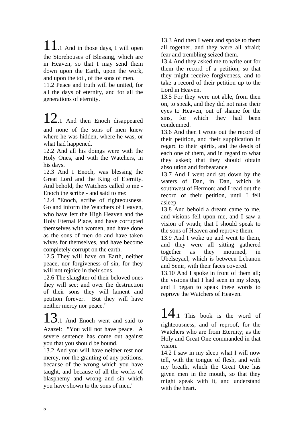$11.1$  And in those days, I will open the Storehouses of Blessing, which are in Heaven, so that I may send them down upon the Earth, upon the work, and upon the toil, of the sons of men.

11.2 Peace and truth will be united, for all the days of eternity, and for all the generations of eternity.

12.1 And then Enoch disappeared and none of the sons of men knew where he was hidden, where he was, or what had happened.

12.2 And all his doings were with the Holy Ones, and with the Watchers, in his days.

12.3 And I Enoch, was blessing the Great Lord and the King of Eternity. And behold, the Watchers called to me - Enoch the scribe - and said to me:

12.4 "Enoch, scribe of righteousness. Go and inform the Watchers of Heaven, who have left the High Heaven and the Holy Eternal Place, and have corrupted themselves with women, and have done as the sons of men do and have taken wives for themselves, and have become completely corrupt on the earth.

12.5 They will have on Earth, neither peace, nor forgiveness of sin, for they will not rejoice in their sons.

12.6 The slaughter of their beloved ones they will see; and over the destruction of their sons they will lament and petition forever. But they will have neither mercy nor peace."

 $13.1$  And Enoch went and said to Azazel: "You will not have peace. A severe sentence has come out against you that you should be bound.

13.2 And you will have neither rest nor mercy, nor the granting of any petitions, because of the wrong which you have taught, and because of all the works of blasphemy and wrong and sin which you have shown to the sons of men."

13.3 And then I went and spoke to them all together, and they were all afraid; fear and trembling seized them.

13.4 And they asked me to write out for them the record of a petition, so that they might receive forgiveness, and to take a record of their petition up to the Lord in Heaven.

13.5 For they were not able, from then on, to speak, and they did not raise their eyes to Heaven, out of shame for the sins, for which they had been condemned.

13.6 And then I wrote out the record of their petition, and their supplication in regard to their spirits, and the deeds of each one of them, and in regard to what they asked; that they should obtain absolution and forbearance.

13.7 And I went and sat down by the waters of Dan, in Dan, which is southwest of Hermon; and I read out the record of their petition, until I fell asleep.

13.8 And behold a dream came to me, and visions fell upon me, and I saw a vision of wrath; that I should speak to the sons of Heaven and reprove them.

13.9 And I woke up and went to them, and they were all sitting gathered together as they mourned, in Ubelseyael, which is between Lebanon and Senir, with their faces covered.

13.10 And I spoke in front of them all; the visions that I had seen in my sleep, and I began to speak these words to reprove the Watchers of Heaven.

14.1 This book is the word of righteousness, and of reproof, for the Watchers who are from Eternity; as the Holy and Great One commanded in that vision.

14.2 I saw in my sleep what I will now tell, with the tongue of flesh, and with my breath, which the Great One has given men in the mouth, so that they might speak with it, and understand with the heart.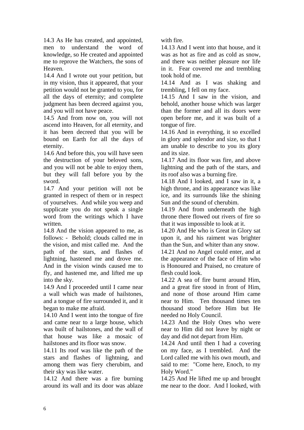14.3 As He has created, and appointed, men to understand the word of knowledge, so He created and appointed me to reprove the Watchers, the sons of Heaven.

14.4 And I wrote out your petition, but in my vision, thus it appeared, that your petition would not be granted to you, for all the days of eternity; and complete judgment has been decreed against you, and you will not have peace.

14.5 And from now on, you will not ascend into Heaven, for all eternity, and it has been decreed that you will be bound on Earth for all the days of eternity.

14.6 And before this, you will have seen the destruction of your beloved sons, and you will not be able to enjoy them, but they will fall before you by the sword.

14.7 And your petition will not be granted in respect of them or in respect of yourselves. And while you weep and supplicate you do not speak a single word from the writings which I have written.

14.8 And the vision appeared to me, as follows: - Behold; clouds called me in the vision, and mist called me. And the path of the stars, and flashes of lightning, hastened me and drove me. And in the vision winds caused me to fly, and hastened me, and lifted me up into the sky.

14.9 And I proceeded until I came near a wall which was made of hailstones, and a tongue of fire surrounded it, and it began to make me afraid.

14.10 And I went into the tongue of fire and came near to a large house, which was built of hailstones, and the wall of that house was like a mosaic of hailstones and its floor was snow.

14.11 Its roof was like the path of the stars and flashes of lightning, and among them was fiery cherubim, and their sky was like water.

14.12 And there was a fire burning around its wall and its door was ablaze

with fire.

14.13 And I went into that house, and it was as hot as fire and as cold as snow, and there was neither pleasure nor life in it. Fear covered me and trembling took hold of me.

14.14 And as I was shaking and trembling, I fell on my face.

14.15 And I saw in the vision, and behold, another house which was larger than the former and all its doors were open before me, and it was built of a tongue of fire.

14.16 And in everything, it so excelled in glory and splendor and size, so that I am unable to describe to you its glory and its size.

14.17 And its floor was fire, and above lightning and the path of the stars, and its roof also was a burning fire.

14.18 And I looked, and I saw in it, a high throne, and its appearance was like ice, and its surrounds like the shining Sun and the sound of cherubim.

14.19 And from underneath the high throne there flowed out rivers of fire so that it was impossible to look at it.

14.20 And He who is Great in Glory sat upon it, and his raiment was brighter than the Sun, and whiter than any snow.

14.21 And no Angel could enter, and at the appearance of the face of Him who is Honoured and Praised, no creature of flesh could look.

14.22 A sea of fire burnt around Him, and a great fire stood in front of Him, and none of those around Him came near to Him. Ten thousand times ten thousand stood before Him but He needed no Holy Council.

14.23 And the Holy Ones who were near to Him did not leave by night or day and did not depart from Him.

14.24 And until then I had a covering on my face, as I trembled. And the Lord called me with his own mouth, and said to me: "Come here, Enoch, to my Holy Word."

14.25 And He lifted me up and brought me near to the door. And I looked, with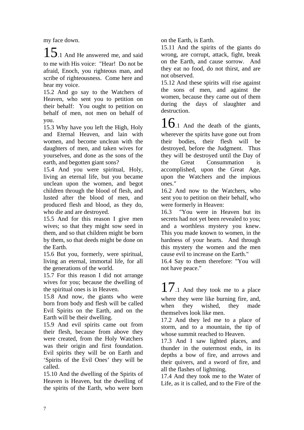my face down.

15.1 And He answered me, and said to me with His voice: "Hear! Do not be afraid, Enoch, you righteous man, and scribe of righteousness. Come here and hear my voice.

15.2 And go say to the Watchers of Heaven, who sent you to petition on their behalf: You ought to petition on behalf of men, not men on behalf of you.

15.3 Why have you left the High, Holy and Eternal Heaven, and lain with women, and become unclean with the daughters of men, and taken wives for yourselves, and done as the sons of the earth, and begotten giant sons?

15.4 And you were spiritual, Holy, living an eternal life, but you became unclean upon the women, and begot children through the blood of flesh, and lusted after the blood of men, and produced flesh and blood, as they do, who die and are destroyed.

15.5 And for this reason I give men wives; so that they might sow seed in them, and so that children might be born by them, so that deeds might be done on the Earth.

15.6 But you, formerly, were spiritual, living an eternal, immortal life, for all the generations of the world.

15.7 For this reason I did not arrange wives for you; because the dwelling of the spiritual ones is in Heaven.

15.8 And now, the giants who were born from body and flesh will be called Evil Spirits on the Earth, and on the Earth will be their dwelling.

15.9 And evil spirits came out from their flesh, because from above they were created, from the Holy Watchers was their origin and first foundation. Evil spirits they will be on Earth and 'Spirits of the Evil Ones' they will be called.

15.10 And the dwelling of the Spirits of Heaven is Heaven, but the dwelling of the spirits of the Earth, who were born on the Earth, is Earth.

15.11 And the spirits of the giants do wrong, are corrupt, attack, fight, break on the Earth, and cause sorrow. And they eat no food, do not thirst, and are not observed.

15.12 And these spirits will rise against the sons of men, and against the women, because they came out of them during the days of slaughter and destruction.

 $16.1$  And the death of the giants, wherever the spirits have gone out from their bodies, their flesh will be destroyed, before the Judgment. Thus they will be destroyed until the Day of the Great Consummation is accomplished, upon the Great Age, upon the Watchers and the impious ones."

16.2 And now to the Watchers, who sent you to petition on their behalf, who were formerly in Heaven:

16.3 "You were in Heaven but its secrets had not yet been revealed to you; and a worthless mystery you knew. This you made known to women, in the hardness of your hearts. And through this mystery the women and the men cause evil to increase on the Earth."

16.4 Say to them therefore: "You will not have peace."

 $17<sub>.1</sub>$  And they took me to a place where they were like burning fire, and, when they wished, they made themselves look like men.

17.2 And they led me to a place of storm, and to a mountain, the tip of whose summit reached to Heaven.

17.3 And I saw lighted places, and thunder in the outermost ends, in its depths a bow of fire, and arrows and their quivers, and a sword of fire, and all the flashes of lightning.

17.4 And they took me to the Water of Life, as it is called, and to the Fire of the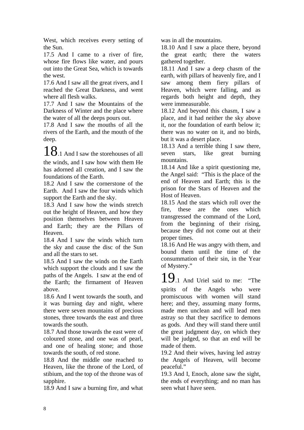West, which receives every setting of the Sun.

17.5 And I came to a river of fire, whose fire flows like water, and pours out into the Great Sea, which is towards the west.

17.6 And I saw all the great rivers, and I reached the Great Darkness, and went where all flesh walks.

17.7 And I saw the Mountains of the Darkness of Winter and the place where the water of all the deeps pours out.

17.8 And I saw the mouths of all the rivers of the Earth, and the mouth of the deep.

18.1 And I saw the storehouses of all the winds, and I saw how with them He has adorned all creation, and I saw the foundations of the Earth.

18.2 And I saw the cornerstone of the Earth. And I saw the four winds which support the Earth and the sky.

18.3 And I saw how the winds stretch out the height of Heaven, and how they position themselves between Heaven and Earth; they are the Pillars of Heaven.

18.4 And I saw the winds which turn the sky and cause the disc of the Sun and all the stars to set.

18.5 And I saw the winds on the Earth which support the clouds and I saw the paths of the Angels. I saw at the end of the Earth; the firmament of Heaven above.

18.6 And I went towards the south, and it was burning day and night, where there were seven mountains of precious stones, three towards the east and three towards the south.

18.7 And those towards the east were of coloured stone, and one was of pearl, and one of healing stone; and those towards the south, of red stone.

18.8 And the middle one reached to Heaven, like the throne of the Lord, of stibium, and the top of the throne was of sapphire.

18.9 And I saw a burning fire, and what

was in all the mountains.

18.10 And I saw a place there, beyond the great earth; there the waters gathered together.

18.11 And I saw a deep chasm of the earth, with pillars of heavenly fire, and I saw among them fiery pillars of Heaven, which were falling, and as regards both height and depth, they were immeasurable.

18.12 And beyond this chasm, I saw a place, and it had neither the sky above it, nor the foundation of earth below it; there was no water on it, and no birds, but it was a desert place.

18.13 And a terrible thing I saw there, seven stars, like great burning mountains.

18.14 And like a spirit questioning me, the Angel said: "This is the place of the end of Heaven and Earth; this is the prison for the Stars of Heaven and the Host of Heaven.

18.15 And the stars which roll over the fire, these are the ones which transgressed the command of the Lord, from the beginning of their rising, because they did not come out at their proper times.

18.16 And He was angry with them, and bound them until the time of the consummation of their sin, in the Year of Mystery."

 $19.1$  And Uriel said to me: "The spirits of the Angels who were promiscuous with women will stand here; and they, assuming many forms, made men unclean and will lead men astray so that they sacrifice to demons as gods. And they will stand there until the great judgment day, on which they will be judged, so that an end will be made of them.

19.2 And their wives, having led astray the Angels of Heaven, will become peaceful."

19.3 And I, Enoch, alone saw the sight, the ends of everything; and no man has seen what I have seen.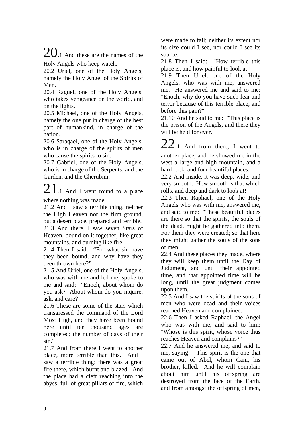$20.1$  And these are the names of the Holy Angels who keep watch.

20.2 Uriel, one of the Holy Angels; namely the Holy Angel of the Spirits of Men.

20.4 Raguel, one of the Holy Angels; who takes vengeance on the world, and on the lights.

20.5 Michael, one of the Holy Angels, namely the one put in charge of the best part of humankind, in charge of the nation.

20.6 Saraqael, one of the Holy Angels; who is in charge of the spirits of men who cause the spirits to sin.

20.7 Gabriel, one of the Holy Angels, who is in charge of the Serpents, and the Garden, and the Cherubim.

 $21.1$  And I went round to a place where nothing was made.

21.2 And I saw a terrible thing, neither the High Heaven nor the firm ground, but a desert place, prepared and terrible. 21.3 And there, I saw seven Stars of Heaven, bound on it together, like great mountains, and burning like fire.

21.4 Then I said: "For what sin have they been bound, and why have they been thrown here?"

21.5 And Uriel, one of the Holy Angels, who was with me and led me, spoke to me and said: "Enoch, about whom do you ask? About whom do you inquire, ask, and care?

21.6 These are some of the stars which transgressed the command of the Lord Most High, and they have been bound here until ten thousand ages are completed; the number of days of their sin."

21.7 And from there I went to another place, more terrible than this. And I saw a terrible thing: there was a great fire there, which burnt and blazed. And the place had a cleft reaching into the abyss, full of great pillars of fire, which were made to fall; neither its extent nor its size could I see, nor could I see its source.

21.8 Then I said: "How terrible this place is, and how painful to look at!"

21.9 Then Uriel, one of the Holy Angels, who was with me, answered me. He answered me and said to me: "Enoch, why do you have such fear and terror because of this terrible place, and before this pain?"

21.10 And he said to me: "This place is the prison of the Angels, and there they will be held for ever."

 $22.1$  And from there, I went to another place, and he showed me in the west a large and high mountain, and a hard rock, and four beautiful places.

22.2 And inside, it was deep, wide, and very smooth. How smooth is that which rolls, and deep and dark to look at!

22.3 Then Raphael, one of the Holy Angels who was with me, answered me, and said to me: "These beautiful places are there so that the spirits, the souls of the dead, might be gathered into them. For them they were created; so that here they might gather the souls of the sons of men.

22.4 And these places they made, where they will keep them until the Day of Judgment, and until their appointed time, and that appointed time will be long, until the great judgment comes upon them.

22.5 And I saw the spirits of the sons of men who were dead and their voices reached Heaven and complained.

22.6 Then I asked Raphael, the Angel who was with me, and said to him: "Whose is this spirit, whose voice thus reaches Heaven and complains?"

22.7 And he answered me, and said to me, saying: "This spirit is the one that came out of Abel, whom Cain, his brother, killed. And he will complain about him until his offspring are destroyed from the face of the Earth, and from amongst the offspring of men,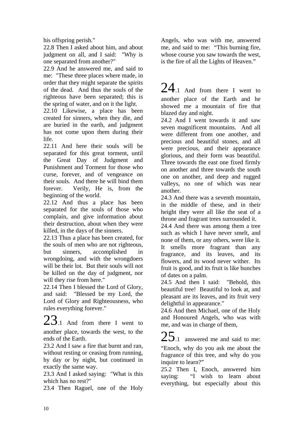his offspring perish."

22.8 Then I asked about him, and about judgment on all, and I said: "Why is one separated from another?"

22.9 And he answered me, and said to me: "These three places where made, in order that they might separate the spirits of the dead. And thus the souls of the righteous have been separated; this is the spring of water, and on it the light.

22.10 Likewise, a place has been created for sinners, when they die, and are buried in the earth, and judgment has not come upon them during their life.

22.11 And here their souls will be separated for this great torment, until the Great Day of Judgment and Punishment and Torment for those who curse, forever, and of vengeance on their souls. And there he will bind them forever. Verily, He is, from the beginning of the world.

22.12 And thus a place has been separated for the souls of those who complain, and give information about their destruction, about when they were killed, in the days of the sinners.

22.13 Thus a place has been created, for the souls of men who are not righteous, but sinners, accomplished in wrongdoing, and with the wrongdoers will be their lot. But their souls will not be killed on the day of judgment, nor will they rise from here."

22.14 Then I blessed the Lord of Glory, and said: "Blessed be my Lord, the Lord of Glory and Righteousness, who rules everything forever."

 $23.1$  And from there I went to another place, towards the west, to the ends of the Earth.

23.2 And I saw a fire that burnt and ran without resting or ceasing from running, by day or by night, but continued in exactly the same way.

23.3 And I asked saying: "What is this which has no rest?"

23.4 Then Raguel, one of the Holy

Angels, who was with me, answered me, and said to me: "This burning fire, whose course you saw towards the west, is the fire of all the Lights of Heaven."

24<sub>1</sub> And from there I went to another place of the Earth and he showed me a mountain of fire that blazed day and night.

24.2 And I went towards it and saw seven magnificent mountains. And all were different from one another, and precious and beautiful stones, and all were precious, and their appearance glorious, and their form was beautiful. Three towards the east one fixed firmly on another and three towards the south one on another, and deep and rugged valleys, no one of which was near another.

24.3 And there was a seventh mountain, in the middle of these, and in their height they were all like the seat of a throne and fragrant trees surrounded it.

24.4 And there was among them a tree such as which I have never smelt, and none of them, or any others, were like it. It smells more fragrant than any fragrance, and its leaves, and its flowers, and its wood never wither. Its fruit is good, and its fruit is like bunches of dates on a palm.

24.5 And then I said: "Behold, this beautiful tree! Beautiful to look at, and pleasant are its leaves, and its fruit very delightful in appearance."

24.6 And then Michael, one of the Holy and Honoured Angels, who was with me, and was in charge of them,

 $25.1$  answered me and said to me: "Enoch, why do you ask me about the fragrance of this tree, and why do you inquire to learn?"

25.2 Then I, Enoch, answered him saying: "I wish to learn about everything, but especially about this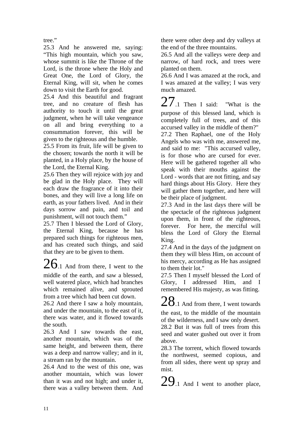tree."

25.3 And he answered me, saying: "This high mountain, which you saw, whose summit is like the Throne of the Lord, is the throne where the Holy and Great One, the Lord of Glory, the Eternal King, will sit, when he comes down to visit the Earth for good.

25.4 And this beautiful and fragrant tree, and no creature of flesh has authority to touch it until the great judgment, when he will take vengeance on all and bring everything to a consummation forever, this will be given to the righteous and the humble.

25.5 From its fruit, life will be given to the chosen; towards the north it will be planted, in a Holy place, by the house of the Lord, the Eternal King.

25.6 Then they will rejoice with joy and be glad in the Holy place. They will each draw the fragrance of it into their bones, and they will live a long life on earth, as your fathers lived. And in their days sorrow and pain, and toil and punishment, will not touch them."

25.7 Then I blessed the Lord of Glory, the Eternal King, because he has prepared such things for righteous men, and has created such things, and said that they are to be given to them.

 $26$ .1 And from there, I went to the middle of the earth, and saw a blessed, well watered place, which had branches which remained alive, and sprouted from a tree which had been cut down.

26.2 And there I saw a holy mountain, and under the mountain, to the east of it, there was water, and it flowed towards the south.

26.3 And I saw towards the east, another mountain, which was of the same height, and between them, there was a deep and narrow valley; and in it, a stream ran by the mountain.

26.4 And to the west of this one, was another mountain, which was lower than it was and not high; and under it, there was a valley between them. And

there were other deep and dry valleys at the end of the three mountains.

26.5 And all the valleys were deep and narrow, of hard rock, and trees were planted on them.

26.6 And I was amazed at the rock, and I was amazed at the valley; I was very much amazed.

 $27<sub>.1</sub>$  Then I said: "What is the purpose of this blessed land, which is completely full of trees, and of this accursed valley in the middle of them?" 27.2 Then Raphael, one of the Holy Angels who was with me, answered me, and said to me: "This accursed valley, is for those who are cursed for ever. Here will be gathered together all who speak with their mouths against the Lord - words that are not fitting, and say hard things about His Glory. Here they will gather them together, and here will be their place of judgment.

27.3 And in the last days there will be the spectacle of the righteous judgment upon them, in front of the righteous, forever. For here, the merciful will bless the Lord of Glory the Eternal King.

27.4 And in the days of the judgment on them they will bless Him, on account of his mercy, according as He has assigned to them their lot."

27.5 Then I myself blessed the Lord of Glory, I addressed Him, and I remembered His majesty, as was fitting.

28.1 And from there, I went towards the east, to the middle of the mountain of the wilderness, and I saw only desert. 28.2 But it was full of trees from this seed and water gushed out over it from above.

28.3 The torrent, which flowed towards the northwest, seemed copious, and from all sides, there went up spray and mist.

 $29_{.1}$  And I went to another place,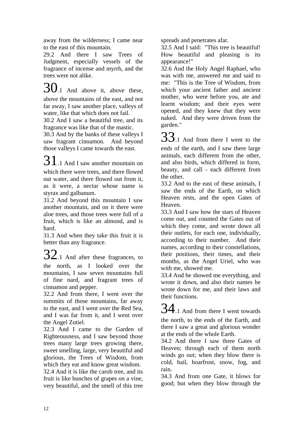away from the wilderness; I came near to the east of this mountain.

29.2 And there I saw Trees of Judgment, especially vessels of the fragrance of incense and myrrh, and the trees were not alike.

 $30<sub>1</sub>$  And above it, above these, above the mountains of the east, and not far away, I saw another place, valleys of water, like that which does not fail.

30.2 And I saw a beautiful tree, and its fragrance was like that of the mastic.

30.3 And by the banks of these valleys I saw fragrant cinnamon. And beyond those valleys I came towards the east.

31.1 And I saw another mountain on which there were trees, and there flowed out water, and there flowed out from it, as it were, a nectar whose name is styrax and galbanum.

31.2 And beyond this mountain I saw another mountain, and on it there were aloe trees, and those trees were full of a fruit, which is like an almond, and is hard.

31.3 And when they take this fruit it is better than any fragrance.

 $32<sub>0.1</sub>$  And after these fragrances, to the north, as I looked over the mountains, I saw seven mountains full of fine nard, and fragrant trees of cinnamon and pepper.

32.2 And from there, I went over the summits of those mountains, far away to the east, and I went over the Red Sea, and I was far from it, and I went over the Angel Zotiel.

32.3 And I came to the Garden of Righteousness, and I saw beyond those trees many large trees growing there, sweet smelling, large, very beautiful and glorious, the Trees of Wisdom, from which they eat and know great wisdom.

32.4 And it is like the carob tree, and its fruit is like bunches of grapes on a vine, very beautiful, and the smell of this tree

spreads and penetrates afar.

32.5 And I said: "This tree is beautiful! How beautiful and pleasing is its appearance!"

32.6 And the Holy Angel Raphael, who was with me, answered me and said to me: "This is the Tree of Wisdom, from which your ancient father and ancient mother, who were before you, ate and learnt wisdom; and their eyes were opened, and they knew that they were naked. And they were driven from the garden."

 $33.1$  And from there I went to the ends of the earth, and I saw there large animals, each different from the other, and also birds, which differed in form, beauty, and call - each different from the other.

33.2 And to the east of these animals, I saw the ends of the Earth, on which Heaven rests, and the open Gates of Heaven.

33.3 And I saw how the stars of Heaven come out, and counted the Gates out of which they come, and wrote down all their outlets, for each one, individually, according to their number. And their names, according to their constellations, their positions, their times, and their months, as the Angel Uriel, who was with me, showed me.

33.4 And he showed me everything, and wrote it down, and also their names he wrote down for me, and their laws and their functions.

34.1 And from there I went towards the north, to the ends of the Earth, and there I saw a great and glorious wonder at the ends of the whole Earth.

34.2 And there I saw three Gates of Heaven; through each of them north winds go out; when they blow there is cold, hail, hoarfrost, snow, fog, and rain.

34.3 And from one Gate, it blows for good; but when they blow through the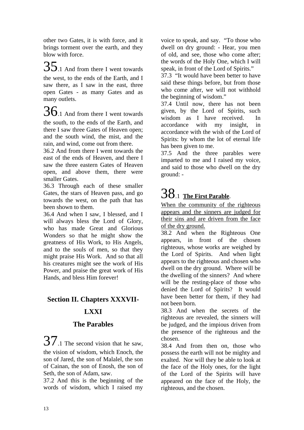other two Gates, it is with force, and it brings torment over the earth, and they blow with force.

35.1 And from there I went towards the west, to the ends of the Earth, and I saw there, as I saw in the east, three open Gates - as many Gates and as many outlets.

 $36.1$  And from there I went towards the south, to the ends of the Earth, and there I saw three Gates of Heaven open; and the south wind, the mist, and the rain, and wind, come out from there.

36.2 And from there I went towards the east of the ends of Heaven, and there I saw the three eastern Gates of Heaven open, and above them, there were smaller Gates.

36.3 Through each of these smaller Gates, the stars of Heaven pass, and go towards the west, on the path that has been shown to them.

36.4 And when I saw, I blessed, and I will always bless the Lord of Glory, who has made Great and Glorious Wonders so that he might show the greatness of His Work, to His Angels, and to the souls of men, so that they might praise His Work. And so that all his creatures might see the work of His Power, and praise the great work of His Hands, and bless Him forever!

### **Section II. Chapters XXXVII-**

### **LXXI**

### **The Parables**

37.1 The second vision that he saw, the vision of wisdom, which Enoch, the son of Jared, the son of Malalel, the son of Cainan, the son of Enosh, the son of Seth, the son of Adam, saw.

37.2 And this is the beginning of the words of wisdom, which I raised my voice to speak, and say. "To those who dwell on dry ground: - Hear, you men of old, and see, those who come after; the words of the Holy One, which I will speak, in front of the Lord of Spirits."

37.3 "It would have been better to have said these things before, but from those who come after, we will not withhold the beginning of wisdom."

37.4 Until now, there has not been given, by the Lord of Spirits, such wisdom as I have received. In accordance with my insight, in accordance with the wish of the Lord of Spirits: by whom the lot of eternal life has been given to me.

37.5 And the three parables were imparted to me and I raised my voice, and said to those who dwell on the dry ground: -

### 38.1 **The First Parable**.

When the community of the righteous appears and the sinners are judged for their sins and are driven from the face of the dry ground.

38.2 And when the Righteous One appears, in front of the chosen righteous, whose works are weighed by the Lord of Spirits. And when light appears to the righteous and chosen who dwell on the dry ground. Where will be the dwelling of the sinners? And where will be the resting-place of those who denied the Lord of Spirits? It would have been better for them, if they had not been born.

38.3 And when the secrets of the righteous are revealed, the sinners will be judged, and the impious driven from the presence of the righteous and the chosen.

38.4 And from then on, those who possess the earth will not be mighty and exalted. Nor will they be able to look at the face of the Holy ones, for the light of the Lord of the Spirits will have appeared on the face of the Holy, the righteous, and the chosen.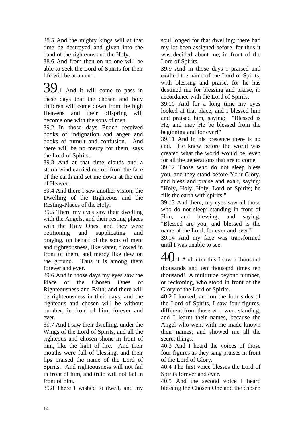38.5 And the mighty kings will at that time be destroyed and given into the hand of the righteous and the Holy.

38.6 And from then on no one will be able to seek the Lord of Spirits for their life will be at an end.

39.1 And it will come to pass in these days that the chosen and holy children will come down from the high Heavens and their offspring will become one with the sons of men.

39.2 In those days Enoch received books of indignation and anger and books of tumult and confusion. And there will be no mercy for them, says the Lord of Spirits.

39.3 And at that time clouds and a storm wind carried me off from the face of the earth and set me down at the end of Heaven.

39.4 And there I saw another vision; the Dwelling of the Righteous and the Resting-Places of the Holy.

39.5 There my eyes saw their dwelling with the Angels, and their resting places with the Holy Ones, and they were petitioning and supplicating and praying, on behalf of the sons of men; and righteousness, like water, flowed in front of them, and mercy like dew on the ground. Thus it is among them forever and ever.

39.6 And in those days my eyes saw the Place of the Chosen Ones of Righteousness and Faith; and there will be righteousness in their days, and the righteous and chosen will be without number, in front of him, forever and ever.

39.7 And I saw their dwelling, under the Wings of the Lord of Spirits, and all the righteous and chosen shone in front of him, like the light of fire. And their mouths were full of blessing, and their lips praised the name of the Lord of Spirits. And righteousness will not fail in front of him, and truth will not fail in front of him.

39.8 There I wished to dwell, and my

soul longed for that dwelling; there had my lot been assigned before, for thus it was decided about me, in front of the Lord of Spirits.

39.9 And in those days I praised and exalted the name of the Lord of Spirits, with blessing and praise, for he has destined me for blessing and praise, in accordance with the Lord of Spirits.

39.10 And for a long time my eyes looked at that place, and I blessed him and praised him, saying: "Blessed is He, and may He be blessed from the beginning and for ever!"

39.11 And in his presence there is no end. He knew before the world was created what the world would be, even for all the generations that are to come.

39.12 Those who do not sleep bless you, and they stand before Your Glory, and bless and praise and exalt, saying: "Holy, Holy, Holy, Lord of Spirits; he fills the earth with spirits."

39.13 And there, my eyes saw all those who do not sleep; standing in front of Him, and blessing, and saying: "Blessed are you, and blessed is the name of the Lord, for ever and ever!"

39.14 And my face was transformed until I was unable to see.

 $40.1$  And after this I saw a thousand thousands and ten thousand times ten thousand! A multitude beyond number, or reckoning, who stood in front of the Glory of the Lord of Spirits.

40.2 I looked, and on the four sides of the Lord of Spirits, I saw four figures, different from those who were standing; and I learnt their names, because the Angel who went with me made known their names, and showed me all the secret things.

40.3 And I heard the voices of those four figures as they sang praises in front of the Lord of Glory.

40.4 The first voice blesses the Lord of Spirits forever and ever.

40.5 And the second voice I heard blessing the Chosen One and the chosen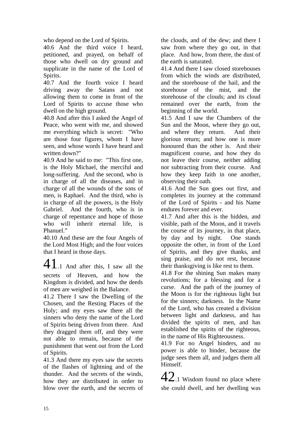who depend on the Lord of Spirits.

40.6 And the third voice I heard, petitioned, and prayed, on behalf of those who dwell on dry ground and supplicate in the name of the Lord of Spirits.

40.7 And the fourth voice I heard driving away the Satans and not allowing them to come in front of the Lord of Spirits to accuse those who dwell on the high ground.

40.8 And after this I asked the Angel of Peace, who went with me, and showed me everything which is secret: "Who are those four figures, whom I have seen, and whose words I have heard and written down?"

40.9 And he said to me: "This first one, is the Holy Michael, the merciful and long-suffering. And the second, who is in charge of all the diseases, and in charge of all the wounds of the sons of men, is Raphael. And the third, who is in charge of all the powers, is the Holy Gabriel. And the fourth, who is in charge of repentance and hope of those who will inherit eternal life, is Phanuel."

40.10 And these are the four Angels of the Lord Most High; and the four voices that I heard in those days.

 $41$ .1 And after this, I saw all the secrets of Heaven, and how the Kingdom is divided, and how the deeds of men are weighed in the Balance.

41.2 There I saw the Dwelling of the Chosen, and the Resting Places of the Holy; and my eyes saw there all the sinners who deny the name of the Lord of Spirits being driven from there. And they dragged them off, and they were not able to remain, because of the punishment that went out from the Lord of Spirits.

41.3 And there my eyes saw the secrets of the flashes of lightning and of the thunder. And the secrets of the winds, how they are distributed in order to blow over the earth, and the secrets of the clouds, and of the dew; and there I saw from where they go out, in that place. And how, from there, the dust of the earth is saturated.

41.4 And there I saw closed storehouses from which the winds are distributed, and the storehouse of the hail, and the storehouse of the mist, and the storehouse of the clouds; and its cloud remained over the earth, from the beginning of the world.

41.5 And I saw the Chambers of the Sun and the Moon, where they go out, and where they return. And their glorious return; and how one is more honoured than the other is. And their magnificent course, and how they do not leave their course, neither adding nor subtracting from their course. And how they keep faith in one another, observing their oath.

41.6 And the Sun goes out first, and completes its journey at the command of the Lord of Spirits - and his Name endures forever and ever.

41.7 And after this is the hidden, and visible, path of the Moon, and it travels the course of its journey, in that place, by day and by night. One stands opposite the other, in front of the Lord of Spirits, and they give thanks, and sing praise, and do not rest, because their thanksgiving is like rest to them.

41.8 For the shining Sun makes many revolutions; for a blessing and for a curse. And the path of the journey of the Moon is for the righteous light but for the sinners; darkness. In the Name of the Lord, who has created a division between light and darkness, and has divided the spirits of men, and has established the spirits of the righteous, in the name of His Righteousness.

41.9 For no Angel hinders, and no power is able to hinder, because the judge sees them all, and judges them all Himself.

 $42_{.1}$  Wisdom found no place where she could dwell, and her dwelling was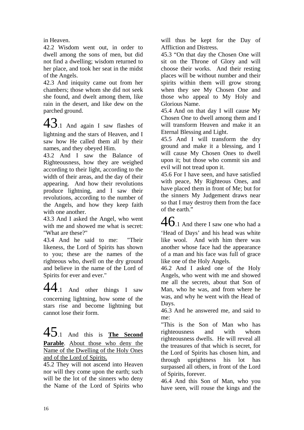in Heaven.

42.2 Wisdom went out, in order to dwell among the sons of men, but did not find a dwelling; wisdom returned to her place, and took her seat in the midst of the Angels.

42.3 And iniquity came out from her chambers; those whom she did not seek she found, and dwelt among them, like rain in the desert, and like dew on the parched ground.

43.1 And again I saw flashes of lightning and the stars of Heaven, and I saw how He called them all by their names, and they obeyed Him.

43.2 And I saw the Balance of Righteousness, how they are weighed according to their light, according to the width of their areas, and the day of their appearing. And how their revolutions produce lightning, and I saw their revolutions, according to the number of the Angels, and how they keep faith with one another.

43.3 And I asked the Angel, who went with me and showed me what is secret: "What are these?"

43.4 And he said to me: "Their likeness, the Lord of Spirits has shown to you; these are the names of the righteous who, dwell on the dry ground and believe in the name of the Lord of Spirits for ever and ever."

And other things I saw concerning lightning, how some of the stars rise and become lightning but cannot lose their form.

45.1 And this is **The Second Parable**. About those who deny the Name of the Dwelling of the Holy Ones and of the Lord of Spirits.

45.2 They will not ascend into Heaven nor will they come upon the earth; such will be the lot of the sinners who deny the Name of the Lord of Spirits who will thus be kept for the Day of Affliction and Distress.

45.3 "On that day the Chosen One will sit on the Throne of Glory and will choose their works. And their resting places will be without number and their spirits within them will grow strong when they see My Chosen One and those who appeal to My Holy and Glorious Name.

45.4 And on that day I will cause My Chosen One to dwell among them and I will transform Heaven and make it an Eternal Blessing and Light.

45.5 And I will transform the dry ground and make it a blessing, and I will cause My Chosen Ones to dwell upon it; but those who commit sin and evil will not tread upon it.

45.6 For I have seen, and have satisfied with peace, My Righteous Ones, and have placed them in front of Me; but for the sinners My Judgement draws near so that I may destroy them from the face of the earth."

 $46.1$  And there I saw one who had a 'Head of Days' and his head was white like wool. And with him there was another whose face had the appearance of a man and his face was full of grace like one of the Holy Angels.

46.2 And I asked one of the Holy Angels, who went with me and showed me all the secrets, about that Son of Man, who he was, and from where he was, and why he went with the Head of Days.

46.3 And he answered me, and said to me:

"This is the Son of Man who has righteousness and with whom righteousness dwells. He will reveal all the treasures of that which is secret, for the Lord of Spirits has chosen him, and through uprightness his lot has surpassed all others, in front of the Lord of Spirits, forever.

46.4 And this Son of Man, who you have seen, will rouse the kings and the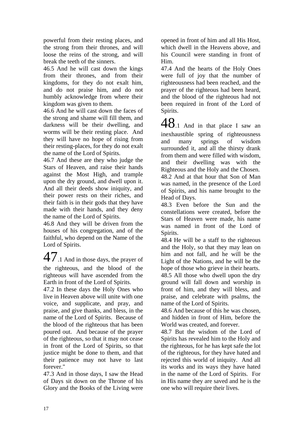powerful from their resting places, and the strong from their thrones, and will loose the reins of the strong, and will break the teeth of the sinners.

46.5 And he will cast down the kings from their thrones, and from their kingdoms, for they do not exalt him, and do not praise him, and do not humbly acknowledge from where their kingdom was given to them.

46.6 And he will cast down the faces of the strong and shame will fill them, and darkness will be their dwelling, and worms will be their resting place. And they will have no hope of rising from their resting-places, for they do not exalt the name of the Lord of Spirits.

46.7 And these are they who judge the Stars of Heaven, and raise their hands against the Most High, and trample upon the dry ground, and dwell upon it. And all their deeds show iniquity, and their power rests on their riches, and their faith is in their gods that they have made with their hands, and they deny the name of the Lord of Spirits.

46.8 And they will be driven from the houses of his congregation, and of the faithful, who depend on the Name of the Lord of Spirits.

 $47<sub>.1</sub>$  And in those days, the prayer of the righteous, and the blood of the righteous will have ascended from the Earth in front of the Lord of Spirits.

47.2 In these days the Holy Ones who live in Heaven above will unite with one voice, and supplicate, and pray, and praise, and give thanks, and bless, in the name of the Lord of Spirits. Because of the blood of the righteous that has been poured out. And because of the prayer of the righteous, so that it may not cease in front of the Lord of Spirits, so that justice might be done to them, and that their patience may not have to last forever."

47.3 And in those days, I saw the Head of Days sit down on the Throne of his Glory and the Books of the Living were opened in front of him and all His Host, which dwell in the Heavens above, and his Council were standing in front of Him.

47.4 And the hearts of the Holy Ones were full of joy that the number of righteousness had been reached, and the prayer of the righteous had been heard, and the blood of the righteous had not been required in front of the Lord of Spirits.

48.1 And in that place I saw an inexhaustible spring of righteousness and many springs of wisdom surrounded it, and all the thirsty drank from them and were filled with wisdom, and their dwelling was with the Righteous and the Holy and the Chosen. 48.2 And at that hour that Son of Man was named, in the presence of the Lord of Spirits, and his name brought to the Head of Days.

48.3 Even before the Sun and the constellations were created, before the Stars of Heaven were made, his name was named in front of the Lord of Spirits.

48.4 He will be a staff to the righteous and the Holy, so that they may lean on him and not fall, and he will be the Light of the Nations, and he will be the hope of those who grieve in their hearts. 48.5 All those who dwell upon the dry ground will fall down and worship in front of him, and they will bless, and

praise, and celebrate with psalms, the name of the Lord of Spirits.

48.6 And because of this he was chosen, and hidden in front of Him, before the World was created, and forever.

48.7 But the wisdom of the Lord of Spirits has revealed him to the Holy and the righteous, for he has kept safe the lot of the righteous, for they have hated and rejected this world of iniquity. And all its works and its ways they have hated in the name of the Lord of Spirits. For in His name they are saved and he is the one who will require their lives.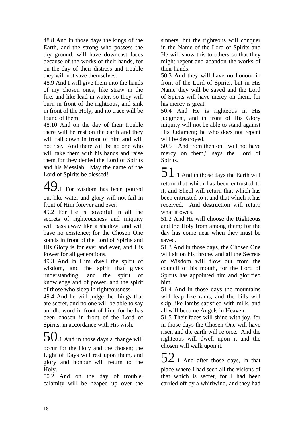48.8 And in those days the kings of the Earth, and the strong who possess the dry ground, will have downcast faces because of the works of their hands, for on the day of their distress and trouble they will not save themselves.

48.9 And I will give them into the hands of my chosen ones; like straw in the fire, and like lead in water, so they will burn in front of the righteous, and sink in front of the Holy, and no trace will be found of them.

48.10 And on the day of their trouble there will be rest on the earth and they will fall down in front of him and will not rise. And there will be no one who will take them with his hands and raise them for they denied the Lord of Spirits and his Messiah. May the name of the Lord of Spirits be blessed!

 $49_{.1}$  For wisdom has been poured out like water and glory will not fail in front of Him forever and ever.

49.2 For He is powerful in all the secrets of righteousness and iniquity will pass away like a shadow, and will have no existence; for the Chosen One stands in front of the Lord of Spirits and His Glory is for ever and ever, and His Power for all generations.

49.3 And in Him dwell the spirit of wisdom, and the spirit that gives understanding, and the spirit of knowledge and of power, and the spirit of those who sleep in righteousness.

49.4 And he will judge the things that are secret, and no one will be able to say an idle word in front of him, for he has been chosen in front of the Lord of Spirits, in accordance with His wish.

 $50$ .1 And in those days a change will occur for the Holy and the chosen; the Light of Days will rest upon them, and glory and honour will return to the Holy.

50.2 And on the day of trouble, calamity will be heaped up over the sinners, but the righteous will conquer in the Name of the Lord of Spirits and He will show this to others so that they might repent and abandon the works of their hands.

50.3 And they will have no honour in front of the Lord of Spirits, but in His Name they will be saved and the Lord of Spirits will have mercy on them, for his mercy is great.

50.4 And He is righteous in His judgment, and in front of His Glory iniquity will not be able to stand against His Judgment; he who does not repent will be destroyed.

50.5 "And from then on I will not have mercy on them," says the Lord of Spirits.

 $51$ .1 And in those days the Earth will return that which has been entrusted to it, and Sheol will return that which has been entrusted to it and that which it has received. And destruction will return what it owes.

51.2 And He will choose the Righteous and the Holy from among them; for the day has come near when they must be saved.

51.3 And in those days, the Chosen One will sit on his throne, and all the Secrets of Wisdom will flow out from the council of his mouth, for the Lord of Spirits has appointed him and glorified him.

51.4 And in those days the mountains will leap like rams, and the hills will skip like lambs satisfied with milk, and all will become Angels in Heaven.

51.5 Their faces will shine with joy, for in those days the Chosen One will have risen and the earth will rejoice. And the righteous will dwell upon it and the chosen will walk upon it.

 $52.1$  And after those days, in that place where I had seen all the visions of that which is secret, for I had been carried off by a whirlwind, and they had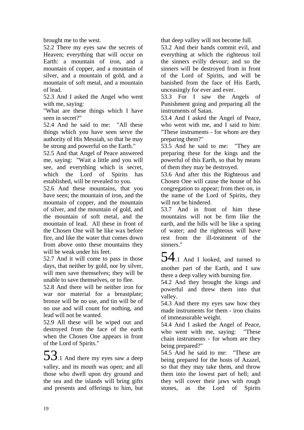brought me to the west.

52.2 There my eyes saw the secrets of Heaven; everything that will occur on Earth: a mountain of iron, and a mountain of copper, and a mountain of silver, and a mountain of gold, and a mountain of soft metal, and a mountain of lead.

52.3 And I asked the Angel who went with me, saying:

"What are these things which I have seen in secret?"

52.4 And he said to me: "All these things which you have seen serve the authority of His Messiah, so that he may be strong and powerful on the Earth."

52.5 And that Angel of Peace answered me, saying: "Wait a little and you will see, and everything which is secret, which the Lord of Spirits has established, will be revealed to you.

52.6 And these mountains, that you have seen; the mountain of iron, and the mountain of copper, and the mountain of silver, and the mountain of gold, and the mountain of soft metal, and the mountain of lead. All these in front of the Chosen One will be like wax before fire, and like the water that comes down from above onto these mountains they will be weak under his feet.

52.7 And it will come to pass in those days, that neither by gold, nor by silver, will men save themselves; they will be unable to save themselves, or to flee.

52.8 And there will be neither iron for war nor material for a breastplate: bronze will be no use, and tin will be of no use and will count for nothing, and lead will not be wanted.

52.9 All these will be wiped out and destroyed from the face of the earth when the Chosen One appears in front of the Lord of Spirits."

 $53.1$  And there my eyes saw a deep valley, and its mouth was open; and all those who dwell upon dry ground and the sea and the islands will bring gifts and presents and offerings to him, but that deep valley will not become full.

53.2 And their hands commit evil, and everything at which the righteous toil the sinners evilly devour; and so the sinners will be destroyed from in front of the Lord of Spirits, and will be banished from the face of His Earth, unceasingly for ever and ever.

53.3 For I saw the Angels of Punishment going and preparing all the instruments of Satan.

53.4 And I asked the Angel of Peace, who went with me, and I said to him: "These instruments - for whom are they preparing them?"

53.5 And he said to me: "They are preparing these for the kings and the powerful of this Earth, so that by means of them they may be destroyed.

53.6 And after this the Righteous and Chosen One will cause the house of his congregation to appear; from then on, in the name of the Lord of Spirits, they will not be hindered.

53.7 And in front of him these mountains will not be firm like the earth, and the hills will be like a spring of water; and the righteous will have rest from the ill-treatment of the sinners."

54.1 And I looked, and turned to another part of the Earth, and I saw there a deep valley with burning fire.

54.2 And they brought the kings and powerful and threw them into that valley.

54.3 And there my eyes saw how they made instruments for them - iron chains of immeasurable weight.

54.4 And I asked the Angel of Peace, who went with me, saying: "These chain instruments - for whom are they being prepared?"

54.5 And he said to me: "These are being prepared for the hosts of Azazel, so that they may take them, and throw them into the lowest part of hell; and they will cover their jaws with rough stones, as the Lord of Spirits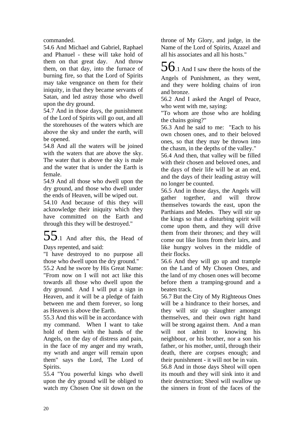commanded.

54.6 And Michael and Gabriel, Raphael and Phanuel - these will take hold of them on that great day. And throw them, on that day, into the furnace of burning fire, so that the Lord of Spirits may take vengeance on them for their iniquity, in that they became servants of Satan, and led astray those who dwell upon the dry ground.

54.7 And in those days, the punishment of the Lord of Spirits will go out, and all the storehouses of the waters which are above the sky and under the earth, will be opened.

54.8 And all the waters will be joined with the waters that are above the sky. The water that is above the sky is male and the water that is under the Earth is female.

54.9 And all those who dwell upon the dry ground, and those who dwell under the ends of Heaven, will be wiped out.

54.10 And because of this they will acknowledge their iniquity which they have committed on the Earth and through this they will be destroyed."

 $55.1$  And after this, the Head of Days repented, and said:

"I have destroyed to no purpose all those who dwell upon the dry ground."

55.2 And he swore by His Great Name: "From now on I will not act like this towards all those who dwell upon the dry ground. And I will put a sign in Heaven, and it will be a pledge of faith between me and them forever, so long as Heaven is above the Earth.

55.3 And this will be in accordance with my command. When I want to take hold of them with the hands of the Angels, on the day of distress and pain, in the face of my anger and my wrath, my wrath and anger will remain upon them" says the Lord, The Lord of Spirits.

55.4 "You powerful kings who dwell upon the dry ground will be obliged to watch my Chosen One sit down on the throne of My Glory, and judge, in the Name of the Lord of Spirits, Azazel and all his associates and all his hosts."

 $56.1$  And I saw there the hosts of the Angels of Punishment, as they went, and they were holding chains of iron and bronze.

56.2 And I asked the Angel of Peace, who went with me, saying:

"To whom are those who are holding the chains going?"

56.3 And he said to me: "Each to his own chosen ones, and to their beloved ones, so that they may be thrown into the chasm, in the depths of the valley."

56.4 And then, that valley will be filled with their chosen and beloved ones, and the days of their life will be at an end, and the days of their leading astray will no longer be counted.

56.5 And in those days, the Angels will gather together, and will throw themselves towards the east, upon the Parthians and Medes. They will stir up the kings so that a disturbing spirit will come upon them, and they will drive them from their thrones; and they will come out like lions from their lairs, and like hungry wolves in the middle of their flocks.

56.6 And they will go up and trample on the Land of My Chosen Ones, and the land of my chosen ones will become before them a tramping-ground and a beaten track.

56.7 But the City of My Righteous Ones will be a hindrance to their horses, and they will stir up slaughter amongst themselves, and their own right hand will be strong against them. And a man will not admit to knowing his neighbour, or his brother, nor a son his father, or his mother, until, through their death, there are corpses enough; and their punishment - it will not be in vain.

56.8 And in those days Sheol will open its mouth and they will sink into it and their destruction; Sheol will swallow up the sinners in front of the faces of the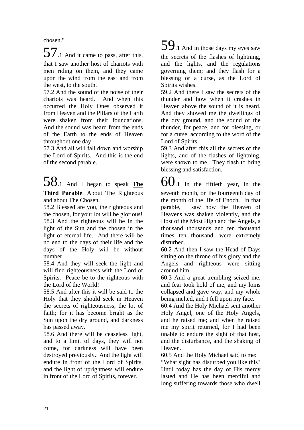chosen."

 $57<sub>.1</sub>$  And it came to pass, after this, that I saw another host of chariots with men riding on them, and they came upon the wind from the east and from the west, to the south.

57.2 And the sound of the noise of their chariots was heard. And when this occurred the Holy Ones observed it from Heaven and the Pillars of the Earth were shaken from their foundations. And the sound was heard from the ends of the Earth to the ends of Heaven throughout one day.

57.3 And all will fall down and worship the Lord of Spirits. And this is the end of the second parable.

### 58.1 And I began to speak **The Third Parable**. About The Righteous and about The Chosen.

58.2 Blessed are you, the righteous and the chosen, for your lot will be glorious! 58.3 And the righteous will be in the light of the Sun and the chosen in the light of eternal life. And there will be no end to the days of their life and the days of the Holy will be without number.

58.4 And they will seek the light and will find righteousness with the Lord of Spirits. Peace be to the righteous with the Lord of the World!

58.5 And after this it will be said to the Holy that they should seek in Heaven the secrets of righteousness, the lot of faith; for it has become bright as the Sun upon the dry ground, and darkness has passed away.

58.6 And there will be ceaseless light, and to a limit of days, they will not come, for darkness will have been destroyed previously. And the light will endure in front of the Lord of Spirits, and the light of uprightness will endure in front of the Lord of Spirits, forever.

## $59$ .1 And in those days my eyes saw

the secrets of the flashes of lightning, and the lights, and the regulations governing them; and they flash for a blessing or a curse, as the Lord of Spirits wishes.

59.2 And there I saw the secrets of the thunder and how when it crashes in Heaven above the sound of it is heard. And they showed me the dwellings of the dry ground, and the sound of the thunder, for peace, and for blessing, or for a curse, according to the word of the Lord of Spirits.

59.3 And after this all the secrets of the lights, and of the flashes of lightning, were shown to me. They flash to bring blessing and satisfaction.

 $60.1$  In the fiftieth year, in the seventh month, on the fourteenth day of the month of the life of Enoch. In that parable, I saw how the Heaven of Heavens was shaken violently, and the Host of the Most High and the Angels, a thousand thousands and ten thousand times ten thousand, were extremely disturbed.

60.2 And then I saw the Head of Days sitting on the throne of his glory and the Angels and righteous were sitting around him.

60.3 And a great trembling seized me, and fear took hold of me, and my loins collapsed and gave way, and my whole being melted, and I fell upon my face.

60.4 And the Holy Michael sent another Holy Angel, one of the Holy Angels, and he raised me; and when he raised me my spirit returned, for I had been unable to endure the sight of that host, and the disturbance, and the shaking of Heaven.

60.5 And the Holy Michael said to me:

"What sight has disturbed you like this? Until today has the day of His mercy lasted and He has been merciful and long suffering towards those who dwell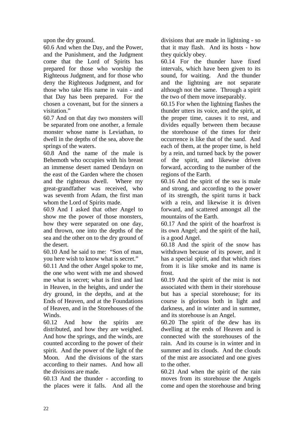upon the dry ground.

60.6 And when the Day, and the Power, and the Punishment, and the Judgment come that the Lord of Spirits has prepared for those who worship the Righteous Judgment, and for those who deny the Righteous Judgment, and for those who take His name in vain - and that Day has been prepared. For the chosen a covenant, but for the sinners a visitation."

60.7 And on that day two monsters will be separated from one another, a female monster whose name is Leviathan, to dwell in the depths of the sea, above the springs of the waters.

60.8 And the name of the male is Behemoth who occupies with his breast an immense desert named Dendayn on the east of the Garden where the chosen and the righteous dwell. Where my great-grandfather was received, who was seventh from Adam, the first man whom the Lord of Spirits made.

60.9 And I asked that other Angel to show me the power of those monsters, how they were separated on one day, and thrown, one into the depths of the sea and the other on to the dry ground of the desert.

60.10 And he said to me: "Son of man, you here wish to know what is secret."

60.11 And the other Angel spoke to me, the one who went with me and showed me what is secret; what is first and last in Heaven, in the heights, and under the dry ground, in the depths, and at the Ends of Heaven, and at the Foundations of Heaven, and in the Storehouses of the Winds.

60.12 And how the spirits are distributed, and how they are weighed. And how the springs, and the winds, are counted according to the power of their spirit. And the power of the light of the Moon. And the divisions of the stars according to their names. And how all the divisions are made.

60.13 And the thunder - according to the places were it falls. And all the divisions that are made in lightning - so that it may flash. And its hosts - how they quickly obey.

60.14 For the thunder have fixed intervals, which have been given to its sound, for waiting. And the thunder and the lightning are not separate although not the same. Through a spirit the two of them move inseparably.

60.15 For when the lightning flashes the thunder utters its voice, and the spirit, at the proper time, causes it to rest, and divides equally between them because the storehouse of the times for their occurrence is like that of the sand. And each of them, at the proper time, is held by a rein, and turned back by the power of the spirit, and likewise driven forward, according to the number of the regions of the Earth.

60.16 And the spirit of the sea is male and strong, and according to the power of its strength, the spirit turns it back with a rein, and likewise it is driven forward, and scattered amongst all the mountains of the Earth.

60.17 And the spirit of the hoarfrost is its own Angel; and the spirit of the hail, is a good Angel.

60.18 And the spirit of the snow has withdrawn because of its power, and it has a special spirit, and that which rises from it is like smoke and its name is frost.

60.19 And the spirit of the mist is not associated with them in their storehouse but has a special storehouse; for its course is glorious both in light and darkness, and in winter and in summer, and its storehouse is an Angel.

60.20 The spirit of the dew has its dwelling at the ends of Heaven and is connected with the storehouses of the rain. And its course is in winter and in summer and its clouds. And the clouds of the mist are associated and one gives to the other.

60.21 And when the spirit of the rain moves from its storehouse the Angels come and open the storehouse and bring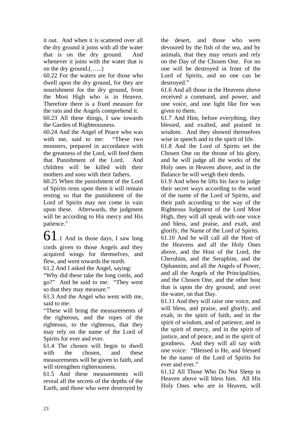it out. And when it is scattered over all the dry ground it joins with all the water that is on the dry ground. And whenever it joins with the water that is on the dry ground.(.…..)

60.22 For the waters are for those who dwell upon the dry ground, for they are nourishment for the dry ground, from the Most High who is in Heaven. Therefore there is a fixed measure for the rain and the Angels comprehend it.

60.23 All these things, I saw towards the Garden of Righteousness.

60.24 And the Angel of Peace who was with me, said to me: "These two monsters, prepared in accordance with the greatness of the Lord, will feed them that Punishment of the Lord. And children will be killed with their mothers and sons with their fathers.

60.25 When the punishment of the Lord of Spirits rests upon them it will remain resting so that the punishment of the Lord of Spirits may not come in vain upon these. Afterwards, the judgment will be according to His mercy and His patience."

 $61$ .1 And in those days, I saw long cords given to those Angels and they acquired wings for themselves, and flew, and went towards the north.

61.2 And I asked the Angel, saying:

"Why did these take the long cords, and go?" And he said to me: "They went so that they may measure."

61.3 And the Angel who went with me, said to me:

"These will bring the measurements of the righteous, and the ropes of the righteous, to the righteous, that they may rely on the name of the Lord of Spirits for ever and ever.

61.4 The chosen will begin to dwell with the chosen, and these measurements will be given to faith, and will strengthen righteousness.

61.5 And these measurements will reveal all the secrets of the depths of the Earth, and those who were destroyed by the desert, and those who were devoured by the fish of the sea, and by animals, that they may return and rely on the Day of the Chosen One. For no one will be destroyed in front of the Lord of Spirits, and no one can be destroyed."

61.6 And all those in the Heavens above received a command, and power, and one voice, and one light like fire was given to them.

61.7 And Him, before everything, they blessed, and exalted, and praised in wisdom. And they showed themselves wise in speech and in the spirit of life.

61.8 And the Lord of Spirits set the Chosen One on the throne of his glory, and he will judge all the works of the Holy ones in Heaven above, and in the Balance he will weigh their deeds.

61.9 And when he lifts his face to judge their secret ways according to the word of the name of the Lord of Spirits, and their path according to the way of the Righteous Judgment of the Lord Most High, they will all speak with one voice and bless, and praise, and exalt, and glorify, the Name of the Lord of Spirits. 61.10 And he will call all the Host of the Heavens and all the Holy Ones above, and the Host of the Lord, the Cherubim, and the Seraphim, and the Ophannim, and all the Angels of Power, and all the Angels of the Principalities, and the Chosen One, and the other host that is upon the dry ground, and over the water, on that Day.

61.11 And they will raise one voice, and will bless, and praise, and glorify, and exalt, in the spirit of faith, and in the spirit of wisdom, and of patience, and in the spirit of mercy, and in the spirit of justice, and of peace, and in the spirit of goodness. And they will all say with one voice: "Blessed is He, and blessed be the name of the Lord of Spirits for ever and ever."

61.12 All Those Who Do Not Sleep in Heaven above will bless him. All His Holy Ones who are in Heaven, will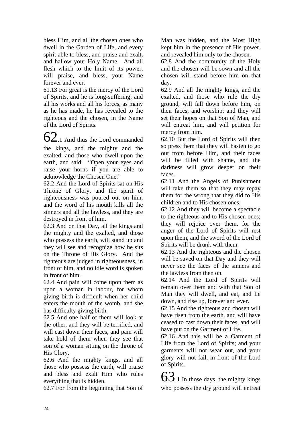bless Him, and all the chosen ones who dwell in the Garden of Life, and every spirit able to bless, and praise and exalt, and hallow your Holy Name. And all flesh which to the limit of its power, will praise, and bless, your Name forever and ever.

61.13 For great is the mercy of the Lord of Spirits, and he is long-suffering; and all his works and all his forces, as many as he has made, he has revealed to the righteous and the chosen, in the Name of the Lord of Spirits.

 $62.1$  And thus the Lord commanded the kings, and the mighty and the exalted, and those who dwell upon the earth, and said: "Open your eyes and raise your horns if you are able to acknowledge the Chosen One."

62.2 And the Lord of Spirits sat on His Throne of Glory, and the spirit of righteousness was poured out on him, and the word of his mouth kills all the sinners and all the lawless, and they are destroyed in front of him.

62.3 And on that Day, all the kings and the mighty and the exalted, and those who possess the earth, will stand up and they will see and recognize how he sits on the Throne of His Glory. And the righteous are judged in righteousness, in front of him, and no idle word is spoken in front of him.

62.4 And pain will come upon them as upon a woman in labour, for whom giving birth is difficult when her child enters the mouth of the womb, and she has difficulty giving birth.

62.5 And one half of them will look at the other, and they will be terrified, and will cast down their faces, and pain will take hold of them when they see that son of a woman sitting on the throne of His Glory.

62.6 And the mighty kings, and all those who possess the earth, will praise and bless and exalt Him who rules everything that is hidden.

62.7 For from the beginning that Son of

Man was hidden, and the Most High kept him in the presence of His power, and revealed him only to the chosen.

62.8 And the community of the Holy and the chosen will be sown and all the chosen will stand before him on that day.

62.9 And all the mighty kings, and the exalted, and those who rule the dry ground, will fall down before him, on their faces, and worship; and they will set their hopes on that Son of Man, and will entreat him, and will petition for mercy from him.

62.10 But the Lord of Spirits will then so press them that they will hasten to go out from before Him, and their faces will be filled with shame, and the darkness will grow deeper on their faces.

62.11 And the Angels of Punishment will take them so that they may repay them for the wrong that they did to His children and to His chosen ones.

62.12 And they will become a spectacle to the righteous and to His chosen ones; they will rejoice over them, for the anger of the Lord of Spirits will rest upon them, and the sword of the Lord of Spirits will be drunk with them.

62.13 And the righteous and the chosen will be saved on that Day and they will never see the faces of the sinners and the lawless from then on.

62.14 And the Lord of Spirits will remain over them and with that Son of Man they will dwell, and eat, and lie down, and rise up, forever and ever.

62.15 And the righteous and chosen will have risen from the earth, and will have ceased to cast down their faces, and will have put on the Garment of Life.

62.16 And this will be a Garment of Life from the Lord of Spirits; and your garments will not wear out, and your glory will not fail, in front of the Lord of Spirits.

 $63.1$  In those days, the mighty kings who possess the dry ground will entreat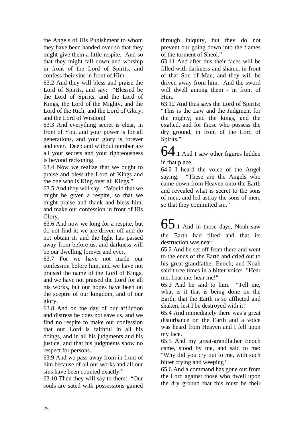the Angels of His Punishment to whom they have been handed over so that they might give them a little respite. And so that they might fall down and worship in front of the Lord of Spirits, and confess their sins in front of Him.

63.2 And they will bless and praise the Lord of Spirits, and say: "Blessed be the Lord of Spirits, and the Lord of Kings, the Lord of the Mighty, and the Lord of the Rich, and the Lord of Glory, and the Lord of Wisdom!

63.3 And everything secret is clear, in front of You, and your power is for all generations, and your glory is forever and ever. Deep and without number are all your secrets and your righteousness is beyond reckoning.

63.4 Now we realize that we ought to praise and bless the Lord of Kings and the one who is King over all Kings."

63.5 And they will say: "Would that we might be given a respite, so that we might praise and thank and bless him, and make our confession in front of His Glory.

63.6 And now we long for a respite, but do not find it; we are driven off and do not obtain it; and the light has passed away from before us, and darkness will be our dwelling forever and ever.

63.7 For we have not made our confession before him, and we have not praised the name of the Lord of Kings, and we have not praised the Lord for all his works, but our hopes have been on the sceptre of our kingdom, and of our glory.

63.8 And on the day of our affliction and distress he does not save us, and we find no respite to make our confession that our Lord is faithful in all his doings, and in all his judgments and his justice, and that his judgments show no respect for persons.

63.9 And we pass away from in front of him because of all our works and all our sins have been counted exactly."

63.10 Then they will say to them: "Our souls are sated with possessions gained

through iniquity, but they do not prevent our going down into the flames of the torment of Sheol."

63.11 And after this their faces will be filled with darkness and shame, in front of that Son of Man, and they will be driven away from him. And the sword will dwell among them - in front of Him.

63.12 And thus says the Lord of Spirits: "This is the Law and the Judgment for the mighty, and the kings, and the exalted, and for those who possess the dry ground, in front of the Lord of Spirits."

 $64.1$  And I saw other figures hidden in that place.

64.2 I heard the voice of the Angel saying: "These are the Angels who came down from Heaven onto the Earth and revealed what is secret to the sons of men, and led astray the sons of men, so that they committed sin."

 $65.1$  And in those days, Noah saw the Earth had tilted and that its destruction was near.

65.2 And he set off from there and went to the ends of the Earth and cried out to his great-grandfather Enoch; and Noah said three times in a bitter voice: "Hear me, hear me, hear me!"

65.3 And he said to him: "Tell me, what is it that is being done on the Earth, that the Earth is so afflicted and shaken, lest I be destroyed with it!"

65.4 And immediately there was a great disturbance on the Earth and a voice was heard from Heaven and I fell upon my face.

65.5 And my great-grandfather Enoch came, stood by me, and said to me: "Why did you cry out to me, with such bitter crying and weeping?

65.6 And a command has gone out from the Lord against those who dwell upon the dry ground that this must be their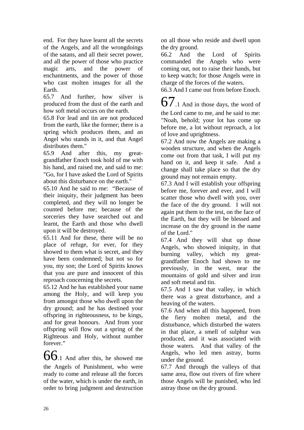end. For they have learnt all the secrets of the Angels, and all the wrongdoings of the satans, and all their secret power, and all the power of those who practice magic arts, and the power of enchantments, and the power of those who cast molten images for all the Earth.

65.7 And further, how silver is produced from the dust of the earth and how soft metal occurs on the earth.

65.8 For lead and tin are not produced from the earth, like the former; there is a spring which produces them, and an Angel who stands in it, and that Angel distributes them."

65.9 And after this, my greatgrandfather Enoch took hold of me with his hand, and raised me, and said to me: "Go, for I have asked the Lord of Spirits about this disturbance on the earth."

65.10 And he said to me: "Because of their iniquity, their judgment has been completed, and they will no longer be counted before me; because of the sorceries they have searched out and learnt, the Earth and those who dwell upon it will be destroyed.

65.11 And for these, there will be no place of refuge, for ever, for they showed to them what is secret, and they have been condemned; but not so for you, my son; the Lord of Spirits knows that you are pure and innocent of this reproach concerning the secrets.

65.12 And he has established your name among the Holy, and will keep you from amongst those who dwell upon the dry ground; and he has destined your offspring in righteousness, to be kings, and for great honours. And from your offspring will flow out a spring of the Righteous and Holy, without number forever."

 $66$ .1 And after this, he showed me the Angels of Punishment, who were ready to come and release all the forces of the water, which is under the earth, in order to bring judgment and destruction on all those who reside and dwell upon the dry ground.

66.2 And the Lord of Spirits commanded the Angels who were coming out, not to raise their hands, but to keep watch; for those Angels were in charge of the forces of the waters.

66.3 And I came out from before Enoch.

 $67.1$  And in those days, the word of the Lord came to me, and he said to me: "Noah, behold; your lot has come up before me, a lot without reproach, a lot of love and uprightness.

67.2 And now the Angels are making a wooden structure, and when the Angels come out from that task, I will put my hand on it, and keep it safe. And a change shall take place so that the dry ground may not remain empty.

67.3 And I will establish your offspring before me, forever and ever, and I will scatter those who dwell with you, over the face of the dry ground. I will not again put them to the test, on the face of the Earth, but they will be blessed and increase on the dry ground in the name of the Lord."

67.4 And they will shut up those Angels, who showed iniquity, in that burning valley, which my greatgrandfather Enoch had shown to me previously, in the west, near the mountains of gold and silver and iron and soft metal and tin.

67.5 And I saw that valley, in which there was a great disturbance, and a heaving of the waters.

67.6 And when all this happened, from the fiery molten metal, and the disturbance, which disturbed the waters in that place, a smell of sulphur was produced, and it was associated with those waters. And that valley of the Angels, who led men astray, burns under the ground.

67.7 And through the valleys of that same area, flow out rivers of fire where those Angels will be punished, who led astray those on the dry ground.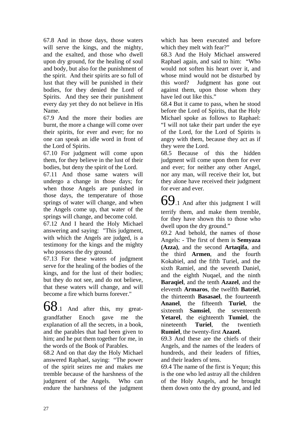67.8 And in those days, those waters will serve the kings, and the mighty, and the exalted, and those who dwell upon dry ground, for the healing of soul and body, but also for the punishment of the spirit. And their spirits are so full of lust that they will be punished in their bodies, for they denied the Lord of Spirits. And they see their punishment every day yet they do not believe in His Name.

67.9 And the more their bodies are burnt, the more a change will come over their spirits, for ever and ever; for no one can speak an idle word in front of the Lord of Spirits.

67.10 For judgment will come upon them, for they believe in the lust of their bodies, but deny the spirit of the Lord.

67.11 And those same waters will undergo a change in those days; for when those Angels are punished in those days, the temperature of those springs of water will change, and when the Angels come up, that water of the springs will change, and become cold.

67.12 And I heard the Holy Michael answering and saying: "This judgment, with which the Angels are judged, is a testimony for the kings and the mighty who possess the dry ground.

67.13 For these waters of judgment serve for the healing of the bodies of the kings, and for the lust of their bodies; but they do not see, and do not believe, that these waters will change, and will become a fire which burns forever."

 $68.1$  And after this, my greatgrandfather Enoch gave me the explanation of all the secrets, in a book, and the parables that had been given to him; and he put them together for me, in the words of the Book of Parables.

68.2 And on that day the Holy Michael answered Raphael, saying: "The power of the spirit seizes me and makes me tremble because of the harshness of the judgment of the Angels. Who can endure the harshness of the judgment which has been executed and before which they melt with fear?"

68.3 And the Holy Michael answered Raphael again, and said to him: "Who would not soften his heart over it, and whose mind would not be disturbed by this word? Judgment has gone out against them, upon those whom they have led out like this."

68.4 But it came to pass, when he stood before the Lord of Spirits, that the Holy Michael spoke as follows to Raphael: "I will not take their part under the eye of the Lord, for the Lord of Spirits is angry with them, because they act as if they were the Lord.

68.5 Because of this the hidden judgment will come upon them for ever and ever; for neither any other Angel, nor any man, will receive their lot, but they alone have received their judgment for ever and ever.

 $69<sub>.1</sub>$  And after this judgment I will terrify them, and make them tremble, for they have shown this to those who dwell upon the dry ground."

69.2 And behold, the names of those Angels: - The first of them is **Semyaza (Azza)**, and the second **Artaqifa**, and the third **Armen**, and the fourth Kokabiel, and the fifth Turiel, and the sixth Ramiel, and the seventh Daniel, and the eighth Nuqael, and the ninth **Baraqiel**, and the tenth **Azazel**, and the eleventh **Armaros**, the twelfth **Batriel**, the thirteenth **Basasael**, the fourteenth **Ananel**, the fifteenth **Turiel**, the sixteenth **Samsiel**, the seventeenth **Yetarel**, the eighteenth **Tumiel**, the nineteenth **Turiel**, the twentieth **Rumiel**, the twenty-first **Azazel.**

69.3 And these are the chiefs of their Angels, and the names of the leaders of hundreds, and their leaders of fifties, and their leaders of tens.

69.4 The name of the first is Yequn; this is the one who led astray all the children of the Holy Angels, and he brought them down onto the dry ground, and led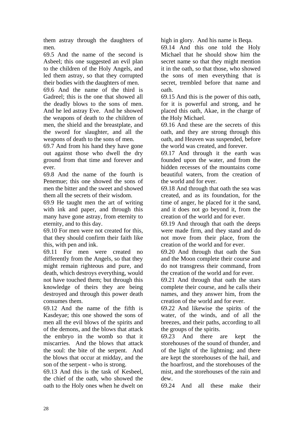them astray through the daughters of men.

69.5 And the name of the second is Asbeel; this one suggested an evil plan to the children of the Holy Angels, and led them astray, so that they corrupted their bodies with the daughters of men.

69.6 And the name of the third is Gadreel; this is the one that showed all the deadly blows to the sons of men. And he led astray Eve. And he showed the weapons of death to the children of men, the shield and the breastplate, and the sword for slaughter, and all the weapons of death to the sons of men.

69.7 And from his hand they have gone out against those who dwell the dry ground from that time and forever and ever.

69.8 And the name of the fourth is Penemue; this one showed the sons of men the bitter and the sweet and showed them all the secrets of their wisdom.

69.9 He taught men the art of writing with ink and paper, and through this many have gone astray, from eternity to eternity, and to this day.

69.10 For men were not created for this, that they should confirm their faith like this, with pen and ink.

69.11 For men were created no differently from the Angels, so that they might remain righteous and pure, and death, which destroys everything, would not have touched them; but through this knowledge of theirs they are being destroyed and through this power death consumes them.

69.12 And the name of the fifth is Kasdeyae; this one showed the sons of men all the evil blows of the spirits and of the demons, and the blows that attack the embryo in the womb so that it miscarries. And the blows that attack the soul: the bite of the serpent. And the blows that occur at midday, and the son of the serpent - who is strong.

69.13 And this is the task of Kesbeel, the chief of the oath, who showed the oath to the Holy ones when he dwelt on high in glory. And his name is Beqa.

69.14 And this one told the Holy Michael that he should show him the secret name so that they might mention it in the oath, so that those, who showed the sons of men everything that is secret, trembled before that name and oath.

69.15 And this is the power of this oath, for it is powerful and strong, and he placed this oath, Akae, in the charge of the Holy Michael.

69.16 And these are the secrets of this oath, and they are strong through this oath, and Heaven was suspended, before the world was created, and forever.

69.17 And through it the earth was founded upon the water, and from the hidden recesses of the mountains come beautiful waters, from the creation of the world and for ever.

69.18 And through that oath the sea was created, and as its foundation, for the time of anger, he placed for it the sand, and it does not go beyond it, from the creation of the world and for ever.

69.19 And through that oath the deeps were made firm, and they stand and do not move from their place, from the creation of the world and for ever.

69.20 And through that oath the Sun and the Moon complete their course and do not transgress their command, from the creation of the world and for ever.

69.21 And through that oath the stars complete their course, and he calls their names, and they answer him, from the creation of the world and for ever.

69.22 And likewise the spirits of the water, of the winds, and of all the breezes, and their paths, according to all the groups of the spirits.

69.23 And there are kept the storehouses of the sound of thunder, and of the light of the lightning; and there are kept the storehouses of the hail, and the hoarfrost, and the storehouses of the mist, and the storehouses of the rain and dew.

69.24 And all these make their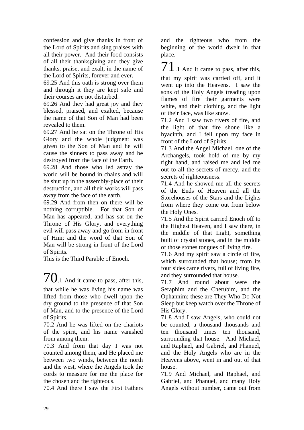confession and give thanks in front of the Lord of Spirits and sing praises with all their power. And their food consists of all their thanksgiving and they give thanks, praise, and exalt, in the name of the Lord of Spirits, forever and ever.

69.25 And this oath is strong over them and through it they are kept safe and their courses are not disturbed.

69.26 And they had great joy and they blessed, praised, and exalted, because the name of that Son of Man had been revealed to them.

69.27 And he sat on the Throne of His Glory and the whole judgment was given to the Son of Man and he will cause the sinners to pass away and be destroyed from the face of the Earth.

69.28 And those who led astray the world will be bound in chains and will be shut up in the assembly-place of their destruction, and all their works will pass away from the face of the earth.

69.29 And from then on there will be nothing corruptible. For that Son of Man has appeared, and has sat on the Throne of His Glory, and everything evil will pass away and go from in front of Him; and the word of that Son of Man will be strong in front of the Lord of Spirits.

This is the Third Parable of Enoch.

 $70.1$  And it came to pass, after this, that while he was living his name was lifted from those who dwell upon the dry ground to the presence of that Son of Man, and to the presence of the Lord of Spirits.

70.2 And he was lifted on the chariots of the spirit, and his name vanished from among them.

70.3 And from that day I was not counted among them, and He placed me between two winds, between the north and the west, where the Angels took the cords to measure for me the place for the chosen and the righteous.

70.4 And there I saw the First Fathers

and the righteous who from the beginning of the world dwelt in that place.

 $71$ .1 And it came to pass, after this, that my spirit was carried off, and it went up into the Heavens. I saw the sons of the Holy Angels treading upon flames of fire their garments were white, and their clothing, and the light of their face, was like snow.

71.2 And I saw two rivers of fire, and the light of that fire shone like a hyacinth, and I fell upon my face in front of the Lord of Spirits.

71.3 And the Angel Michael, one of the Archangels, took hold of me by my right hand, and raised me and led me out to all the secrets of mercy, and the secrets of righteousness.

71.4 And he showed me all the secrets of the Ends of Heaven and all the Storehouses of the Stars and the Lights from where they come out from below the Holy Ones.

71.5 And the Spirit carried Enoch off to the Highest Heaven, and I saw there, in the middle of that Light, something built of crystal stones, and in the middle of those stones tongues of living fire.

71.6 And my spirit saw a circle of fire, which surrounded that house; from its four sides came rivers, full of living fire, and they surrounded that house.

71.7 And round about were the Seraphim and the Cherubim, and the Ophannim; these are They Who Do Not Sleep but keep watch over the Throne of His Glory.

71.8 And I saw Angels, who could not be counted, a thousand thousands and ten thousand times ten thousand, surrounding that house. And Michael, and Raphael, and Gabriel, and Phanuel, and the Holy Angels who are in the Heavens above, went in and out of that house.

71.9 And Michael, and Raphael, and Gabriel, and Phanuel, and many Holy Angels without number, came out from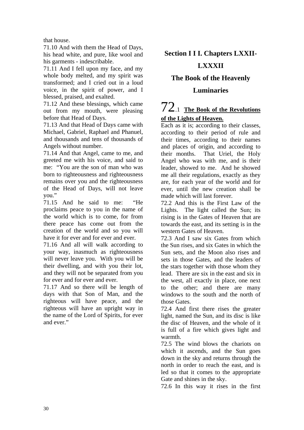that house.

71.10 And with them the Head of Days, his head white, and pure, like wool and his garments - indescribable.

71.11 And I fell upon my face, and my whole body melted, and my spirit was transformed; and I cried out in a loud voice, in the spirit of power, and I blessed, praised, and exalted.

71.12 And these blessings, which came out from my mouth, were pleasing before that Head of Days.

71.13 And that Head of Days came with Michael, Gabriel, Raphael and Phanuel, and thousands and tens of thousands of Angels without number.

71.14 And that Angel, came to me, and greeted me with his voice, and said to me: "You are the son of man who was born to righteousness and righteousness remains over you and the righteousness of the Head of Days, will not leave you."

71.15 And he said to me: "He proclaims peace to you in the name of the world which is to come, for from there peace has come out from the creation of the world and so you will have it for ever and for ever and ever.

71.16 And all will walk according to your way, inasmuch as righteousness will never leave you. With you will be their dwelling, and with you their lot, and they will not be separated from you for ever and for ever and ever.

71.17 And so there will be length of days with that Son of Man, and the righteous will have peace, and the righteous will have an upright way in the name of the Lord of Spirits, for ever and ever."

### **Section I I I. Chapters LXXII-**

### **LXXXII**

#### **The Book of the Heavenly**

#### **Luminaries**

### 72.1 **The Book of the Revolutions of the Lights of Heaven.**

Each as it is; according to their classes, according to their period of rule and their times, according to their names and places of origin, and according to their months. That Uriel, the Holy Angel who was with me, and is their leader, showed to me. And he showed me all their regulations, exactly as they are, for each year of the world and for ever, until the new creation shall be made which will last forever.

72.2 And this is the First Law of the Lights. The light called the Sun; its rising is in the Gates of Heaven that are towards the east, and its setting is in the western Gates of Heaven.

72.3 And I saw six Gates from which the Sun rises, and six Gates in which the Sun sets, and the Moon also rises and sets in those Gates, and the leaders of the stars together with those whom they lead. There are six in the east and six in the west, all exactly in place, one next to the other; and there are many windows to the south and the north of those Gates.

72.4 And first there rises the greater light, named the Sun, and its disc is like the disc of Heaven, and the whole of it is full of a fire which gives light and warmth.

72.5 The wind blows the chariots on which it ascends, and the Sun goes down in the sky and returns through the north in order to reach the east, and is led so that it comes to the appropriate Gate and shines in the sky.

72.6 In this way it rises in the first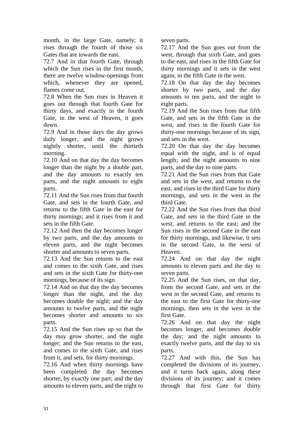month, in the large Gate, namely; it rises through the fourth of those six Gates that are towards the east.

72.7 And in that fourth Gate, through which the Sun rises in the first month, there are twelve window-openings from which, whenever they are opened, flames come out.

72.8 When the Sun rises in Heaven it goes out through that fourth Gate for thirty days, and exactly in the fourth Gate, in the west of Heaven, it goes down.

72.9 And in those days the day grows daily longer, and the night grows nightly shorter, until the thirtieth morning.

72.10 And on that day the day becomes longer than the night by a double part, and the day amounts to exactly ten parts, and the night amounts to eight parts.

72.11 And the Sun rises from that fourth Gate, and sets in the fourth Gate, and returns to the fifth Gate in the east for thirty mornings; and it rises from it and sets in the fifth Gate.

72.12 And then the day becomes longer by two parts, and the day amounts to eleven parts, and the night becomes shorter and amounts to seven parts.

72.13 And the Sun returns to the east and comes to the sixth Gate, and rises and sets in the sixth Gate for thirty-one mornings, because of its sign.

72.14 And on that day the day becomes longer than the night, and the day becomes double the night; and the day amounts to twelve parts, and the night becomes shorter and amounts to six parts.

72.15 And the Sun rises up so that the day may grow shorter, and the night longer; and the Sun returns to the east, and comes to the sixth Gate, and rises from it, and sets, for thirty mornings.

72.16 And when thirty mornings have been completed the day becomes shorter, by exactly one part; and the day amounts to eleven parts, and the night to seven parts.

72.17 And the Sun goes out from the west, through that sixth Gate, and goes to the east, and rises in the fifth Gate for thirty mornings and it sets in the west again, in the fifth Gate in the west.

72.18 On that day the day becomes shorter by two parts, and the day amounts to ten parts, and the night to eight parts.

72.19 And the Sun rises from that fifth Gate, and sets in the fifth Gate in the west, and rises in the fourth Gate for thirty-one mornings because of its sign, and sets in the west.

72.20 On that day the day becomes equal with the night, and is of equal length; and the night amounts to nine parts, and the day to nine parts.

72.21 And the Sun rises from that Gate and sets in the west, and returns to the east, and rises in the third Gate for thirty mornings, and sets in the west in the third Gate.

72.22 And the Sun rises from that third Gate, and sets in the third Gate in the west, and returns to the east; and the Sun rises in the second Gate in the east for thirty mornings, and likewise, it sets in the second Gate, in the west of Heaven.

72.24 And on that day the night amounts to eleven parts and the day to seven parts.

72.25 And the Sun rises, on that day, from the second Gate, and sets in the west in the second Gate, and returns to the east to the first Gate for thirty-one mornings, then sets in the west in the first Gate.

72.26 And on that day the night becomes longer, and becomes double the day; and the night amounts to exactly twelve parts, and the day to six parts.

72.27 And with this, the Sun has completed the divisions of its journey, and it turns back again, along these divisions of its journey; and it comes through that first Gate for thirty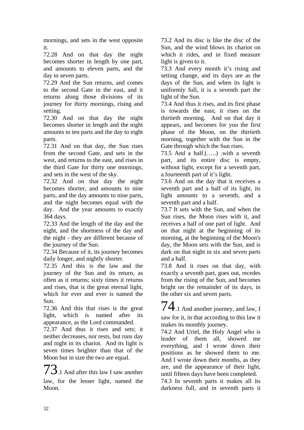mornings, and sets in the west opposite it.

72.28 And on that day the night becomes shorter in length by one part, and amounts to eleven parts, and the day to seven parts.

72.29 And the Sun returns, and comes to the second Gate in the east, and it returns along those divisions of its journey for thirty mornings, rising and setting.

72.30 And on that day the night becomes shorter in length and the night amounts to ten parts and the day to eight parts.

72.31 And on that day, the Sun rises from the second Gate, and sets in the west, and returns to the east, and rises in the third Gate for thirty one mornings, and sets in the west of the sky.

72.32 And on that day the night becomes shorter, and amounts to nine parts, and the day amounts to nine parts, and the night becomes equal with the day. And the year amounts to exactly 364 days.

72.33 And the length of the day and the night, and the shortness of the day and the night - they are different because of the journey of the Sun.

72.34 Because of it, its journey becomes daily longer, and nightly shorter.

72.35 And this is the law and the journey of the Sun and its return, as often as it returns; sixty times it returns and rises, that is the great eternal light, which for ever and ever is named the Sun.

72.36 And this that rises is the great light, which is named after its appearance, as the Lord commanded.

72.37 And thus it rises and sets; it neither decreases, nor rests, but runs day and night in its chariot. And its light is seven times brighter than that of the Moon but in size the two are equal.

 $73<sub>1</sub>$  And after this law I saw another law, for the lesser light, named the Moon.

73.2 And its disc is like the disc of the Sun, and the wind blows its chariot on which it rides, and in fixed measure light is given to it.

73.3 And every month it's rising and setting change, and its days are as the days of the Sun, and when its light is uniformly full, it is a seventh part the light of the Sun.

73.4 And thus it rises, and its first phase is towards the east; it rises on the thirtieth morning. And on that day it appears, and becomes for you the first phase of the Moon, on the thirtieth morning, together with the Sun in the Gate through which the Sun rises.

73.5 And a half.(…..) .with a seventh part, and its entire disc is empty, without light, except for a seventh part, a fourteenth part of it's light.

73.6 And on the day that it receives a seventh part and a half of its light, its light amounts to a seventh, and a seventh part and a half.

73.7 It sets with the Sun, and when the Sun rises, the Moon rises with it, and receives a half of one part of light. And on that night at the beginning of its morning, at the beginning of the Moon's day, the Moon sets with the Sun, and is dark on that night in six and seven parts and a half.

73.8 And it rises on that day, with exactly a seventh part, goes out, recedes from the rising of the Sun, and becomes bright on the remainder of its days, in the other six and seven parts.

 $74$ .1 And another journey, and law, I saw for it, in that according to this law it makes its monthly journey.

74.2 And Uriel, the Holy Angel who is leader of them all, showed me everything, and I wrote down their positions as he showed them to me. And I wrote down their months, as they are, and the appearance of their light, until fifteen days have been completed.

74.3 In seventh parts it makes all its darkness full, and in seventh parts it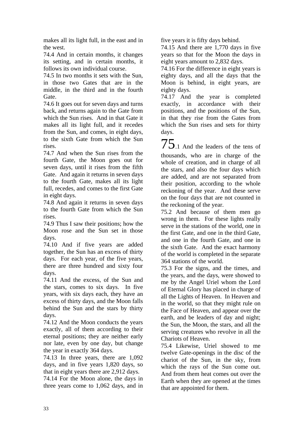makes all its light full, in the east and in the west.

74.4 And in certain months, it changes its setting, and in certain months, it follows its own individual course.

74.5 In two months it sets with the Sun, in those two Gates that are in the middle, in the third and in the fourth Gate.

74.6 It goes out for seven days and turns back, and returns again to the Gate from which the Sun rises. And in that Gate it makes all its light full, and it recedes from the Sun, and comes, in eight days, to the sixth Gate from which the Sun rises.

74.7 And when the Sun rises from the fourth Gate, the Moon goes out for seven days, until it rises from the fifth Gate. And again it returns in seven days to the fourth Gate, makes all its light full, recedes, and comes to the first Gate in eight days.

74.8 And again it returns in seven days to the fourth Gate from which the Sun rises.

74.9 Thus I saw their positions; how the Moon rose and the Sun set in those days.

74.10 And if five years are added together, the Sun has an excess of thirty days. For each year, of the five years, there are three hundred and sixty four days.

74.11 And the excess, of the Sun and the stars, comes to six days. In five years, with six days each, they have an excess of thirty days, and the Moon falls behind the Sun and the stars by thirty days.

74.12 And the Moon conducts the years exactly, all of them according to their eternal positions; they are neither early nor late, even by one day, but change the year in exactly 364 days.

74.13 In three years, there are 1,092 days, and in five years 1,820 days, so that in eight years there are 2,912 days.

74.14 For the Moon alone, the days in three years come to 1,062 days, and in five years it is fifty days behind.

74.15 And there are 1,770 days in five years so that for the Moon the days in eight years amount to 2,832 days.

74.16 For the difference in eight years is eighty days, and all the days that the Moon is behind, in eight years, are eighty days.

74.17 And the year is completed exactly, in accordance with their positions, and the positions of the Sun, in that they rise from the Gates from which the Sun rises and sets for thirty days.

 $75.1$  And the leaders of the tens of thousands, who are in charge of the whole of creation, and in charge of all the stars, and also the four days which are added, and are not separated from their position, according to the whole reckoning of the year. And these serve on the four days that are not counted in the reckoning of the year.

75.2 And because of them men go wrong in them. For these lights really serve in the stations of the world, one in the first Gate, and one in the third Gate, and one in the fourth Gate, and one in the sixth Gate. And the exact harmony of the world is completed in the separate 364 stations of the world.

75.3 For the signs, and the times, and the years, and the days, were showed to me by the Angel Uriel whom the Lord of Eternal Glory has placed in charge of all the Lights of Heaven. In Heaven and in the world, so that they might rule on the Face of Heaven, and appear over the earth, and be leaders of day and night; the Sun, the Moon, the stars, and all the serving creatures who revolve in all the Chariots of Heaven.

75.4 Likewise, Uriel showed to me twelve Gate-openings in the disc of the chariot of the Sun, in the sky, from which the rays of the Sun come out. And from them heat comes out over the Earth when they are opened at the times that are appointed for them.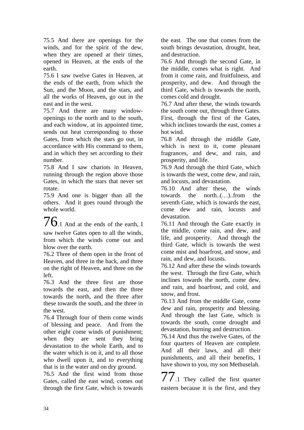75.5 And there are openings for the winds, and for the spirit of the dew, when they are opened at their times, opened in Heaven, at the ends of the earth.

75.6 I saw twelve Gates in Heaven, at the ends of the earth, from which the Sun, and the Moon, and the stars, and all the works of Heaven, go out in the east and in the west.

75.7 And there are many windowopenings to the north and to the south, and each window, at its appointed time, sends out heat corresponding to those Gates, from which the stars go out, in accordance with His command to them, and in which they set according to their number.

75.8 And I saw chariots in Heaven, running through the region above those Gates, in which the stars that never set rotate.

75.9 And one is bigger than all the others. And it goes round through the whole world.

 $76$ .1 And at the ends of the earth, I saw twelve Gates open to all the winds, from which the winds come out and blow over the earth.

76.2 Three of them open in the front of Heaven, and three in the back, and three on the right of Heaven, and three on the left.

76.3 And the three first are those towards the east, and then the three towards the north, and the three after these towards the south, and the three in the west.

76.4 Through four of them come winds of blessing and peace. And from the other eight come winds of punishment; when they are sent they bring devastation to the whole Earth, and to the water which is on it, and to all those who dwell upon it, and to everything that is in the water and on dry ground.

76.5 And the first wind from those Gates, called the east wind, comes out through the first Gate, which is towards the east. The one that comes from the south brings devastation, drought, heat, and destruction.

76.6 And through the second Gate, in the middle, comes what is right. And from it come rain, and fruitfulness, and prosperity, and dew. And through the third Gate, which is towards the north, comes cold and drought.

76.7 And after these, the winds towards the south come out, through three Gates. First, through the first of the Gates, which inclines towards the east, comes a hot wind.

76.8 And through the middle Gate, which is next to it, come pleasant fragrances, and dew, and rain, and prosperity, and life.

76.9 And through the third Gate, which is towards the west, come dew, and rain, and locusts, and devastation.

76.10 And after these, the winds towards the north..(…)..from the seventh Gate, which is towards the east, come dew and rain, locusts and devastation.

76.11 And through the Gate exactly in the middle, come rain, and dew, and life, and prosperity. And through the third Gate, which is towards the west come mist and hoarfrost, and snow, and rain, and dew, and locusts.

76.12 And after these the winds towards the west. Through the first Gate, which inclines towards the north, come dew, and rain, and hoarfrost, and cold, and snow, and frost.

76.13 And from the middle Gate, come dew and rain, prosperity and blessing. And through the last Gate, which is towards the south, come drought and devastation, burning and destruction.

76.14 And thus the twelve Gates, of the four quarters of Heaven are complete. And all their laws, and all their punishments, and all their benefits, I have shown to you, my son Methuselah.

1 1.1 They called the first quarter eastern because it is the first, and they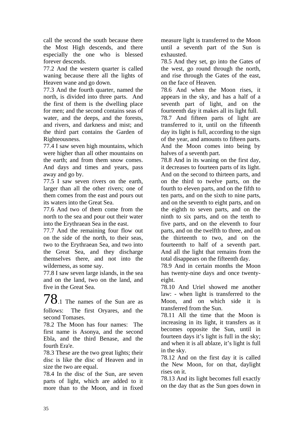call the second the south because there the Most High descends, and there especially the one who is blessed forever descends.

77.2 And the western quarter is called waning because there all the lights of Heaven wane and go down.

77.3 And the fourth quarter, named the north, is divided into three parts. And the first of them is the dwelling place for men; and the second contains seas of water, and the deeps, and the forests, and rivers, and darkness and mist; and the third part contains the Garden of Righteousness.

77.4 I saw seven high mountains, which were higher than all other mountains on the earth; and from them snow comes. And days and times and years, pass away and go by.

77.5 I saw seven rivers on the earth, larger than all the other rivers; one of them comes from the east and pours out its waters into the Great Sea.

77.6 And two of them come from the north to the sea and pour out their water into the Erythraean Sea in the east.

77.7 And the remaining four flow out on the side of the north, to their seas, two to the Erythraean Sea, and two into the Great Sea, and they discharge themselves there, and not into the wilderness, as some say.

77.8 I saw seven large islands, in the sea and on the land, two on the land, and five in the Great Sea.

 $78<sub>1</sub>$  The names of the Sun are as follows: The first Oryares, and the second Tomases.

78.2 The Moon has four names: The first name is Asonya, and the second Ebla, and the third Benase, and the fourth Era'e.

78.3 These are the two great lights; their disc is like the disc of Heaven and in size the two are equal.

78.4 In the disc of the Sun, are seven parts of light, which are added to it more than to the Moon, and in fixed measure light is transferred to the Moon until a seventh part of the Sun is exhausted.

78.5 And they set, go into the Gates of the west, go round through the north, and rise through the Gates of the east, on the face of Heaven.

78.6 And when the Moon rises, it appears in the sky, and has a half of a seventh part of light, and on the fourteenth day it makes all its light full.

78.7 And fifteen parts of light are transferred to it, until on the fifteenth day its light is full, according to the sign of the year, and amounts to fifteen parts. And the Moon comes into being by halves of a seventh part.

78.8 And in its waning on the first day, it decreases to fourteen parts of its light. And on the second to thirteen parts, and on the third to twelve parts, on the fourth to eleven parts, and on the fifth to ten parts, and on the sixth to nine parts, and on the seventh to eight parts, and on the eighth to seven parts, and on the ninth to six parts, and on the tenth to five parts, and on the eleventh to four parts, and on the twelfth to three, and on the thirteenth to two, and on the fourteenth to half of a seventh part. And all the light that remains from the total disappears on the fifteenth day.

78.9 And in certain months the Moon has twenty-nine days and once twentyeight.

78.10 And Uriel showed me another law: - when light is transferred to the Moon, and on which side it is transferred from the Sun.

78.11 All the time that the Moon is increasing in its light, it transfers as it becomes opposite the Sun, until in fourteen days it's light is full in the sky; and when it is all ablaze, it's light is full in the sky.

78.12 And on the first day it is called the New Moon, for on that, daylight rises on it.

78.13 And its light becomes full exactly on the day that as the Sun goes down in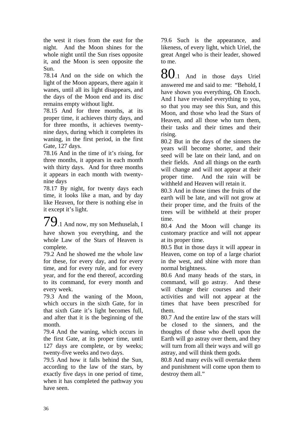the west it rises from the east for the night. And the Moon shines for the whole night until the Sun rises opposite it, and the Moon is seen opposite the Sun.

78.14 And on the side on which the light of the Moon appears, there again it wanes, until all its light disappears, and the days of the Moon end and its disc remains empty without light.

78.15 And for three months, at its proper time, it achieves thirty days, and for three months, it achieves twentynine days, during which it completes its waning, in the first period, in the first Gate, 127 days.

78.16 And in the time of it's rising, for three months, it appears in each month with thirty days. And for three months it appears in each month with twentynine days

78.17 By night, for twenty days each time, it looks like a man, and by day like Heaven, for there is nothing else in it except it's light.

 $79$ .1 And now, my son Methuselah, I have shown you everything, and the whole Law of the Stars of Heaven is complete.

79.2 And he showed me the whole law for these, for every day, and for every time, and for every rule, and for every year, and for the end thereof, according to its command, for every month and every week.

79.3 And the waning of the Moon, which occurs in the sixth Gate, for in that sixth Gate it's light becomes full, and after that it is the beginning of the month.

79.4 And the waning, which occurs in the first Gate, at its proper time, until 127 days are complete, or by weeks; twenty-five weeks and two days.

79.5 And how it falls behind the Sun, according to the law of the stars, by exactly five days in one period of time, when it has completed the pathway you have seen.

79.6 Such is the appearance, and likeness, of every light, which Uriel, the great Angel who is their leader, showed to me.

80.1 And in those days Uriel answered me and said to me: "Behold, I have shown you everything, Oh Enoch. And I have revealed everything to you, so that you may see this Sun, and this Moon, and those who lead the Stars of Heaven, and all those who turn them, their tasks and their times and their rising.

80.2 But in the days of the sinners the years will become shorter, and their seed will be late on their land, and on their fields. And all things on the earth will change and will not appear at their proper time. And the rain will be withheld and Heaven will retain it.

80.3 And in those times the fruits of the earth will be late, and will not grow at their proper time, and the fruits of the trees will be withheld at their proper time.

80.4 And the Moon will change its customary practice and will not appear at its proper time.

80.5 But in those days it will appear in Heaven, come on top of a large chariot in the west, and shine with more than normal brightness.

80.6 And many heads of the stars, in command, will go astray. And these will change their courses and their activities and will not appear at the times that have been prescribed for them.

80.7 And the entire law of the stars will be closed to the sinners, and the thoughts of those who dwell upon the Earth will go astray over them, and they will turn from all their ways and will go astray, and will think them gods.

80.8 And many evils will overtake them and punishment will come upon them to destroy them all."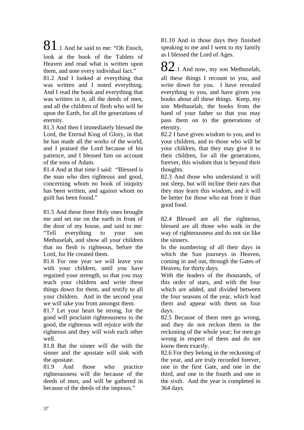$81<sub>.1</sub>$  And he said to me: "Oh Enoch, look at the book of the Tablets of

Heaven and read what is written upon them, and note every individual fact."

81.2 And I looked at everything that was written and I noted everything. And I read the book and everything that was written in it, all the deeds of men. and all the children of flesh who will be upon the Earth, for all the generations of eternity.

81.3 And then I immediately blessed the Lord, the Eternal King of Glory, in that he has made all the works of the world, and I praised the Lord because of his patience, and I blessed him on account of the sons of Adam.

81.4 And at that time I said: "Blessed is the man who dies righteous and good, concerning whom no book of iniquity has been written, and against whom no guilt has been found."

81.5 And these three Holy ones brought me and set me on the earth in front of the door of my house, and said to me: "Tell everything to your son Methuselah, and show all your children that no flesh is righteous, before the Lord, for He created them.

81.6 For one year we will leave you with your children, until you have regained your strength, so that you may teach your children and write these things down for them, and testify to all your children. And in the second year we will take you from amongst them.

81.7 Let your heart be strong, for the good will proclaim righteousness to the good, the righteous will rejoice with the righteous and they will wish each other well.

81.8 But the sinner will die with the sinner and the apostate will sink with the apostate.

81.9 And those who practice righteousness will die because of the deeds of men, and will be gathered in because of the deeds of the impious."

81.10 And in those days they finished speaking to me and I went to my family as I blessed the Lord of Ages.

 $82.1$  And now, my son Methuselah, all these things I recount to you, and write down for you. I have revealed everything to you, and have given you books about all these things. Keep, my son Methuselah, the books from the hand of your father so that you may pass them on to the generations of eternity.

82.2 I have given wisdom to you, and to your children, and to those who will be your children, that they may give it to their children, for all the generations, forever, this wisdom that is beyond their thoughts.

82.3 And those who understand it will not sleep, but will incline their ears that they may learn this wisdom, and it will be better for those who eat from it than good food.

82.4 Blessed are all the righteous, blessed are all those who walk in the way of righteousness and do not sin like the sinners.

In the numbering of all their days in which the Sun journeys in Heaven, coming in and out, through the Gates of Heaven, for thirty days.

With the leaders of the thousands, of this order of stars, and with the four which are added, and divided between the four seasons of the year, which lead them and appear with them on four days.

82.5 Because of them men go wrong, and they do not reckon them in the reckoning of the whole year; for men go wrong in respect of them and do not know them exactly.

82.6 For they belong in the reckoning of the year, and are truly recorded forever, one in the first Gate, and one in the third, and one in the fourth and one in the sixth. And the year is completed in 364 days.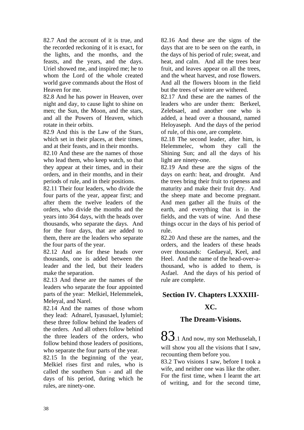82.7 And the account of it is true, and the recorded reckoning of it is exact, for the lights, and the months, and the feasts, and the years, and the days. Uriel showed me, and inspired me; he to whom the Lord of the whole created world gave commands about the Host of Heaven for me.

82.8 And he has power in Heaven, over night and day, to cause light to shine on men; the Sun, the Moon, and the stars, and all the Powers of Heaven, which rotate in their orbits.

82.9 And this is the Law of the Stars, which set in their places, at their times, and at their feasts, and in their months.

82.10 And these are the names of those who lead them, who keep watch, so that they appear at their times, and in their orders, and in their months, and in their periods of rule, and in their positions.

82.11 Their four leaders, who divide the four parts of the year, appear first; and after them the twelve leaders of the orders, who divide the months and the years into 364 days, with the heads over thousands, who separate the days. And for the four days, that are added to them, there are the leaders who separate the four parts of the year.

82.12 And as for these heads over thousands, one is added between the leader and the led, but their leaders make the separation.

82.13 And these are the names of the leaders who separate the four appointed parts of the year: Melkiel, Helemmelek, Meleyal, and Narel.

82.14 And the names of those whom they lead: Adnarel, Iyasusael, Iylumiel; these three follow behind the leaders of the orders. And all others follow behind the three leaders of the orders, who follow behind those leaders of positions, who separate the four parts of the year.

82.15 In the beginning of the year, Melkiel rises first and rules, who is called the southern Sun - and all the days of his period, during which he rules, are ninety-one.

82.16 And these are the signs of the days that are to be seen on the earth, in the days of his period of rule; sweat, and heat, and calm. And all the trees bear fruit, and leaves appear on all the trees, and the wheat harvest, and rose flowers. And all the flowers bloom in the field but the trees of winter are withered.

82.17 And these are the names of the leaders who are under them: Berkeel, Zelebsael, and another one who is added, a head over a thousand, named Heloyaseph. And the days of the period of rule, of this one, are complete.

82.18 The second leader, after him, is Helemmelec, whom they call the Shining Sun; and all the days of his light are ninety-one.

82.19 And these are the signs of the days on earth: heat, and drought. And the trees bring their fruit to ripeness and maturity and make their fruit dry. And the sheep mate and become pregnant. And men gather all the fruits of the earth, and everything that is in the fields, and the vats of wine. And these things occur in the days of his period of rule.

82.20 And these are the names, and the orders, and the leaders of these heads over thousands: Gedaeyal, Keel, and Heel. And the name of the head-over-athousand, who is added to them, is Asfael. And the days of his period of rule are complete.

# **Section IV. Chapters LXXXIII-**

# **XC.**

#### **The Dream-Visions.**

83.1 And now, my son Methuselah, I will show you all the visions that I saw, recounting them before you.

83.2 Two visions I saw, before I took a wife, and neither one was like the other. For the first time, when I learnt the art of writing, and for the second time,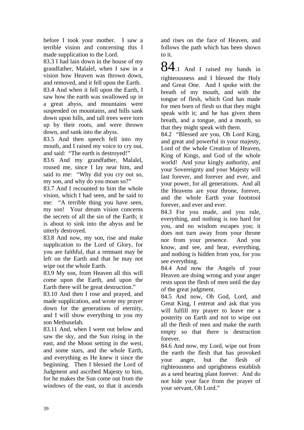before I took your mother. I saw a terrible vision and concerning this I made supplication to the Lord.

83.3 I had lain down in the house of my grandfather, Malalel, when I saw in a vision how Heaven was thrown down, and removed, and it fell upon the Earth.

83.4 And when it fell upon the Earth, I saw how the earth was swallowed up in a great abyss, and mountains were suspended on mountains, and hills sank down upon hills, and tall trees were torn up by their roots, and were thrown down, and sank into the abyss.

83.5 And then speech fell into my mouth, and I raised my voice to cry out, and said: "The earth is destroyed!"

83.6 And my grandfather, Malalel, roused me, since I lay near him, and said to me: "Why did you cry out so, my son, and why do you moan so?"

83.7 And I recounted to him the whole vision, which I had seen, and he said to me: "A terrible thing you have seen, my son! Your dream vision concerns the secrets of all the sin of the Earth; it is about to sink into the abyss and be utterly destroyed.

83.8 And now, my son, rise and make supplication to the Lord of Glory, for you are faithful, that a remnant may be left on the Earth and that he may not wipe out the whole Earth.

83.9 My son, from Heaven all this will come upon the Earth, and upon the Earth there will be great destruction."

83.10 And then I rose and prayed, and made supplication, and wrote my prayer down for the generations of eternity, and I will show everything to you my son Methuselah.

83.11 And, when I went out below and saw the sky, and the Sun rising in the east, and the Moon setting in the west, and some stars, and the whole Earth, and everything as He knew it since the beginning. Then I blessed the Lord of Judgment and ascribed Majesty to him, for he makes the Sun come out from the windows of the east, so that it ascends

and rises on the face of Heaven, and follows the path which has been shown to it.

84.1 And I raised my hands in righteousness and I blessed the Holy and Great One. And I spoke with the breath of my mouth, and with the tongue of flesh, which God has made for men born of flesh so that they might speak with it; and he has given them breath, and a tongue, and a mouth, so that they might speak with them.

84.2 "Blessed are you, Oh Lord King, and great and powerful in your majesty, Lord of the whole Creation of Heaven, King of Kings, and God of the whole world! And your kingly authority, and your Sovereignty and your Majesty will last forever, and forever and ever, and your power, for all generations. And all the Heavens are your throne, forever, and the whole Earth your footstool forever, and ever and ever.

84.3 For you made, and you rule, everything, and nothing is too hard for you, and no wisdom escapes you; it does not turn away from your throne nor from your presence. And you know, and see, and hear, everything, and nothing is hidden from you, for you see everything.

84.4 And now the Angels of your Heaven are doing wrong and your anger rests upon the flesh of men until the day of the great judgment.

84.5 And now, Oh God, Lord, and Great King, I entreat and ask that you will fulfill my prayer to leave me a posterity on Earth and not to wipe out all the flesh of men and make the earth empty so that there is destruction forever.

84.6 And now, my Lord, wipe out from the earth the flesh that has provoked your anger, but the flesh of righteousness and uprightness establish as a seed bearing plant forever. And do not hide your face from the prayer of your servant, Oh Lord."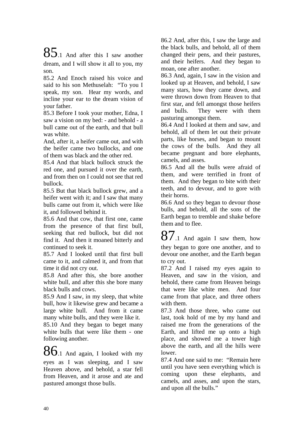85.1 And after this I saw another dream, and I will show it all to you, my son.

85.2 And Enoch raised his voice and said to his son Methuselah: "To you I speak, my son. Hear my words, and incline your ear to the dream vision of your father.

85.3 Before I took your mother, Edna, I saw a vision on my bed: - and behold - a bull came out of the earth, and that bull was white.

And, after it, a heifer came out, and with the heifer came two bullocks, and one of them was black and the other red.

85.4 And that black bullock struck the red one, and pursued it over the earth, and from then on I could not see that red bullock.

85.5 But that black bullock grew, and a heifer went with it; and I saw that many bulls came out from it, which were like it, and followed behind it.

85.6 And that cow, that first one, came from the presence of that first bull, seeking that red bullock, but did not find it. And then it moaned bitterly and continued to seek it.

85.7 And I looked until that first bull came to it, and calmed it, and from that time it did not cry out.

85.8 And after this, she bore another white bull, and after this she bore many black bulls and cows.

85.9 And I saw, in my sleep, that white bull, how it likewise grew and became a large white bull. And from it came many white bulls, and they were like it.

85.10 And they began to beget many white bulls that were like them - one following another.

 $86.1$  And again, I looked with my eyes as I was sleeping, and I saw Heaven above, and behold, a star fell from Heaven, and it arose and ate and pastured amongst those bulls.

86.2 And, after this, I saw the large and the black bulls, and behold, all of them changed their pens, and their pastures, and their heifers. And they began to moan, one after another.

86.3 And, again, I saw in the vision and looked up at Heaven, and behold, I saw many stars, how they came down, and were thrown down from Heaven to that first star, and fell amongst those heifers and bulls. They were with them pasturing amongst them.

86.4 And I looked at them and saw, and behold, all of them let out their private parts, like horses, and began to mount the cows of the bulls. And they all became pregnant and bore elephants, camels, and asses.

86.5 And all the bulls were afraid of them, and were terrified in front of them. And they began to bite with their teeth, and to devour, and to gore with their horns.

86.6 And so they began to devour those bulls, and behold, all the sons of the Earth began to tremble and shake before them and to flee.

87.1 And again I saw them, how they began to gore one another, and to devour one another, and the Earth began to cry out.

87.2 And I raised my eyes again to Heaven, and saw in the vision, and behold, there came from Heaven beings that were like white men. And four came from that place, and three others with them.

87.3 And those three, who came out last, took hold of me by my hand and raised me from the generations of the Earth, and lifted me up onto a high place, and showed me a tower high above the earth, and all the hills were lower.

87.4 And one said to me: "Remain here until you have seen everything which is coming upon these elephants, and camels, and asses, and upon the stars, and upon all the bulls."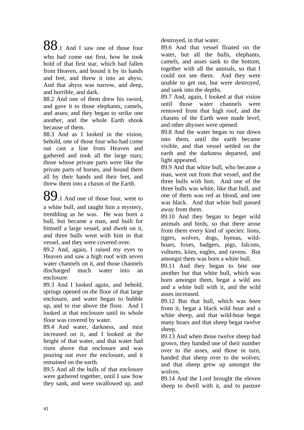88.1 And I saw one of those four who had come out first, how he took hold of that first star, which had fallen from Heaven, and bound it by its hands and feet, and threw it into an abyss. And that abyss was narrow, and deep, and horrible, and dark.

88.2 And one of them drew his sword, and gave it to those elephants, camels, and asses; and they began to strike one another, and the whole Earth shook because of them.

88.3 And as I looked in the vision, behold, one of those four who had come out cast a line from Heaven and gathered and took all the large stars; those whose private parts were like the private parts of horses, and bound them all by their hands and their feet, and threw them into a chasm of the Earth.

89.1 And one of those four, went to a white bull, and taught him a mystery, trembling as he was. He was born a bull, but became a man, and built for himself a large vessel, and dwelt on it, and three bulls went with him in that vessel, and they were covered over.

89.2 And, again, I raised my eyes to Heaven and saw a high roof with seven water channels on it, and those channels discharged much water into an enclosure.

89.3 And I looked again, and behold, springs opened on the floor of that large enclosure, and water began to bubble up, and to rise above the floor. And I looked at that enclosure until its whole floor was covered by water.

89.4 And water, darkness, and mist increased on it, and I looked at the height of that water, and that water had risen above that enclosure and was pouring out over the enclosure, and it remained on the earth.

89.5 And all the bulls of that enclosure were gathered together, until I saw how they sank, and were swallowed up, and destroyed, in that water.

89.6 And that vessel floated on the water, but all the bulls, elephants, camels, and asses sank to the bottom, together with all the animals, so that I could not see them. And they were unable to get out, but were destroyed, and sank into the depths.

89.7 And, again, I looked at that vision until those water channels were removed from that high roof, and the chasms of the Earth were made level, and other abysses were opened.

89.8 And the water began to run down into them, until the earth became visible, and that vessel settled on the earth and the darkness departed, and light appeared.

89.9 And that white bull, who became a man, went out from that vessel, and the three bulls with him. And one of the three bulls was white, like that bull, and one of them was red as blood, and one was black. And that white bull passed away from them.

89.10 And they began to beget wild animals and birds, so that there arose from them every kind of species: lions, tigers, wolves, dogs, hyenas, wildboars, foxes, badgers, pigs, falcons, vultures, kites, eagles, and ravens. But amongst them was born a white bull.

89.11 And they began to bite one another but that white bull, which was born amongst them, begat a wild ass and a white bull with it, and the wild asses increased.

89.12 But that bull, which was born from it, begat a black wild boar and a white sheep, and that wild-boar begat many boars and that sheep begat twelve sheep.

89.13 And when those twelve sheep had grown, they handed one of their number over to the asses, and those in turn, handed that sheep over to the wolves; and that sheep grew up amongst the wolves.

89.14 And the Lord brought the eleven sheep to dwell with it, and to pasture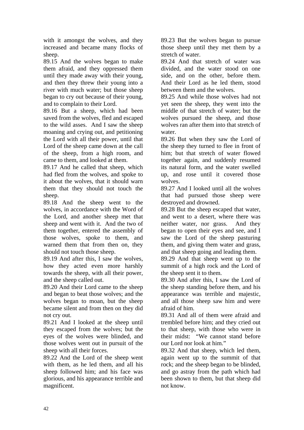with it amongst the wolves, and they increased and became many flocks of sheep.

89.15 And the wolves began to make them afraid, and they oppressed them until they made away with their young, and then they threw their young into a river with much water; but those sheep began to cry out because of their young, and to complain to their Lord.

89.16 But a sheep, which had been saved from the wolves, fled and escaped to the wild asses. And I saw the sheep moaning and crying out, and petitioning the Lord with all their power, until that Lord of the sheep came down at the call of the sheep, from a high room, and came to them, and looked at them.

89.17 And he called that sheep, which had fled from the wolves, and spoke to it about the wolves, that it should warn them that they should not touch the sheep.

89.18 And the sheep went to the wolves, in accordance with the Word of the Lord, and another sheep met that sheep and went with it. And the two of them together, entered the assembly of those wolves, spoke to them, and warned them that from then on, they should not touch those sheep.

89.19 And after this, I saw the wolves, how they acted even more harshly towards the sheep, with all their power, and the sheep called out.

89.20 And their Lord came to the sheep and began to beat those wolves; and the wolves began to moan, but the sheep became silent and from then on they did not cry out.

89.21 And I looked at the sheep until they escaped from the wolves; but the eyes of the wolves were blinded, and those wolves went out in pursuit of the sheep with all their forces.

89.22 And the Lord of the sheep went with them, as he led them, and all his sheep followed him; and his face was glorious, and his appearance terrible and magnificent.

89.23 But the wolves began to pursue those sheep until they met them by a stretch of water.

89.24 And that stretch of water was divided, and the water stood on one side, and on the other, before them. And their Lord as he led them, stood between them and the wolves.

89.25 And while those wolves had not yet seen the sheep, they went into the middle of that stretch of water; but the wolves pursued the sheep, and those wolves ran after them into that stretch of water.

89.26 But when they saw the Lord of the sheep they turned to flee in front of him; but that stretch of water flowed together again, and suddenly resumed its natural form, and the water swelled up, and rose until it covered those wolves.

89.27 And I looked until all the wolves that had pursued those sheep were destroyed and drowned.

89.28 But the sheep escaped that water, and went to a desert, where there was neither water, nor grass. And they began to open their eyes and see, and I saw the Lord of the sheep pasturing them, and giving them water and grass, and that sheep going and leading them.

89.29 And that sheep went up to the summit of a high rock and the Lord of the sheep sent it to them.

89.30 And after this, I saw the Lord of the sheep standing before them, and his appearance was terrible and majestic, and all those sheep saw him and were afraid of him.

89.31 And all of them were afraid and trembled before him; and they cried out to that sheep, with those who were in their midst: "We cannot stand before our Lord nor look at him."

89.32 And that sheep, which led them, again went up to the summit of that rock; and the sheep began to be blinded, and go astray from the path which had been shown to them, but that sheep did not know.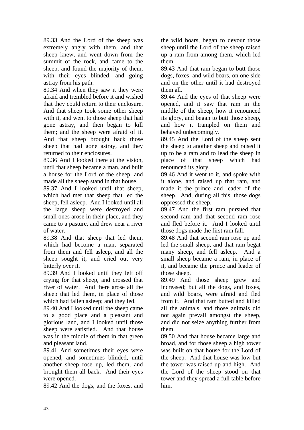89.33 And the Lord of the sheep was extremely angry with them, and that sheep knew, and went down from the summit of the rock, and came to the sheep, and found the majority of them, with their eyes blinded, and going astray from his path.

89.34 And when they saw it they were afraid and trembled before it and wished that they could return to their enclosure. And that sheep took some other sheep with it, and went to those sheep that had gone astray, and then began to kill them; and the sheep were afraid of it. And that sheep brought back those sheep that had gone astray, and they returned to their enclosures.

89.36 And I looked there at the vision, until that sheep became a man, and built a house for the Lord of the sheep, and made all the sheep stand in that house.

89.37 And I looked until that sheep. which had met that sheep that led the sheep, fell asleep. And I looked until all the large sheep were destroyed and small ones arose in their place, and they came to a pasture, and drew near a river of water.

89.38 And that sheep that led them, which had become a man, separated from them and fell asleep, and all the sheep sought it, and cried out very bitterly over it.

89.39 And I looked until they left off crying for that sheep, and crossed that river of water. And there arose all the sheep that led them, in place of those which had fallen asleep; and they led.

89.40 And I looked until the sheep came to a good place and a pleasant and glorious land, and I looked until those sheep were satisfied. And that house was in the middle of them in that green and pleasant land.

89.41 And sometimes their eyes were opened, and sometimes blinded, until another sheep rose up, led them, and brought them all back. And their eyes were opened.

89.42 And the dogs, and the foxes, and

the wild boars, began to devour those sheep until the Lord of the sheep raised up a ram from among them, which led them.

89.43 And that ram began to butt those dogs, foxes, and wild boars, on one side and on the other until it had destroyed them all.

89.44 And the eyes of that sheep were opened, and it saw that ram in the middle of the sheep, how it renounced its glory, and began to butt those sheep, and how it trampled on them and behaved unbecomingly.

89.45 And the Lord of the sheep sent the sheep to another sheep and raised it up to be a ram and to lead the sheep in place of that sheep which had renounced its glory.

89.46 And it went to it, and spoke with it alone, and raised up that ram, and made it the prince and leader of the sheep. And, during all this, those dogs oppressed the sheep.

89.47 And the first ram pursued that second ram and that second ram rose and fled before it. And I looked until those dogs made the first ram fall.

89.48 And that second ram rose up and led the small sheep, and that ram begat many sheep, and fell asleep. And a small sheep became a ram, in place of it, and became the prince and leader of those sheep.

89.49 And those sheep grew and increased; but all the dogs, and foxes, and wild boars, were afraid and fled from it. And that ram butted and killed all the animals, and those animals did not again prevail amongst the sheep, and did not seize anything further from them.

89.50 And that house became large and broad, and for those sheep a high tower was built on that house for the Lord of the sheep. And that house was low but the tower was raised up and high. And the Lord of the sheep stood on that tower and they spread a full table before him.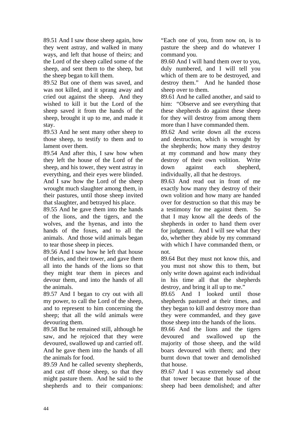89.51 And I saw those sheep again, how they went astray, and walked in many ways, and left that house of theirs; and the Lord of the sheep called some of the sheep, and sent them to the sheep, but the sheep began to kill them.

89.52 But one of them was saved, and was not killed, and it sprang away and cried out against the sheep. And they wished to kill it but the Lord of the sheep saved it from the hands of the sheep, brought it up to me, and made it stay.

89.53 And he sent many other sheep to those sheep, to testify to them and to lament over them.

89.54 And after this, I saw how when they left the house of the Lord of the sheep, and his tower, they went astray in everything, and their eyes were blinded. And I saw how the Lord of the sheep wrought much slaughter among them, in their pastures, until those sheep invited that slaughter, and betrayed his place.

89.55 And he gave them into the hands of the lions, and the tigers, and the wolves, and the hyenas, and into the hands of the foxes, and to all the animals. And those wild animals began to tear those sheep in pieces.

89.56 And I saw how he left that house of theirs, and their tower, and gave them all into the hands of the lions so that they might tear them in pieces and devour them, and into the hands of all the animals.

89.57 And I began to cry out with all my power, to call the Lord of the sheep, and to represent to him concerning the sheep; that all the wild animals were devouring them.

89.58 But he remained still, although he saw, and he rejoiced that they were devoured, swallowed up and carried off. And he gave them into the hands of all the animals for food.

89.59 And he called seventy shepherds, and cast off those sheep, so that they might pasture them. And he said to the shepherds and to their companions: "Each one of you, from now on, is to pasture the sheep and do whatever I command you.

89.60 And I will hand them over to you, duly numbered, and I will tell you which of them are to be destroyed, and destroy them." And he handed those sheep over to them.

89.61 And he called another, and said to him: "Observe and see everything that these shepherds do against these sheep for they will destroy from among them more than I have commanded them.

89.62 And write down all the excess and destruction, which is wrought by the shepherds; how many they destroy at my command and how many they destroy of their own volition. Write down against each shepherd, individually, all that he destroys.

89.63 And read out in front of me exactly how many they destroy of their own volition and how many are handed over for destruction so that this may be a testimony for me against them. So that I may know all the deeds of the shepherds in order to hand them over for judgment. And I will see what they do, whether they abide by my command with which I have commanded them, or not.

89.64 But they must not know this, and you must not show this to them, but only write down against each individual in his time all that the shepherds destroy, and bring it all up to me."

89.65 And I looked until those shepherds pastured at their times, and they began to kill and destroy more than they were commanded, and they gave those sheep into the hands of the lions.

89.66 And the lions and the tigers devoured and swallowed up the majority of those sheep, and the wild boars devoured with them; and they burnt down that tower and demolished that house.

89.67 And I was extremely sad about that tower because that house of the sheep had been demolished; and after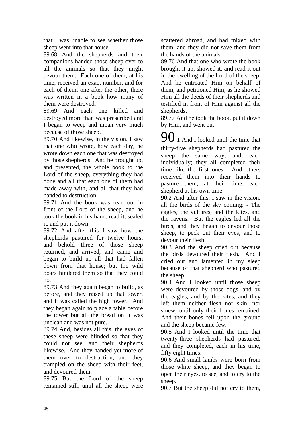that I was unable to see whether those sheep went into that house.

89.68 And the shepherds and their companions handed those sheep over to all the animals so that they might devour them. Each one of them, at his time, received an exact number, and for each of them, one after the other, there was written in a book how many of them were destroyed.

89.69 And each one killed and destroyed more than was prescribed and I began to weep and moan very much because of those sheep.

89.70 And likewise, in the vision, I saw that one who wrote, how each day, he wrote down each one that was destroyed by those shepherds. And he brought up, and presented, the whole book to the Lord of the sheep, everything they had done and all that each one of them had made away with, and all that they had handed to destruction.

89.71 And the book was read out in front of the Lord of the sheep, and he took the book in his hand, read it, sealed it, and put it down.

89.72 And after this I saw how the shepherds pastured for twelve hours, and behold three of those sheep returned, and arrived, and came and began to build up all that had fallen down from that house; but the wild boars hindered them so that they could not.

89.73 And they again began to build, as before, and they raised up that tower, and it was called the high tower. And they began again to place a table before the tower but all the bread on it was unclean and was not pure.

89.74 And, besides all this, the eyes of these sheep were blinded so that they could not see, and their shepherds likewise. And they handed yet more of them over to destruction, and they trampled on the sheep with their feet, and devoured them.

89.75 But the Lord of the sheep remained still, until all the sheep were scattered abroad, and had mixed with them, and they did not save them from the hands of the animals.

89.76 And that one who wrote the book brought it up, showed it, and read it out in the dwelling of the Lord of the sheep. And he entreated Him on behalf of them, and petitioned Him, as he showed Him all the deeds of their shepherds and testified in front of Him against all the shepherds.

89.77 And he took the book, put it down by Him, and went out.

90.1 And I looked until the time that thirty-five shepherds had pastured the sheep the same way, and, each individually; they all completed their time like the first ones. And others received them into their hands to pasture them, at their time, each shepherd at his own time.

90.2 And after this, I saw in the vision, all the birds of the sky coming: - The eagles, the vultures, and the kites, and the ravens. But the eagles led all the birds, and they began to devour those sheep, to peck out their eyes, and to devour their flesh.

90.3 And the sheep cried out because the birds devoured their flesh. And I cried out and lamented in my sleep because of that shepherd who pastured the sheep.

90.4 And I looked until those sheep were devoured by those dogs, and by the eagles, and by the kites, and they left them neither flesh nor skin, nor sinew, until only their bones remained. And their bones fell upon the ground and the sheep became few.

90.5 And I looked until the time that twenty-three shepherds had pastured, and they completed, each in his time, fifty eight times.

90.6 And small lambs were born from those white sheep, and they began to open their eyes, to see, and to cry to the sheep.

90.7 But the sheep did not cry to them,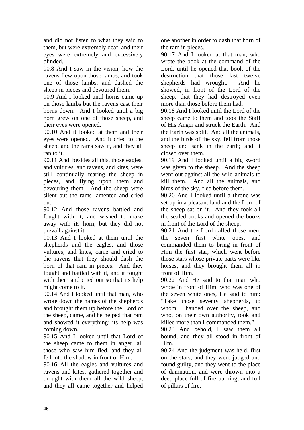and did not listen to what they said to them, but were extremely deaf, and their eyes were extremely and excessively blinded.

90.8 And I saw in the vision, how the ravens flew upon those lambs, and took one of those lambs, and dashed the sheep in pieces and devoured them.

90.9 And I looked until horns came up on those lambs but the ravens cast their horns down. And I looked until a big horn grew on one of those sheep, and their eyes were opened.

90.10 And it looked at them and their eyes were opened. And it cried to the sheep, and the rams saw it, and they all ran to it.

90.11 And, besides all this, those eagles, and vultures, and ravens, and kites, were still continually tearing the sheep in pieces, and flying upon them and devouring them. And the sheep were silent but the rams lamented and cried out.

90.12 And those ravens battled and fought with it, and wished to make away with its horn, but they did not prevail against it.

90.13 And I looked at them until the shepherds and the eagles, and those vultures, and kites, came and cried to the ravens that they should dash the horn of that ram in pieces. And they fought and battled with it, and it fought with them and cried out so that its help might come to it.

90.14 And I looked until that man, who wrote down the names of the shepherds and brought them up before the Lord of the sheep, came, and he helped that ram and showed it everything; its help was coming down.

90.15 And I looked until that Lord of the sheep came to them in anger, all those who saw him fled, and they all fell into the shadow in front of Him.

90.16 All the eagles and vultures and ravens and kites, gathered together and brought with them all the wild sheep, and they all came together and helped one another in order to dash that horn of the ram in pieces.

90.17 And I looked at that man, who wrote the book at the command of the Lord, until he opened that book of the destruction that those last twelve shepherds had wrought. And he showed, in front of the Lord of the sheep, that they had destroyed even more than those before them had.

90.18 And I looked until the Lord of the sheep came to them and took the Staff of His Anger and struck the Earth. And the Earth was split. And all the animals, and the birds of the sky, fell from those sheep and sank in the earth; and it closed over them.

90.19 And I looked until a big sword was given to the sheep. And the sheep went out against all the wild animals to kill them. And all the animals, and birds of the sky, fled before them.

90.20 And I looked until a throne was set up in a pleasant land and the Lord of the sheep sat on it. And they took all the sealed books and opened the books in front of the Lord of the sheep.

90.21 And the Lord called those men, the seven first white ones, and commanded them to bring in front of Him the first star, which went before those stars whose private parts were like horses, and they brought them all in front of Him.

90.22 And He said to that man who wrote in front of Him, who was one of the seven white ones, He said to him: "Take those seventy shepherds, to whom I handed over the sheep, and who, on their own authority, took and killed more than I commanded them."

90.23 And behold, I saw them all bound, and they all stood in front of Him.

90.24 And the judgment was held, first on the stars, and they were judged and found guilty, and they went to the place of damnation, and were thrown into a deep place full of fire burning, and full of pillars of fire.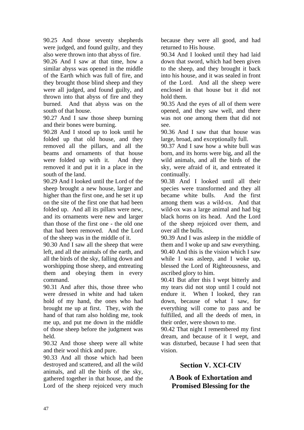90.25 And those seventy shepherds were judged, and found guilty, and they also were thrown into that abyss of fire.

90.26 And I saw at that time, how a similar abyss was opened in the middle of the Earth which was full of fire, and they brought those blind sheep and they were all judged, and found guilty, and thrown into that abyss of fire and they burned. And that abyss was on the south of that house.

90.27 And I saw those sheep burning and their bones were burning.

90.28 And I stood up to look until he folded up that old house, and they removed all the pillars, and all the beams and ornaments of that house were folded up with it. And they removed it and put it in a place in the south of the land.

90.29 And I looked until the Lord of the sheep brought a new house, larger and higher than the first one, and he set it up on the site of the first one that had been folded up. And all its pillars were new, and its ornaments were new and larger than those of the first one - the old one that had been removed. And the Lord of the sheep was in the middle of it.

90.30 And I saw all the sheep that were left, and all the animals of the earth, and all the birds of the sky, falling down and worshipping those sheep, and entreating them and obeying them in every command.

90.31 And after this, those three who were dressed in white and had taken hold of my hand, the ones who had brought me up at first. They, with the hand of that ram also holding me, took me up, and put me down in the middle of those sheep before the judgment was held.

90.32 And those sheep were all white and their wool thick and pure.

90.33 And all those which had been destroyed and scattered, and all the wild animals, and all the birds of the sky, gathered together in that house, and the Lord of the sheep rejoiced very much because they were all good, and had returned to His house.

90.34 And I looked until they had laid down that sword, which had been given to the sheep, and they brought it back into his house, and it was sealed in front of the Lord. And all the sheep were enclosed in that house but it did not hold them.

90.35 And the eyes of all of them were opened, and they saw well, and there was not one among them that did not see.

90.36 And I saw that that house was large, broad, and exceptionally full.

90.37 And I saw how a white bull was born, and its horns were big, and all the wild animals, and all the birds of the sky, were afraid of it, and entreated it continually.

90.38 And I looked until all their species were transformed and they all became white bulls. And the first among them was a wild-ox. And that wild-ox was a large animal and had big black horns on its head. And the Lord of the sheep rejoiced over them, and over all the bulls.

90.39 And I was asleep in the middle of them and I woke up and saw everything. 90.40 And this is the vision which I saw while I was asleep, and I woke up, blessed the Lord of Righteousness, and ascribed glory to him.

90.41 But after this I wept bitterly and my tears did not stop until I could not endure it. When I looked, they ran down, because of what I saw, for everything will come to pass and be fulfilled, and all the deeds of men, in their order, were shown to me.

90.42 That night I remembered my first dream, and because of it I wept, and was disturbed, because I had seen that vision.

# **Section V. XCI-CIV**

#### **A Book of Exhortation and Promised Blessing for the**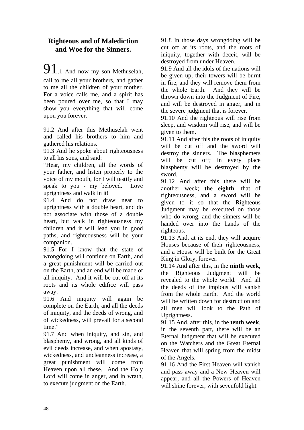#### **Righteous and of Malediction and Woe for the Sinners.**

**91**.1 And now my son Methuselah, call to me all your brothers, and gather to me all the children of your mother. For a voice calls me, and a spirit has been poured over me, so that I may show you everything that will come upon you forever.

91.2 And after this Methuselah went and called his brothers to him and gathered his relations.

91.3 And he spoke about righteousness to all his sons, and said:

"Hear, my children, all the words of your father, and listen properly to the voice of my mouth, for I will testify and speak to you - my beloved. Love uprightness and walk in it!

91.4 And do not draw near to uprightness with a double heart, and do not associate with those of a double heart, but walk in righteousness my children and it will lead you in good paths, and righteousness will be your companion.

91.5 For I know that the state of wrongdoing will continue on Earth, and a great punishment will be carried out on the Earth, and an end will be made of all iniquity. And it will be cut off at its roots and its whole edifice will pass away.

91.6 And iniquity will again be complete on the Earth, and all the deeds of iniquity, and the deeds of wrong, and of wickedness, will prevail for a second time."

91.7 And when iniquity, and sin, and blasphemy, and wrong, and all kinds of evil deeds increase, and when apostasy, wickedness, and uncleanness increase, a great punishment will come from Heaven upon all these. And the Holy Lord will come in anger, and in wrath, to execute judgment on the Earth.

91.8 In those days wrongdoing will be cut off at its roots, and the roots of iniquity, together with deceit, will be destroyed from under Heaven.

91.9 And all the idols of the nations will be given up, their towers will be burnt in fire, and they will remove them from the whole Earth. And they will be thrown down into the Judgment of Fire, and will be destroyed in anger, and in the severe judgment that is forever.

91.10 And the righteous will rise from sleep, and wisdom will rise, and will be given to them.

91.11 And after this the roots of iniquity will be cut off and the sword will destroy the sinners. The blasphemers will be cut off; in every place blasphemy will be destroyed by the sword.

91.12 And after this there will be another week; **the eighth**, that of righteousness, and a sword will be given to it so that the Righteous Judgment may be executed on those who do wrong, and the sinners will be handed over into the hands of the righteous.

91.13 And, at its end, they will acquire Houses because of their righteousness, and a House will be built for the Great King in Glory, forever.

91.14 And after this, in the **ninth week**, the Righteous Judgment will be revealed to the whole world. And all the deeds of the impious will vanish from the whole Earth. And the world will be written down for destruction and all men will look to the Path of Uprightness.

91.15 And, after this, in the **tenth week**, in the seventh part, there will be an Eternal Judgment that will be executed on the Watchers and the Great Eternal Heaven that will spring from the midst of the Angels.

91.16 And the First Heaven will vanish and pass away and a New Heaven will appear, and all the Powers of Heaven will shine forever, with sevenfold light.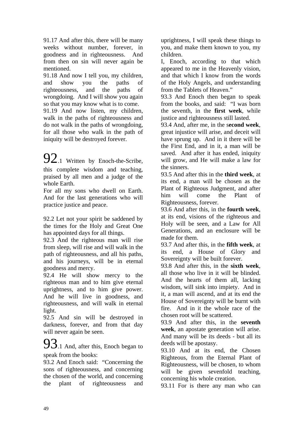91.17 And after this, there will be many weeks without number, forever, in goodness and in righteousness. And from then on sin will never again be mentioned.

91.18 And now I tell you, my children, and show you the paths of righteousness, and the paths of wrongdoing. And I will show you again so that you may know what is to come.

91.19 And now listen, my children, walk in the paths of righteousness and do not walk in the paths of wrongdoing, for all those who walk in the path of iniquity will be destroyed forever.

**92.**1 Written by Enoch-the-Scribe, this complete wisdom and teaching, praised by all men and a judge of the whole Earth.

For all my sons who dwell on Earth. And for the last generations who will practice justice and peace.

92.2 Let not your spirit be saddened by the times for the Holy and Great One has appointed days for all things.

92.3 And the righteous man will rise from sleep, will rise and will walk in the path of righteousness, and all his paths, and his journeys, will be in eternal goodness and mercy.

92.4 He will show mercy to the righteous man and to him give eternal uprightness, and to him give power. And he will live in goodness, and righteousness, and will walk in eternal light.

92.5 And sin will be destroyed in darkness, forever, and from that day will never again be seen.

93.1 And, after this, Enoch began to speak from the books:

93.2 And Enoch said: "Concerning the sons of righteousness, and concerning the chosen of the world, and concerning the plant of righteousness and uprightness, I will speak these things to you, and make them known to you, my children.

I, Enoch, according to that which appeared to me in the Heavenly vision, and that which I know from the words of the Holy Angels, and understanding from the Tablets of Heaven."

93.3 And Enoch then began to speak from the books, and said: "I was born the seventh, in the **first week**, while justice and righteousness still lasted.

93.4 And, after me, in the s**econd week**, great injustice will arise, and deceit will have sprung up. And in it there will be the First End, and in it, a man will be saved. And after it has ended, iniquity will grow, and He will make a law for the sinners.

93.5 And after this in the **third week**, at its end, a man will be chosen as the Plant of Righteous Judgment, and after him will come the Plant of Righteousness, forever.

93.6 And after this, in the **fourth week**, at its end, visions of the righteous and Holy will be seen, and a Law for All Generations, and an enclosure will be made for them.

93.7 And after this, in the **fifth week**, at its end, a House of Glory and Sovereignty will be built forever.

93.8 And after this, in the **sixth week**, all those who live in it will be blinded. And the hearts of them all, lacking wisdom, will sink into impiety. And in it, a man will ascend, and at its end the House of Sovereignty will be burnt with fire. And in it the whole race of the chosen root will be scattered.

93.9 And after this, in the **seventh week**, an apostate generation will arise. And many will be its deeds - but all its deeds will be apostasy.

93.10 And at its end, the Chosen Righteous, from the Eternal Plant of Righteousness, will be chosen, to whom will be given sevenfold teaching, concerning his whole creation.

93.11 For is there any man who can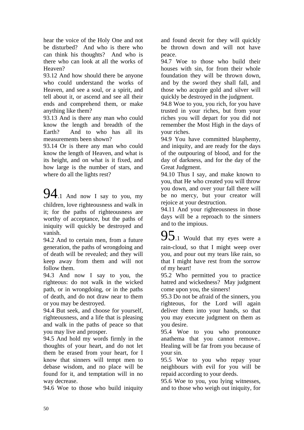hear the voice of the Holy One and not be disturbed? And who is there who can think his thoughts? And who is there who can look at all the works of Heaven?

93.12 And how should there be anyone who could understand the works of Heaven, and see a soul, or a spirit, and tell about it, or ascend and see all their ends and comprehend them, or make anything like them?

93.13 And is there any man who could know the length and breadth of the Earth? And to who has all its measurements been shown?

93.14 Or is there any man who could know the length of Heaven, and what is its height, and on what is it fixed, and how large is the number of stars, and where do all the lights rest?

94.1 And now I say to you, my children, love righteousness and walk in it; for the paths of righteousness are worthy of acceptance, but the paths of iniquity will quickly be destroyed and vanish.

94.2 And to certain men, from a future generation, the paths of wrongdoing and of death will be revealed; and they will keep away from them and will not follow them.

94.3 And now I say to you, the righteous: do not walk in the wicked path, or in wrongdoing, or in the paths of death, and do not draw near to them or you may be destroyed.

94.4 But seek, and choose for yourself, righteousness, and a life that is pleasing and walk in the paths of peace so that you may live and prosper.

94.5 And hold my words firmly in the thoughts of your heart, and do not let them be erased from your heart, for I know that sinners will tempt men to debase wisdom, and no place will be found for it, and temptation will in no way decrease.

94.6 Woe to those who build iniquity

and found deceit for they will quickly be thrown down and will not have peace.

94.7 Woe to those who build their houses with sin, for from their whole foundation they will be thrown down, and by the sword they shall fall, and those who acquire gold and silver will quickly be destroyed in the judgment.

94.8 Woe to you, you rich, for you have trusted in your riches, but from your riches you will depart for you did not remember the Most High in the days of your riches.

94.9 You have committed blasphemy, and iniquity, and are ready for the days of the outpouring of blood, and for the day of darkness, and for the day of the Great Judgment.

94.10 Thus I say, and make known to you, that He who created you will throw you down, and over your fall there will be no mercy, but your creator will rejoice at your destruction.

94.11 And your righteousness in those days will be a reproach to the sinners and to the impious.

 $95.1$  Would that my eyes were a rain-cloud, so that I might weep over you, and pour out my tears like rain, so that I might have rest from the sorrow of my heart!

95.2 Who permitted you to practice hatred and wickedness? May judgment come upon you, the sinners!

95.3 Do not be afraid of the sinners, you righteous, for the Lord will again deliver them into your hands, so that you may execute judgment on them as you desire.

95.4 Woe to you who pronounce anathema that you cannot remove.. Healing will be far from you because of your sin.

95.5 Woe to you who repay your neighbours with evil for you will be repaid according to your deeds.

95.6 Woe to you, you lying witnesses, and to those who weigh out iniquity, for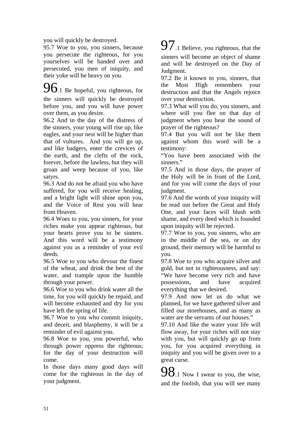you will quickly be destroyed.

95.7 Woe to you, you sinners, because you persecute the righteous, for you yourselves will be handed over and persecuted, you men of iniquity, and their yoke will be heavy on you.

96.1 Be hopeful, you righteous, for the sinners will quickly be destroyed before you, and you will have power over them, as you desire.

96.2 And in the day of the distress of the sinners, your young will rise up, like eagles, and your nest will be higher than that of vultures. And you will go up, and like badgers, enter the crevices of the earth, and the clefts of the rock, forever, before the lawless, but they will groan and weep because of you, like satyrs.

96.3 And do not be afraid you who have suffered, for you will receive healing, and a bright light will shine upon you, and the Voice of Rest you will hear from Heaven.

96.4 Woes to you, you sinners, for your riches make you appear righteous, but your hearts prove you to be sinners. And this word will be a testimony against you as a reminder of your evil deeds.

96.5 Woe to you who devour the finest of the wheat, and drink the best of the water, and trample upon the humble through your power.

96.6 Woe to you who drink water all the time, for you will quickly be repaid, and will become exhausted and dry for you have left the spring of life.

96.7 Woe to you who commit iniquity, and deceit, and blasphemy, it will be a reminder of evil against you.

96.8 Woe to you, you powerful, who through power oppress the righteous; for the day of your destruction will come.

In those days many good days will come for the righteous in the day of your judgment.

### 97.1 Believe, you righteous, that the sinners will become an object of shame and will be destroyed on the Day of Judgment.

97.2 Be it known to you, sinners, that the Most High remembers your destruction and that the Angels rejoice over your destruction.

97.3 What will you do, you sinners, and where will you flee on that day of judgment when you hear the sound of prayer of the righteous?

97.4 But you will not be like them against whom this word will be a testimony:

"You have been associated with the sinners."

97.5 And in those days, the prayer of the Holy will be in front of the Lord, and for you will come the days of your judgment.

97.6 And the words of your iniquity will be read out before the Great and Holy One, and your faces will blush with shame, and every deed which is founded upon iniquity will be rejected.

97.7 Woe to you, you sinners, who are in the middle of the sea, or on dry ground, their memory will be harmful to you.

97.8 Woe to you who acquire silver and gold, but not in righteousness, and say: "We have become very rich and have possessions, and have acquired everything that we desired.

97.9 And now let us do what we planned, for we have gathered silver and filled our storehouses, and as many as water are the servants of our houses."

97.10 And like the water your life will flow away, for your riches will not stay with you, but will quickly go up from you, for you acquired everything in iniquity and you will be given over to a great curse.

98.1 Now I swear to you, the wise, and the foolish, that you will see many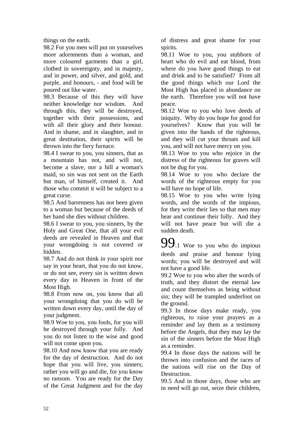things on the earth.

98.2 For you men will put on yourselves more adornments than a woman, and more coloured garments than a girl, clothed in sovereignty, and in majesty, and in power, and silver, and gold, and purple, and honours, - and food will be poured out like water.

98.3 Because of this they will have neither knowledge nor wisdom. And through this, they will be destroyed, together with their possessions, and with all their glory and their honour. And in shame, and in slaughter, and in great destitution, their spirits will be thrown into the fiery furnace.

98.4 I swear to you, you sinners, that as a mountain has not, and will not, become a slave, nor a hill a woman's maid, so sin was not sent on the Earth but man, of himself, created it. And those who commit it will be subject to a great curse.

98.5 And barrenness has not been given to a woman but because of the deeds of her hand she dies without children.

98.6 I swear to you, you sinners, by the Holy and Great One, that all your evil deeds are revealed in Heaven and that your wrongdoing is not covered or hidden.

98.7 And do not think in your spirit nor say in your heart, that you do not know, or do not see, every sin is written down every day in Heaven in front of the Most High.

98.8 From now on, you know that all your wrongdoing that you do will be written down every day, until the day of your judgment.

98.9 Woe to you, you fools, for you will be destroyed through your folly. And you do not listen to the wise and good will not come upon you.

98.10 And now know that you are ready for the day of destruction. And do not hope that you will live, you sinners; rather you will go and die, for you know no ransom. You are ready for the Day of the Great Judgment and for the day of distress and great shame for your spirits.

98.11 Woe to you, you stubborn of heart who do evil and eat blood, from where do you have good things to eat and drink and to be satisfied? From all the good things which our Lord the Most High has placed in abundance on the earth. Therefore you will not have peace.

98.12 Woe to you who love deeds of iniquity. Why do you hope for good for yourselves? Know that you will be given into the hands of the righteous, and they will cut your throats and kill you, and will not have mercy on you.

98.13 Woe to you who rejoice in the distress of the righteous for graves will not be dug for you.

98.14 Woe to you who declare the words of the righteous empty for you will have no hope of life.

98.15 Woe to you who write lying words, and the words of the impious, for they write their lies so that men may hear and continue their folly. And they will not have peace but will die a sudden death.

99.1 Woe to you who do impious deeds and praise and honour lying words; you will be destroyed and will not have a good life.

99.2 Woe to you who alter the words of truth, and they distort the eternal law and count themselves as being without sin; they will be trampled underfoot on the ground.

99.3 In those days make ready, you righteous, to raise your prayers as a reminder and lay them as a testimony before the Angels, that they may lay the sin of the sinners before the Most High as a reminder.

99.4 In those days the nations will be thrown into confusion and the races of the nations will rise on the Day of Destruction.

99.5 And in those days, those who are in need will go out, seize their children,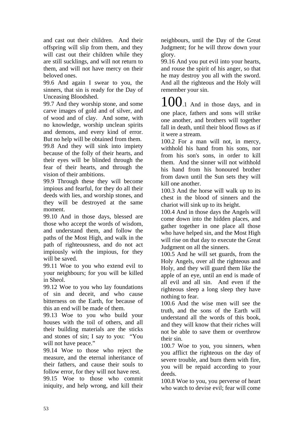and cast out their children. And their offspring will slip from them, and they will cast out their children while they are still sucklings, and will not return to them, and will not have mercy on their beloved ones.

99.6 And again I swear to you, the sinners, that sin is ready for the Day of Unceasing Bloodshed.

99.7 And they worship stone, and some carve images of gold and of silver, and of wood and of clay. And some, with no knowledge, worship unclean spirits and demons, and every kind of error. But no help will be obtained from them.

99.8 And they will sink into impiety because of the folly of their hearts, and their eyes will be blinded through the fear of their hearts, and through the vision of their ambitions.

99.9 Through these they will become impious and fearful, for they do all their deeds with lies, and worship stones, and they will be destroyed at the same moment.

99.10 And in those days, blessed are those who accept the words of wisdom, and understand them, and follow the paths of the Most High, and walk in the path of righteousness, and do not act impiously with the impious, for they will be saved.

99.11 Woe to you who extend evil to your neighbours; for you will be killed in Sheol.

99.12 Woe to you who lay foundations of sin and deceit, and who cause bitterness on the Earth, for because of this an end will be made of them.

99.13 Woe to you who build your houses with the toil of others, and all their building materials are the sticks and stones of sin; I say to you: "You will not have peace."

99.14 Woe to those who reject the measure, and the eternal inheritance of their fathers, and cause their souls to follow error, for they will not have rest.

99.15 Woe to those who commit iniquity, and help wrong, and kill their

neighbours, until the Day of the Great Judgment; for he will throw down your glory.

99.16 And you put evil into your hearts, and rouse the spirit of his anger, so that he may destroy you all with the sword. And all the righteous and the Holy will remember your sin.

100.1 And in those days, and in one place, fathers and sons will strike one another, and brothers will together fall in death, until their blood flows as if it were a stream.

100.2 For a man will not, in mercy, withhold his hand from his sons, nor from his son's sons, in order to kill them. And the sinner will not withhold his hand from his honoured brother from dawn until the Sun sets they will kill one another.

100.3 And the horse will walk up to its chest in the blood of sinners and the chariot will sink up to its height.

100.4 And in those days the Angels will come down into the hidden places, and gather together in one place all those who have helped sin, and the Most High will rise on that day to execute the Great Judgment on all the sinners.

100.5 And he will set guards, from the Holy Angels, over all the righteous and Holy, and they will guard them like the apple of an eye, until an end is made of all evil and all sin. And even if the righteous sleep a long sleep they have nothing to fear.

100.6 And the wise men will see the truth, and the sons of the Earth will understand all the words of this book, and they will know that their riches will not be able to save them or overthrow their sin.

100.7 Woe to you, you sinners, when you afflict the righteous on the day of severe trouble, and burn them with fire, you will be repaid according to your deeds.

100.8 Woe to you, you perverse of heart who watch to devise evil; fear will come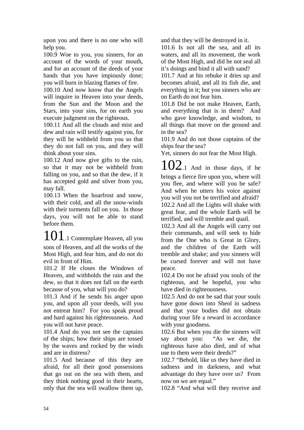upon you and there is no one who will help you.

100.9 Woe to you, you sinners, for an account of the words of your mouth, and for an account of the deeds of your hands that you have impiously done; you will burn in blazing flames of fire.

100.10 And now know that the Angels will inquire in Heaven into your deeds, from the Sun and the Moon and the Stars, into your sins, for on earth you execute judgment on the righteous.

100.11 And all the clouds and mist and dew and rain will testify against you, for they will be withheld from you so that they do not fall on you, and they will think about your sins.

100.12 And now give gifts to the rain, so that it may not be withheld from falling on you, and so that the dew, if it has accepted gold and silver from you, may fall.

100.13 When the hoarfrost and snow, with their cold, and all the snow-winds with their torments fall on you. In those days, you will not be able to stand before them.

 $101$ .1 Contemplate Heaven, all you sons of Heaven, and all the works of the Most High, and fear him, and do not do evil in front of Him.

101.2 If He closes the Windows of Heaven, and withholds the rain and the dew, so that it does not fall on the earth because of you, what will you do?

101.3 And if he sends his anger upon you, and upon all your deeds, will you not entreat him? For you speak proud and hard against his righteousness. And you will not have peace.

101.4 And do you not see the captains of the ships; how their ships are tossed by the waves and rocked by the winds and are in distress?

101.5 And because of this they are afraid, for all their good possessions that go out on the sea with them, and they think nothing good in their hearts, only that the sea will swallow them up, and that they will be destroyed in it.

101.6 Is not all the sea, and all its waters, and all its movement, the work of the Most High, and did he not seal all it's doings and bind it all with sand?

101.7 And at his rebuke it dries up and becomes afraid, and all its fish die, and everything in it; but you sinners who are on Earth do not fear him.

101.8 Did he not make Heaven, Earth, and everything that is in them? And who gave knowledge, and wisdom, to all things that move on the ground and in the sea?

101.9 And do not those captains of the ships fear the sea?

Yet, sinners do not fear the Most High.

 $102$ .1 And in those days, if he brings a fierce fire upon you, where will you flee, and where will you be safe? And when he utters his voice against you will you not be terrified and afraid? 102.2 And all the Lights will shake with great fear, and the whole Earth will be terrified, and will tremble and quail.

102.3 And all the Angels will carry out their commands, and will seek to hide from the One who is Great in Glory, and the children of the Earth will tremble and shake; and you sinners will be cursed forever and will not have peace.

102.4 Do not be afraid you souls of the righteous, and be hopeful, you who have died in righteousness.

102.5 And do not be sad that your souls have gone down into Sheol in sadness and that your bodies did not obtain during your life a reward in accordance with your goodness.

102.6 But when you die the sinners will say about you: "As we die, the righteous have also died, and of what use to them were their deeds?"

102.7 "Behold, like us they have died in sadness and in darkness, and what advantage do they have over us? From now on we are equal."

102.8 "And what will they receive and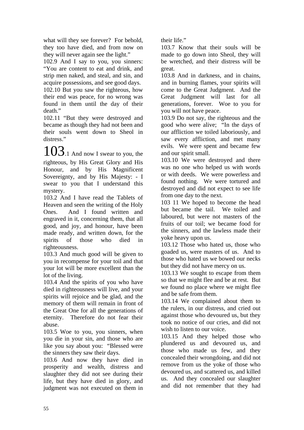what will they see forever? For behold, they too have died, and from now on they will never again see the light."

102.9 And I say to you, you sinners: "You are content to eat and drink, and strip men naked, and steal, and sin, and acquire possessions, and see good days.

102.10 But you saw the righteous, how their end was peace, for no wrong was found in them until the day of their death."

102.11 "But they were destroyed and became as though they had not been and their souls went down to Sheol in distress."

 $103$ .1 And now I swear to you, the righteous, by His Great Glory and His Honour, and by His Magnificent Sovereignty, and by His Majesty: - I swear to you that I understand this mystery.

103.2 And I have read the Tablets of Heaven and seen the writing of the Holy Ones. And I found written and engraved in it, concerning them, that all good, and joy, and honour, have been made ready, and written down, for the spirits of those who died in righteousness.

103.3 And much good will be given to you in recompense for your toil and that your lot will be more excellent than the lot of the living.

103.4 And the spirits of you who have died in righteousness will live, and your spirits will rejoice and be glad, and the memory of them will remain in front of the Great One for all the generations of eternity. Therefore do not fear their abuse.

103.5 Woe to you, you sinners, when you die in your sin, and those who are like you say about you: "Blessed were the sinners they saw their days.

103.6 And now they have died in prosperity and wealth, distress and slaughter they did not see during their life, but they have died in glory, and judgment was not executed on them in their life."

103.7 Know that their souls will be made to go down into Sheol, they will be wretched, and their distress will be great.

103.8 And in darkness, and in chains, and in burning flames, your spirits will come to the Great Judgment. And the Great Judgment will last for all generations, forever. Woe to you for you will not have peace.

103.9 Do not say, the righteous and the good who were alive; "In the days of our affliction we toiled laboriously, and saw every affliction, and met many evils. We were spent and became few and our spirit small.

103.10 We were destroyed and there was no one who helped us with words or with deeds. We were powerless and found nothing. We were tortured and destroyed and did not expect to see life from one day to the next.

103 11 We hoped to become the head but became the tail. We toiled and laboured, but were not masters of the fruits of our toil; we became food for the sinners, and the lawless made their yoke heavy upon us.

103.12 Those who hated us, those who goaded us, were masters of us. And to those who hated us we bowed our necks but they did not have mercy on us.

103.13 We sought to escape from them so that we might flee and be at rest. But we found no place where we might flee and be safe from them.

103.14 We complained about them to the rulers, in our distress, and cried out against those who devoured us, but they took no notice of our cries, and did not wish to listen to our voice.

103.15 And they helped those who plundered us and devoured us, and those who made us few, and they concealed their wrongdoing, and did not remove from us the yoke of those who devoured us, and scattered us, and killed us. And they concealed our slaughter and did not remember that they had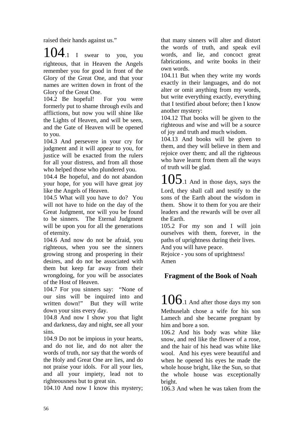raised their hands against us."

 $104_{.1}$  I swear to you, you righteous, that in Heaven the Angels remember you for good in front of the Glory of the Great One, and that your names are written down in front of the Glory of the Great One.

104.2 Be hopeful! For you were formerly put to shame through evils and afflictions, but now you will shine like the Lights of Heaven, and will be seen, and the Gate of Heaven will be opened to you.

104.3 And persevere in your cry for judgment and it will appear to you, for justice will be exacted from the rulers for all your distress, and from all those who helped those who plundered you.

104.4 Be hopeful, and do not abandon your hope, for you will have great joy like the Angels of Heaven.

104.5 What will you have to do? You will not have to hide on the day of the Great Judgment, nor will you be found to be sinners. The Eternal Judgment will be upon you for all the generations of eternity.

104.6 And now do not be afraid, you righteous, when you see the sinners growing strong and prospering in their desires, and do not be associated with them but keep far away from their wrongdoing, for you will be associates of the Host of Heaven.

104.7 For you sinners say: "None of our sins will be inquired into and written down!" But they will write down your sins every day.

104.8 And now I show you that light and darkness, day and night, see all your sins.

104.9 Do not be impious in your hearts, and do not lie, and do not alter the words of truth, nor say that the words of the Holy and Great One are lies, and do not praise your idols. For all your lies, and all your impiety, lead not to righteousness but to great sin.

104.10 And now I know this mystery;

that many sinners will alter and distort the words of truth, and speak evil words, and lie, and concoct great fabrications, and write books in their own words.

104.11 But when they write my words exactly in their languages, and do not alter or omit anything from my words, but write everything exactly, everything that I testified about before; then I know another mystery:

104.12 That books will be given to the righteous and wise and will be a source of joy and truth and much wisdom.

104.13 And books will be given to them, and they will believe in them and rejoice over them; and all the righteous who have learnt from them all the ways of truth will be glad.

 $105$ .1 And in those days, says the Lord, they shall call and testify to the sons of the Earth about the wisdom in them. Show it to them for you are their leaders and the rewards will be over all the Earth.

105.2 For my son and I will join ourselves with them, forever, in the paths of uprightness during their lives. And you will have peace.

Rejoice - you sons of uprightness!

Amen

# **Fragment of the Book of Noah**

 $106$ .1 And after those days my son Methuselah chose a wife for his son Lamech and she became pregnant by him and bore a son.

106.2 And his body was white like snow, and red like the flower of a rose, and the hair of his head was white like wool. And his eyes were beautiful and when he opened his eyes he made the whole house bright, like the Sun, so that the whole house was exceptionally bright.

106.3 And when he was taken from the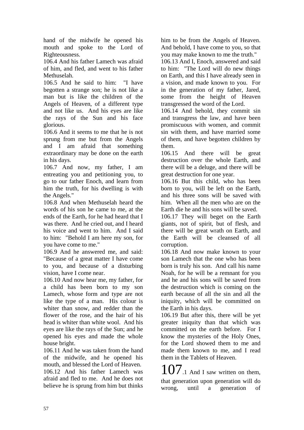hand of the midwife he opened his mouth and spoke to the Lord of Righteousness.

106.4 And his father Lamech was afraid of him, and fled, and went to his father Methuselah.

106.5 And he said to him: "I have begotten a strange son; he is not like a man but is like the children of the Angels of Heaven, of a different type and not like us. And his eyes are like the rays of the Sun and his face glorious.

106.6 And it seems to me that he is not sprung from me but from the Angels and I am afraid that something extraordinary may be done on the earth in his days.

106.7 And now, my father, I am entreating you and petitioning you, to go to our father Enoch, and learn from him the truth, for his dwelling is with the Angels."

106.8 And when Methuselah heard the words of his son he came to me, at the ends of the Earth, for he had heard that I was there. And he cried out, and I heard his voice and went to him. And I said to him: "Behold I am here my son, for you have come to me."

106.9 And he answered me, and said: "Because of a great matter I have come to you, and because of a disturbing vision, have I come near.

106.10 And now hear me, my father, for a child has been born to my son Lamech, whose form and type are not like the type of a man. His colour is whiter than snow, and redder than the flower of the rose, and the hair of his head is whiter than white wool. And his eyes are like the rays of the Sun; and he opened his eyes and made the whole house bright.

106.11 And he was taken from the hand of the midwife, and he opened his mouth, and blessed the Lord of Heaven.

106.12 And his father Lamech was afraid and fled to me. And he does not believe he is sprung from him but thinks him to be from the Angels of Heaven. And behold, I have come to you, so that you may make known to me the truth." 106.13 And I, Enoch, answered and said to him: "The Lord will do new things on Earth, and this I have already seen in a vision, and made known to you. For in the generation of my father, Jared, some from the height of Heaven transgressed the word of the Lord.

106.14 And behold, they commit sin and transgress the law, and have been promiscuous with women, and commit sin with them, and have married some of them, and have begotten children by them.

106.15 And there will be great destruction over the whole Earth, and there will be a deluge, and there will be great destruction for one year.

106.16 But this child, who has been born to you, will be left on the Earth, and his three sons will be saved with him. When all the men who are on the Earth die he and his sons will be saved.

106.17 They will beget on the Earth giants, not of spirit, but of flesh, and there will be great wrath on Earth, and the Earth will be cleansed of all corruption.

106.18 And now make known to your son Lamech that the one who has been born is truly his son. And call his name Noah, for he will be a remnant for you and he and his sons will be saved from the destruction which is coming on the earth because of all the sin and all the iniquity, which will be committed on the Earth in his days.

106.19 But after this, there will be yet greater iniquity than that which was committed on the earth before. For I know the mysteries of the Holy Ones, for the Lord showed them to me and made them known to me, and I read them in the Tablets of Heaven.

 $107_{.1}$  And I saw written on them, that generation upon generation will do wrong, until a generation of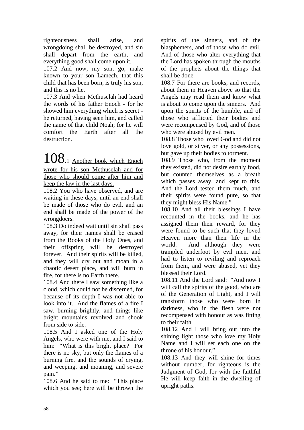righteousness shall arise, and wrongdoing shall be destroyed, and sin shall depart from the earth, and everything good shall come upon it.

107.2 And now, my son, go, make known to your son Lamech, that this child that has been born, is truly his son, and this is no lie.

107.3 And when Methuselah had heard the words of his father Enoch - for he showed him everything which is secret he returned, having seen him, and called the name of that child Noah; for he will comfort the Earth after all the destruction.

108.1 Another book which Enoch wrote for his son Methuselah and for those who should come after him and keep the law in the last days.

108.2 You who have observed, and are waiting in these days, until an end shall be made of those who do evil, and an end shall be made of the power of the wrongdoers.

108.3 Do indeed wait until sin shall pass away, for their names shall be erased from the Books of the Holy Ones, and their offspring will be destroyed forever. And their spirits will be killed, and they will cry out and moan in a chaotic desert place, and will burn in fire, for there is no Earth there.

108.4 And there I saw something like a cloud, which could not be discerned, for because of its depth I was not able to look into it. And the flames of a fire I saw, burning brightly, and things like bright mountains revolved and shook from side to side.

108.5 And I asked one of the Holy Angels, who were with me, and I said to him: "What is this bright place? For there is no sky, but only the flames of a burning fire, and the sounds of crying, and weeping, and moaning, and severe pain."

108.6 And he said to me: "This place which you see; here will be thrown the spirits of the sinners, and of the blasphemers, and of those who do evil. And of those who alter everything that the Lord has spoken through the mouths of the prophets about the things that shall be done.

108.7 For there are books, and records, about them in Heaven above so that the Angels may read them and know what is about to come upon the sinners. And upon the spirits of the humble, and of those who afflicted their bodies and were recompensed by God, and of those who were abused by evil men.

108.8 Those who loved God and did not love gold, or silver, or any possessions, but gave up their bodies to torment.

108.9 Those who, from the moment they existed, did not desire earthly food, but counted themselves as a breath which passes away, and kept to this. And the Lord tested them much, and their spirits were found pure, so that they might bless His Name."

108.10 And all their blessings I have recounted in the books, and he has assigned them their reward, for they were found to be such that they loved Heaven more than their life in the world. And although they were trampled underfoot by evil men, and had to listen to reviling and reproach from them, and were abused, yet they blessed their Lord.

108.11 And the Lord said: "And now I will call the spirits of the good, who are of the Generation of Light, and I will transform those who were born in darkness, who in the flesh were not recompensed with honour as was fitting to their faith.

108.12 And I will bring out into the shining light those who love my Holy Name and I will set each one on the throne of his honour."

108.13 And they will shine for times without number, for righteous is the Judgment of God, for with the faithful He will keep faith in the dwelling of upright paths.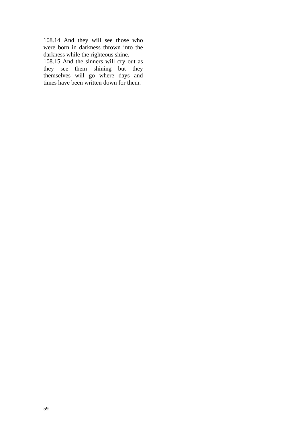108.14 And they will see those who were born in darkness thrown into the darkness while the righteous shine.

108.15 And the sinners will cry out as they see them shining but they themselves will go where days and times have been written down for them.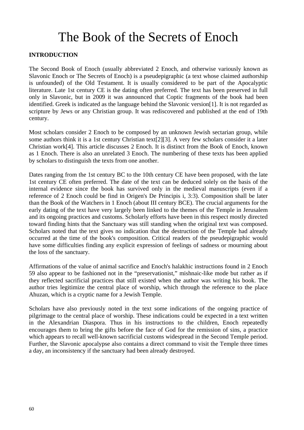# The Book of the Secrets of Enoch

#### **INTRODUCTION**

The Second Book of Enoch (usually abbreviated 2 Enoch, and otherwise variously known as Slavonic Enoch or The Secrets of Enoch) is a pseudepigraphic (a text whose claimed authorship is unfounded) of the Old Testament. It is usually considered to be part of the Apocalyptic literature. Late 1st century CE is the dating often preferred. The text has been preserved in full only in Slavonic, but in 2009 it was announced that Coptic fragments of the book had been identified. Greek is indicated as the language behind the Slavonic version[1]. It is not regarded as scripture by Jews or any Christian group. It was rediscovered and published at the end of 19th century.

Most scholars consider 2 Enoch to be composed by an unknown Jewish sectarian group, while some authors think it is a 1st century Christian text[2][3]. A very few scholars consider it a later Christian work[4]. This article discusses 2 Enoch. It is distinct from the Book of Enoch, known as 1 Enoch. There is also an unrelated 3 Enoch. The numbering of these texts has been applied by scholars to distinguish the texts from one another.

Dates ranging from the 1st century BC to the 10th century CE have been proposed, with the late 1st century CE often preferred. The date of the text can be deduced solely on the basis of the internal evidence since the book has survived only in the medieval manuscripts (even if a reference of 2 Enoch could be find in Origen's De Principis i, 3:3). Composition shall be later than the Book of the Watchers in 1 Enoch (about III century BCE). The crucial arguments for the early dating of the text have very largely been linked to the themes of the Temple in Jerusalem and its ongoing practices and customs. Scholarly efforts have been in this respect mostly directed toward finding hints that the Sanctuary was still standing when the original text was composed. Scholars noted that the text gives no indication that the destruction of the Temple had already occurred at the time of the book's composition. Critical readers of the pseudepigraphic would have some difficulties finding any explicit expression of feelings of sadness or mourning about the loss of the sanctuary.

Affirmations of the value of animal sacrifice and Enoch's halakhic instructions found in 2 Enoch 59 also appear to be fashioned not in the "preservationist," mishnaic-like mode but rather as if they reflected sacrificial practices that still existed when the author was writing his book. The author tries legitimize the central place of worship, which through the reference to the place Ahuzan, which is a cryptic name for a Jewish Temple.

Scholars have also previously noted in the text some indications of the ongoing practice of pilgrimage to the central place of worship. These indications could be expected in a text written in the Alexandrian Diaspora. Thus in his instructions to the children, Enoch repeatedly encourages them to bring the gifts before the face of God for the remission of sins, a practice which appears to recall well-known sacrificial customs widespread in the Second Temple period. Further, the Slavonic apocalypse also contains a direct command to visit the Temple three times a day, an inconsistency if the sanctuary had been already destroyed.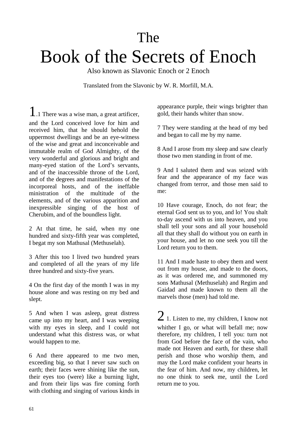# The Book of the Secrets of Enoch

Also known as Slavonic Enoch or 2 Enoch

Translated from the Slavonic by W. R. Morfill, M.A.

1.1 There was a wise man, a great artificer, and the Lord conceived love for him and received him, that he should behold the uppermost dwellings and be an eye-witness of the wise and great and inconceivable and immutable realm of God Almighty, of the very wonderful and glorious and bright and many-eyed station of the Lord's servants, and of the inaccessible throne of the Lord, and of the degrees and manifestations of the incorporeal hosts, and of the ineffable ministration of the multitude of the elements, and of the various apparition and inexpressible singing of the host of Cherubim, and of the boundless light.

2 At that time, he said, when my one hundred and sixty-fifth year was completed, I begat my son Mathusal (Methuselah).

3 After this too I lived two hundred years and completed of all the years of my life three hundred and sixty-five years.

4 On the first day of the month I was in my house alone and was resting on my bed and slept.

5 And when I was asleep, great distress came up into my heart, and I was weeping with my eyes in sleep, and I could not understand what this distress was, or what would happen to me.

6 And there appeared to me two men, exceeding big, so that I never saw such on earth; their faces were shining like the sun, their eyes too (were) like a burning light, and from their lips was fire coming forth with clothing and singing of various kinds in

appearance purple, their wings brighter than gold, their hands whiter than snow.

7 They were standing at the head of my bed and began to call me by my name.

8 And I arose from my sleep and saw clearly those two men standing in front of me.

9 And I saluted them and was seized with fear and the appearance of my face was changed from terror, and those men said to me:

10 Have courage, Enoch, do not fear; the eternal God sent us to you, and lo! You shalt to-day ascend with us into heaven, and you shall tell your sons and all your household all that they shall do without you on earth in your house, and let no one seek you till the Lord return you to them.

11 And I made haste to obey them and went out from my house, and made to the doors, as it was ordered me, and summoned my sons Mathusal (Methuselah) and Regim and Gaidad and made known to them all the marvels those (men) had told me.

 $2$  1. Listen to me, my children, I know not whither I go, or what will befall me; now therefore, my children, I tell you: turn not from God before the face of the vain, who made not Heaven and earth, for these shall perish and those who worship them, and may the Lord make confident your hearts in the fear of him. And now, my children, let no one think to seek me, until the Lord return me to you.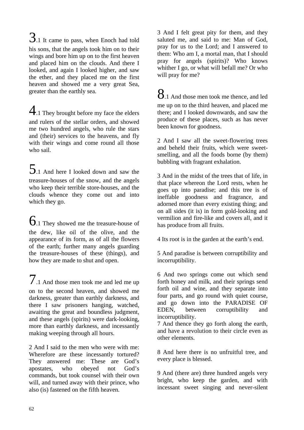$3.1$  It came to pass, when Enoch had told his sons, that the angels took him on to their wings and bore him up on to the first heaven and placed him on the clouds. And there I looked, and again I looked higher, and saw the ether, and they placed me on the first heaven and showed me a very great Sea, greater than the earthly sea.

4.1 They brought before my face the elders and rulers of the stellar orders, and showed me two hundred angels, who rule the stars and (their) services to the heavens, and fly with their wings and come round all those who sail.

5.1 And here I looked down and saw the treasure-houses of the snow, and the angels who keep their terrible store-houses, and the clouds whence they come out and into which they go.

 $6.1$  They showed me the treasure-house of the dew, like oil of the olive, and the appearance of its form, as of all the flowers of the earth; further many angels guarding the treasure-houses of these (things), and how they are made to shut and open.

7.1 And those men took me and led me up on to the second heaven, and showed me darkness, greater than earthly darkness, and there I saw prisoners hanging, watched, awaiting the great and boundless judgment, and these angels (spirits) were dark-looking, more than earthly darkness, and incessantly making weeping through all hours.

2 And I said to the men who were with me: Wherefore are these incessantly tortured? They answered me: These are God's apostates, who obeyed not God's commands, but took counsel with their own will, and turned away with their prince, who also (is) fastened on the fifth heaven.

3 And I felt great pity for them, and they saluted me, and said to me: Man of God, pray for us to the Lord; and I answered to them: Who am I, a mortal man, that I should pray for angels (spirits)? Who knows whither I go, or what will befall me? Or who will pray for me?

#### 8.1 And those men took me thence, and led me up on to the third heaven, and placed me there; and I looked downwards, and saw the produce of these places, such as has never been known for goodness.

2 And I saw all the sweet-flowering trees and beheld their fruits, which were sweetsmelling, and all the foods borne (by them) bubbling with fragrant exhalation.

3 And in the midst of the trees that of life, in that place whereon the Lord rests, when he goes up into paradise; and this tree is of ineffable goodness and fragrance, and adorned more than every existing thing; and on all sides (it is) in form gold-looking and vermilion and fire-like and covers all, and it has produce from all fruits.

4 Its root is in the garden at the earth's end.

5 And paradise is between corruptibility and incorruptibility.

6 And two springs come out which send forth honey and milk, and their springs send forth oil and wine, and they separate into four parts, and go round with quiet course, and go down into the PARADISE OF EDEN, between corruptibility and incorruptibility.

7 And thence they go forth along the earth, and have a revolution to their circle even as other elements.

8 And here there is no unfruitful tree, and every place is blessed.

9 And (there are) three hundred angels very bright, who keep the garden, and with incessant sweet singing and never-silent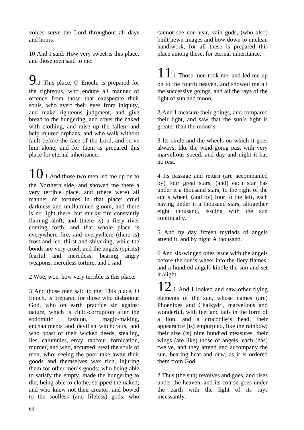voices serve the Lord throughout all days and hours.

10 And I said: How very sweet is this place, and those men said to me:

9.1 This place, O Enoch, is prepared for the righteous, who endure all manner of offence from those that exasperate their souls, who avert their eyes from iniquity, and make righteous judgment, and give bread to the hungering, and cover the naked with clothing, and raise up the fallen, and help injured orphans, and who walk without fault before the face of the Lord, and serve him alone, and for them is prepared this place for eternal inheritance.

10.1 And those two men led me up on to the Northern side, and showed me there a very terrible place, and (there were) all manner of tortures in that place: cruel darkness and unillumined gloom, and there is no light there, but murky fire constantly flaming aloft, and (there is) a fiery river coming forth, and that whole place is everywhere fire, and everywhere (there is) frost and ice, thirst and shivering, while the bonds are very cruel, and the angels (spirits) fearful and merciless, bearing angry weapons, merciless torture, and I said:

2 Woe, woe, how very terrible is this place.

3 And those men said to me: This place, O Enoch, is prepared for those who dishonour God, who on earth practice sin against nature, which is child-corruption after the sodomitic fashion, magic-making, enchantments and devilish witchcrafts, and who boast of their wicked deeds, stealing, lies, calumnies, envy, rancour, fornication, murder, and who, accursed, steal the souls of men, who, seeing the poor take away their goods and themselves wax rich, injuring them for other men's goods; who being able to satisfy the empty, made the hungering to die; being able to clothe, stripped the naked; and who knew not their creator, and bowed to the soulless (and lifeless) gods, who

cannot see nor hear, vain gods, (who also) built hewn images and bow down to unclean handiwork, for all these is prepared this place among these, for eternal inheritance.

11.1 Those men took me, and led me up on to the fourth heaven, and showed me all the successive goings, and all the rays of the light of sun and moon.

2 And I measure their goings, and compared their light, and saw that the sun's light is greater than the moon's.

3 Its circle and the wheels on which it goes always, like the wind going past with very marvellous speed, and day and night it has no rest.

4 Its passage and return (are accompanied by) four great stars, (and) each star has under it a thousand stars, to the right of the sun's wheel, (and by) four to the left, each having under it a thousand stars, altogether eight thousand, issuing with the sun continually.

5 And by day fifteen myriads of angels attend it, and by night A thousand.

6 And six-winged ones issue with the angels before the sun's wheel into the fiery flames, and a hundred angels kindle the sun and set it alight.

 $12$ .1 And I looked and saw other flying elements of the sun, whose names (are) Phoenixes and Chalkydri, marvellous and wonderful, with feet and tails in the form of a lion, and a crocodile's head, their appearance (is) empurpled, like the rainbow; their size (is) nine hundred measures, their wings (are like) those of angels, each (has) twelve, and they attend and accompany the sun, bearing heat and dew, as it is ordered them from God.

2 Thus (the sun) revolves and goes, and rises under the heaven, and its course goes under the earth with the light of its rays incessantly.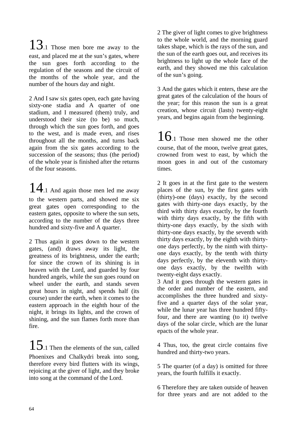$13.1$  Those men bore me away to the east, and placed me at the sun's gates, where the sun goes forth according to the regulation of the seasons and the circuit of the months of the whole year, and the number of the hours day and night.

2 And I saw six gates open, each gate having sixty-one stadia and A quarter of one stadium, and I measured (them) truly, and understood their size (to be) so much, through which the sun goes forth, and goes to the west, and is made even, and rises throughout all the months, and turns back again from the six gates according to the succession of the seasons; thus (the period) of the whole year is finished after the returns of the four seasons.

 $14$ .1 And again those men led me away to the western parts, and showed me six great gates open corresponding to the eastern gates, opposite to where the sun sets, according to the number of the days three hundred and sixty-five and A quarter.

2 Thus again it goes down to the western gates, (and) draws away its light, the greatness of its brightness, under the earth; for since the crown of its shining is in heaven with the Lord, and guarded by four hundred angels, while the sun goes round on wheel under the earth, and stands seven great hours in night, and spends half (its course) under the earth, when it comes to the eastern approach in the eighth hour of the night, it brings its lights, and the crown of shining, and the sun flames forth more than fire.

15.1 Then the elements of the sun, called Phoenixes and Chalkydri break into song, therefore every bird flutters with its wings, rejoicing at the giver of light, and they broke into song at the command of the Lord.

2 The giver of light comes to give brightness to the whole world, and the morning guard takes shape, which is the rays of the sun, and the sun of the earth goes out, and receives its brightness to light up the whole face of the earth, and they showed me this calculation of the sun's going.

3 And the gates which it enters, these are the great gates of the calculation of the hours of the year; for this reason the sun is a great creation, whose circuit (lasts) twenty-eight years, and begins again from the beginning.

 $16.1$  Those men showed me the other course, that of the moon, twelve great gates, crowned from west to east, by which the moon goes in and out of the customary times.

2 It goes in at the first gate to the western places of the sun, by the first gates with (thirty)-one (days) exactly, by the second gates with thirty-one days exactly, by the third with thirty days exactly, by the fourth with thirty days exactly, by the fifth with thirty-one days exactly, by the sixth with thirty-one days exactly, by the seventh with thirty days exactly, by the eighth with thirtyone days perfectly, by the ninth with thirtyone days exactly, by the tenth with thirty days perfectly, by the eleventh with thirtyone days exactly, by the twelfth with twenty-eight days exactly.

3 And it goes through the western gates in the order and number of the eastern, and accomplishes the three hundred and sixtyfive and a quarter days of the solar year, while the lunar year has three hundred fiftyfour, and there are wanting (to it) twelve days of the solar circle, which are the lunar epacts of the whole year.

4 Thus, too, the great circle contains five hundred and thirty-two years.

5 The quarter (of a day) is omitted for three years, the fourth fulfills it exactly.

6 Therefore they are taken outside of heaven for three years and are not added to the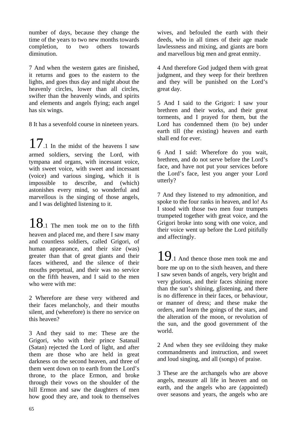number of days, because they change the time of the years to two new months towards completion, to two others towards diminution.

7 And when the western gates are finished, it returns and goes to the eastern to the lights, and goes thus day and night about the heavenly circles, lower than all circles, swifter than the heavenly winds, and spirits and elements and angels flying; each angel has six wings.

8 It has a sevenfold course in nineteen years.

17.1 In the midst of the heavens I saw armed soldiers, serving the Lord, with tympana and organs, with incessant voice, with sweet voice, with sweet and incessant (voice) and various singing, which it is impossible to describe, and (which) astonishes every mind, so wonderful and marvellous is the singing of those angels, and I was delighted listening to it.

18.1 The men took me on to the fifth heaven and placed me, and there I saw many and countless soldiers, called Grigori, of human appearance, and their size (was) greater than that of great giants and their faces withered, and the silence of their mouths perpetual, and their was no service on the fifth heaven, and I said to the men who were with me:

2 Wherefore are these very withered and their faces melancholy, and their mouths silent, and (wherefore) is there no service on this heaven?

3 And they said to me: These are the Grigori, who with their prince Satanail (Satan) rejected the Lord of light, and after them are those who are held in great darkness on the second heaven, and three of them went down on to earth from the Lord's throne, to the place Ermon, and broke through their vows on the shoulder of the hill Ermon and saw the daughters of men how good they are, and took to themselves

wives, and befouled the earth with their deeds, who in all times of their age made lawlessness and mixing, and giants are born and marvellous big men and great enmity.

4 And therefore God judged them with great judgment, and they weep for their brethren and they will be punished on the Lord's great day.

5 And I said to the Grigori: I saw your brethren and their works, and their great torments, and I prayed for them, but the Lord has condemned them (to be) under earth till (the existing) heaven and earth shall end for ever.

6 And I said: Wherefore do you wait, brethren, and do not serve before the Lord's face, and have not put your services before the Lord's face, lest you anger your Lord utterly?

7 And they listened to my admonition, and spoke to the four ranks in heaven, and lo! As I stood with those two men four trumpets trumpeted together with great voice, and the Grigori broke into song with one voice, and their voice went up before the Lord pitifully and affectingly.

19.1 And thence those men took me and bore me up on to the sixth heaven, and there I saw seven bands of angels, very bright and very glorious, and their faces shining more than the sun's shining, glistening, and there is no difference in their faces, or behaviour, or manner of dress; and these make the orders, and learn the goings of the stars, and the alteration of the moon, or revolution of the sun, and the good government of the world.

2 And when they see evildoing they make commandments and instruction, and sweet and loud singing, and all (songs) of praise.

3 These are the archangels who are above angels, measure all life in heaven and on earth, and the angels who are (appointed) over seasons and years, the angels who are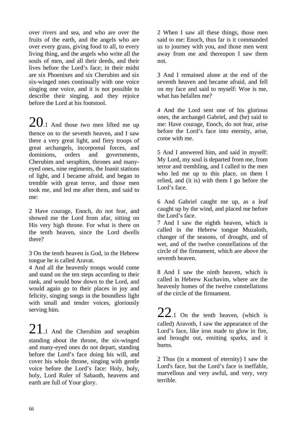over rivers and sea, and who are over the fruits of the earth, and the angels who are over every grass, giving food to all, to every living thing, and the angels who write all the souls of men, and all their deeds, and their lives before the Lord's face; in their midst are six Phoenixes and six Cherubim and six six-winged ones continually with one voice singing one voice, and it is not possible to describe their singing, and they rejoice before the Lord at his footstool.

20.1 And those two men lifted me up thence on to the seventh heaven, and I saw there a very great light, and fiery troops of great archangels, incorporeal forces, and dominions, orders and governments, Cherubim and seraphim, thrones and manyeyed ones, nine regiments, the Ioanit stations of light, and I became afraid, and began to tremble with great terror, and those men took me, and led me after them, and said to me:

2 Have courage, Enoch, do not fear, and showed me the Lord from afar, sitting on His very high throne. For what is there on the tenth heaven, since the Lord dwells there?

3 On the tenth heaven is God, in the Hebrew tongue he is called Aravat.

4 And all the heavenly troops would come and stand on the ten steps according to their rank, and would bow down to the Lord, and would again go to their places in joy and felicity, singing songs in the boundless light with small and tender voices, gloriously serving him.

 $21$ .1 And the Cherubim and seraphim standing about the throne, the six-winged and many-eyed ones do not depart, standing before the Lord's face doing his will, and cover his whole throne, singing with gentle voice before the Lord's face: Holy, holy, holy, Lord Ruler of Sabaoth, heavens and earth are full of Your glory.

2 When I saw all these things, those men said to me: Enoch, thus far is it commanded us to journey with you, and those men went away from me and thereupon I saw them not.

3 And I remained alone at the end of the seventh heaven and became afraid, and fell on my face and said to myself: Woe is me, what has befallen me?

4 And the Lord sent one of his glorious ones, the archangel Gabriel, and (he) said to me: Have courage, Enoch, do not fear, arise before the Lord's face into eternity, arise, come with me.

5 And I answered him, and said in myself: My Lord, my soul is departed from me, from terror and trembling, and I called to the men who led me up to this place, on them I relied, and (it is) with them I go before the Lord's face.

6 And Gabriel caught me up, as a leaf caught up by the wind, and placed me before the Lord's face.

7 And I saw the eighth heaven, which is called in the Hebrew tongue Muzaloth, changer of the seasons, of drought, and of wet, and of the twelve constellations of the circle of the firmament, which are above the seventh heaven.

8 And I saw the ninth heaven, which is called in Hebrew Kuchavim, where are the heavenly homes of the twelve constellations of the circle of the firmament.

 $22_{.1}$  On the tenth heaven, (which is called) Aravoth, I saw the appearance of the Lord's face, like iron made to glow in fire, and brought out, emitting sparks, and it burns.

2 Thus (in a moment of eternity) I saw the Lord's face, but the Lord's face is ineffable, marvellous and very awful, and very, very terrible.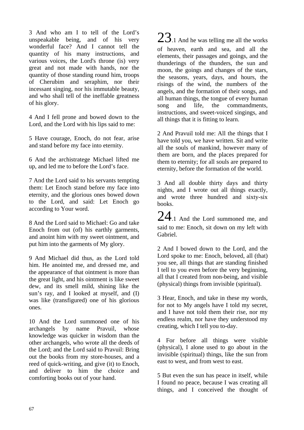3 And who am I to tell of the Lord's unspeakable being, and of his very wonderful face? And I cannot tell the quantity of his many instructions, and various voices, the Lord's throne (is) very great and not made with hands, nor the quantity of those standing round him, troops of Cherubim and seraphim, nor their incessant singing, nor his immutable beauty, and who shall tell of the ineffable greatness of his glory.

4 And I fell prone and bowed down to the Lord, and the Lord with his lips said to me:

5 Have courage, Enoch, do not fear, arise and stand before my face into eternity.

6 And the archistratege Michael lifted me up, and led me to before the Lord's face.

7 And the Lord said to his servants tempting them: Let Enoch stand before my face into eternity, and the glorious ones bowed down to the Lord, and said: Let Enoch go according to Your word.

8 And the Lord said to Michael: Go and take Enoch from out (of) his earthly garments, and anoint him with my sweet ointment, and put him into the garments of My glory.

9 And Michael did thus, as the Lord told him. He anointed me, and dressed me, and the appearance of that ointment is more than the great light, and his ointment is like sweet dew, and its smell mild, shining like the sun's ray, and I looked at myself, and (I) was like (transfigured) one of his glorious ones.

10 And the Lord summoned one of his archangels by name Pravuil, whose knowledge was quicker in wisdom than the other archangels, who wrote all the deeds of the Lord; and the Lord said to Pravuil: Bring out the books from my store-houses, and a reed of quick-writing, and give (it) to Enoch, and deliver to him the choice and comforting books out of your hand.

 $23.1$  And he was telling me all the works of heaven, earth and sea, and all the elements, their passages and goings, and the thunderings of the thunders, the sun and moon, the goings and changes of the stars, the seasons, years, days, and hours, the risings of the wind, the numbers of the angels, and the formation of their songs, and all human things, the tongue of every human song and life, the commandments, instructions, and sweet-voiced singings, and all things that it is fitting to learn.

2 And Pravuil told me: All the things that I have told you, we have written. Sit and write all the souls of mankind, however many of them are born, and the places prepared for them to eternity; for all souls are prepared to eternity, before the formation of the world.

3 And all double thirty days and thirty nights, and I wrote out all things exactly, and wrote three hundred and sixty-six books.

24.1 And the Lord summoned me, and said to me: Enoch, sit down on my left with Gabriel.

2 And I bowed down to the Lord, and the Lord spoke to me: Enoch, beloved, all (that) you see, all things that are standing finished I tell to you even before the very beginning, all that I created from non-being, and visible (physical) things from invisible (spiritual).

3 Hear, Enoch, and take in these my words, for not to My angels have I told my secret, and I have not told them their rise, nor my endless realm, nor have they understood my creating, which I tell you to-day.

4 For before all things were visible (physical), I alone used to go about in the invisible (spiritual) things, like the sun from east to west, and from west to east.

5 But even the sun has peace in itself, while I found no peace, because I was creating all things, and I conceived the thought of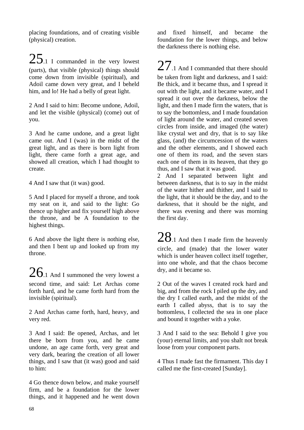placing foundations, and of creating visible (physical) creation.

 $25.1$  I commanded in the very lowest (parts), that visible (physical) things should come down from invisible (spiritual), and Adoil came down very great, and I beheld him, and lo! He had a belly of great light.

2 And I said to him: Become undone, Adoil, and let the visible (physical) (come) out of you.

3 And he came undone, and a great light came out. And I (was) in the midst of the great light, and as there is born light from light, there came forth a great age, and showed all creation, which I had thought to create.

4 And I saw that (it was) good.

5 And I placed for myself a throne, and took my seat on it, and said to the light: Go thence up higher and fix yourself high above the throne, and be A foundation to the highest things.

6 And above the light there is nothing else, and then I bent up and looked up from my throne.

 $26.1$  And I summoned the very lowest a second time, and said: Let Archas come forth hard, and he came forth hard from the invisible (spiritual).

2 And Archas came forth, hard, heavy, and very red.

3 And I said: Be opened, Archas, and let there be born from you, and he came undone, an age came forth, very great and very dark, bearing the creation of all lower things, and I saw that (it was) good and said to him:

4 Go thence down below, and make yourself firm, and be a foundation for the lower things, and it happened and he went down

and fixed himself, and became the foundation for the lower things, and below the darkness there is nothing else.

 $27<sub>.1</sub>$  And I commanded that there should be taken from light and darkness, and I said: Be thick, and it became thus, and I spread it out with the light, and it became water, and I spread it out over the darkness, below the light, and then I made firm the waters, that is to say the bottomless, and I made foundation of light around the water, and created seven circles from inside, and imaged (the water) like crystal wet and dry, that is to say like glass, (and) the circumcession of the waters and the other elements, and I showed each one of them its road, and the seven stars each one of them in its heaven, that they go thus, and I saw that it was good.

2 And I separated between light and between darkness, that is to say in the midst of the water hither and thither, and I said to the light, that it should be the day, and to the darkness, that it should be the night, and there was evening and there was morning the first day.

28.1 And then I made firm the heavenly circle, and (made) that the lower water which is under heaven collect itself together, into one whole, and that the chaos become dry, and it became so.

2 Out of the waves I created rock hard and big, and from the rock I piled up the dry, and the dry I called earth, and the midst of the earth I called abyss, that is to say the bottomless, I collected the sea in one place and bound it together with a yoke.

3 And I said to the sea: Behold I give you (your) eternal limits, and you shalt not break loose from your component parts.

4 Thus I made fast the firmament. This day I called me the first-created [Sunday].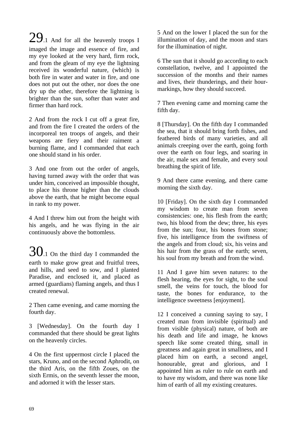29.1 And for all the heavenly troops I imaged the image and essence of fire, and my eye looked at the very hard, firm rock, and from the gleam of my eye the lightning received its wonderful nature, (which) is both fire in water and water in fire, and one does not put out the other, nor does the one dry up the other, therefore the lightning is brighter than the sun, softer than water and firmer than hard rock.

2 And from the rock I cut off a great fire, and from the fire I created the orders of the incorporeal ten troops of angels, and their weapons are fiery and their raiment a burning flame, and I commanded that each one should stand in his order.

3 And one from out the order of angels, having turned away with the order that was under him, conceived an impossible thought, to place his throne higher than the clouds above the earth, that he might become equal in rank to my power.

4 And I threw him out from the height with his angels, and he was flying in the air continuously above the bottomless.

30.1 On the third day I commanded the earth to make grow great and fruitful trees, and hills, and seed to sow, and I planted Paradise, and enclosed it, and placed as armed (guardians) flaming angels, and thus I created renewal.

2 Then came evening, and came morning the fourth day.

3 [Wednesday]. On the fourth day I commanded that there should be great lights on the heavenly circles.

4 On the first uppermost circle I placed the stars, Kruno, and on the second Aphrodit, on the third Aris, on the fifth Zoues, on the sixth Ermis, on the seventh lesser the moon, and adorned it with the lesser stars.

5 And on the lower I placed the sun for the illumination of day, and the moon and stars for the illumination of night.

6 The sun that it should go according to each constellation, twelve, and I appointed the succession of the months and their names and lives, their thunderings, and their hourmarkings, how they should succeed.

7 Then evening came and morning came the fifth day.

8 [Thursday]. On the fifth day I commanded the sea, that it should bring forth fishes, and feathered birds of many varieties, and all animals creeping over the earth, going forth over the earth on four legs, and soaring in the air, male sex and female, and every soul breathing the spirit of life.

9 And there came evening, and there came morning the sixth day.

10 [Friday]. On the sixth day I commanded my wisdom to create man from seven consistencies: one, his flesh from the earth; two, his blood from the dew; three, his eyes from the sun; four, his bones from stone; five, his intelligence from the swiftness of the angels and from cloud; six, his veins and his hair from the grass of the earth; seven, his soul from my breath and from the wind.

11 And I gave him seven natures: to the flesh hearing, the eyes for sight, to the soul smell, the veins for touch, the blood for taste, the bones for endurance, to the intelligence sweetness [enjoyment].

12 I conceived a cunning saying to say, I created man from invisible (spiritual) and from visible (physical) nature, of both are his death and life and image, he knows speech like some created thing, small in greatness and again great in smallness, and I placed him on earth, a second angel, honourable, great and glorious, and I appointed him as ruler to rule on earth and to have my wisdom, and there was none like him of earth of all my existing creatures.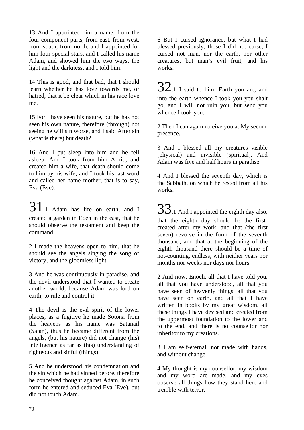13 And I appointed him a name, from the four component parts, from east, from west, from south, from north, and I appointed for him four special stars, and I called his name Adam, and showed him the two ways, the light and the darkness, and I told him:

14 This is good, and that bad, that I should learn whether he has love towards me, or hatred, that it be clear which in his race love me.

15 For I have seen his nature, but he has not seen his own nature, therefore (through) not seeing he will sin worse, and I said After sin (what is there) but death?

16 And I put sleep into him and he fell asleep. And I took from him A rib, and created him a wife, that death should come to him by his wife, and I took his last word and called her name mother, that is to say, Eva (Eve).

31.1 Adam has life on earth, and I created a garden in Eden in the east, that he should observe the testament and keep the command.

2 I made the heavens open to him, that he should see the angels singing the song of victory, and the gloomless light.

3 And he was continuously in paradise, and the devil understood that I wanted to create another world, because Adam was lord on earth, to rule and control it.

4 The devil is the evil spirit of the lower places, as a fugitive he made Sotona from the heavens as his name was Satanail (Satan), thus he became different from the angels, (but his nature) did not change (his) intelligence as far as (his) understanding of righteous and sinful (things).

5 And he understood his condemnation and the sin which he had sinned before, therefore he conceived thought against Adam, in such form he entered and seduced Eva (Eve), but did not touch Adam.

6 But I cursed ignorance, but what I had blessed previously, those I did not curse, I cursed not man, nor the earth, nor other creatures, but man's evil fruit, and his works.

 $32.1$  I said to him: Earth you are, and into the earth whence I took you you shalt go, and I will not ruin you, but send you whence I took you.

2 Then I can again receive you at My second presence.

3 And I blessed all my creatures visible (physical) and invisible (spiritual). And Adam was five and half hours in paradise.

4 And I blessed the seventh day, which is the Sabbath, on which he rested from all his works.

 $33.1$  And I appointed the eighth day also, that the eighth day should be the firstcreated after my work, and that (the first seven) revolve in the form of the seventh thousand, and that at the beginning of the eighth thousand there should be a time of not-counting, endless, with neither years nor months nor weeks nor days nor hours.

2 And now, Enoch, all that I have told you, all that you have understood, all that you have seen of heavenly things, all that you have seen on earth, and all that I have written in books by my great wisdom, all these things I have devised and created from the uppermost foundation to the lower and to the end, and there is no counsellor nor inheritor to my creations.

3 I am self-eternal, not made with hands, and without change.

4 My thought is my counsellor, my wisdom and my word are made, and my eyes observe all things how they stand here and tremble with terror.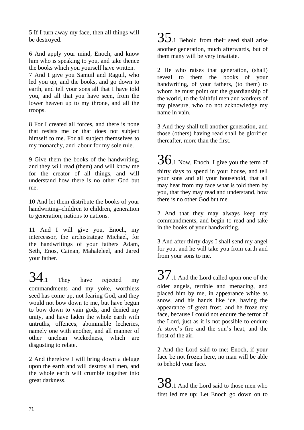5 If I turn away my face, then all things will be destroyed.

6 And apply your mind, Enoch, and know him who is speaking to you, and take thence the books which you yourself have written.

7 And I give you Samuil and Raguil, who led you up, and the books, and go down to earth, and tell your sons all that I have told you, and all that you have seen, from the lower heaven up to my throne, and all the troops.

8 For I created all forces, and there is none that resists me or that does not subject himself to me. For all subject themselves to my monarchy, and labour for my sole rule.

9 Give them the books of the handwriting, and they will read (them) and will know me for the creator of all things, and will understand how there is no other God but me.

10 And let them distribute the books of your handwriting–children to children, generation to generation, nations to nations.

11 And I will give you, Enoch, my intercessor, the archistratege Michael, for the handwritings of your fathers Adam, Seth, Enos, Cainan, Mahaleleel, and Jared your father.

 $34_{.1}$  They have rejected my commandments and my yoke, worthless seed has come up, not fearing God, and they would not bow down to me, but have begun to bow down to vain gods, and denied my unity, and have laden the whole earth with untruths, offences, abominable lecheries, namely one with another, and all manner of other unclean wickedness, which are disgusting to relate.

2 And therefore I will bring down a deluge upon the earth and will destroy all men, and the whole earth will crumble together into great darkness.

35.1 Behold from their seed shall arise another generation, much afterwards, but of them many will be very insatiate.

2 He who raises that generation, (shall) reveal to them the books of your handwriting, of your fathers, (to them) to whom he must point out the guardianship of the world, to the faithful men and workers of my pleasure, who do not acknowledge my name in vain.

3 And they shall tell another generation, and those (others) having read shall be glorified thereafter, more than the first.

36.1 Now, Enoch, I give you the term of thirty days to spend in your house, and tell your sons and all your household, that all may hear from my face what is told them by you, that they may read and understand, how there is no other God but me.

2 And that they may always keep my commandments, and begin to read and take in the books of your handwriting.

3 And after thirty days I shall send my angel for you, and he will take you from earth and from your sons to me.

 $37$ .1 And the Lord called upon one of the older angels, terrible and menacing, and placed him by me, in appearance white as snow, and his hands like ice, having the appearance of great frost, and he froze my face, because I could not endure the terror of the Lord, just as it is not possible to endure A stove's fire and the sun's heat, and the frost of the air.

2 And the Lord said to me: Enoch, if your face be not frozen here, no man will be able to behold your face.

 $38.1$  And the Lord said to those men who first led me up: Let Enoch go down on to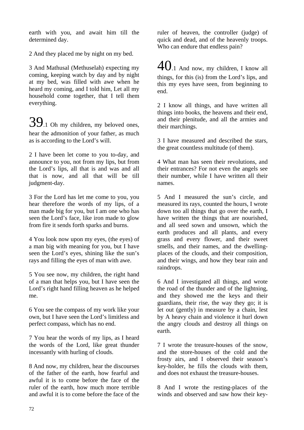earth with you, and await him till the determined day.

2 And they placed me by night on my bed.

3 And Mathusal (Methuselah) expecting my coming, keeping watch by day and by night at my bed, was filled with awe when he heard my coming, and I told him, Let all my household come together, that I tell them everything.

39.1 Oh my children, my beloved ones, hear the admonition of your father, as much as is according to the Lord's will.

2 I have been let come to you to-day, and announce to you, not from my lips, but from the Lord's lips, all that is and was and all that is now, and all that will be till judgment-day.

3 For the Lord has let me come to you, you hear therefore the words of my lips, of a man made big for you, but I am one who has seen the Lord's face, like iron made to glow from fire it sends forth sparks and burns.

4 You look now upon my eyes, (the eyes) of a man big with meaning for you, but I have seen the Lord's eyes, shining like the sun's rays and filling the eyes of man with awe.

5 You see now, my children, the right hand of a man that helps you, but I have seen the Lord's right hand filling heaven as he helped me.

6 You see the compass of my work like your own, but I have seen the Lord's limitless and perfect compass, which has no end.

7 You hear the words of my lips, as I heard the words of the Lord, like great thunder incessantly with hurling of clouds.

8 And now, my children, hear the discourses of the father of the earth, how fearful and awful it is to come before the face of the ruler of the earth, how much more terrible and awful it is to come before the face of the

ruler of heaven, the controller (judge) of quick and dead, and of the heavenly troops. Who can endure that endless pain?

 $40$ .1 And now, my children, I know all things, for this (is) from the Lord's lips, and this my eyes have seen, from beginning to end.

2 I know all things, and have written all things into books, the heavens and their end, and their plenitude, and all the armies and their marchings.

3 I have measured and described the stars, the great countless multitude (of them).

4 What man has seen their revolutions, and their entrances? For not even the angels see their number, while I have written all their names.

5 And I measured the sun's circle, and measured its rays, counted the hours, I wrote down too all things that go over the earth, I have written the things that are nourished, and all seed sown and unsown, which the earth produces and all plants, and every grass and every flower, and their sweet smells, and their names, and the dwellingplaces of the clouds, and their composition, and their wings, and how they bear rain and raindrops.

6 And I investigated all things, and wrote the road of the thunder and of the lightning, and they showed me the keys and their guardians, their rise, the way they go; it is let out (gently) in measure by a chain, lest by A heavy chain and violence it hurl down the angry clouds and destroy all things on earth.

7 I wrote the treasure-houses of the snow, and the store-houses of the cold and the frosty airs, and I observed their season's key-holder, he fills the clouds with them, and does not exhaust the treasure-houses.

8 And I wrote the resting-places of the winds and observed and saw how their key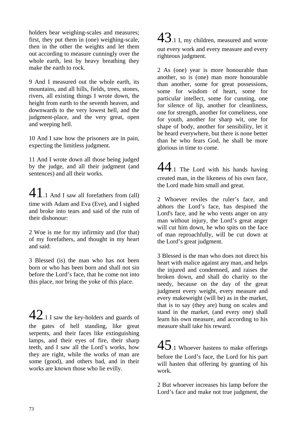holders bear weighing-scales and measures; first, they put them in (one) weighing-scale, then in the other the weights and let them out according to measure cunningly over the whole earth, lest by heavy breathing they make the earth to rock.

9 And I measured out the whole earth, its mountains, and all hills, fields, trees, stones, rivers, all existing things I wrote down, the height from earth to the seventh heaven, and downwards to the very lowest hell, and the judgment-place, and the very great, open and weeping hell.

10 And I saw how the prisoners are in pain, expecting the limitless judgment.

11 And I wrote down all those being judged by the judge, and all their judgment (and sentences) and all their works.

41.1 And I saw all forefathers from (all) time with Adam and Eva (Eve), and I sighed and broke into tears and said of the ruin of their dishonour:

2 Woe is me for my infirmity and (for that) of my forefathers, and thought in my heart and said:

3 Blessed (is) the man who has not been born or who has been born and shall not sin before the Lord's face, that he come not into this place, nor bring the yoke of this place.

 $42.1$  I saw the key-holders and guards of the gates of hell standing, like great serpents, and their faces like extinguishing lamps, and their eyes of fire, their sharp teeth, and I saw all the Lord's works, how they are right, while the works of man are some (good), and others bad, and in their works are known those who lie evilly.

43.1 I, my children, measured and wrote out every work and every measure and every righteous judgment.

2 As (one) year is more honourable than another, so is (one) man more honourable than another, some for great possessions, some for wisdom of heart, some for particular intellect, some for cunning, one for silence of lip, another for cleanliness, one for strength, another for comeliness, one for youth, another for sharp wit, one for shape of body, another for sensibility, let it be heard everywhere, but there is none better than he who fears God, he shall be more glorious in time to come.

44.1 The Lord with his hands having created man, in the likeness of his own face, the Lord made him small and great.

2 Whoever reviles the ruler's face, and abhors the Lord's face, has despised the Lord's face, and he who vents anger on any man without injury, the Lord's great anger will cut him down, he who spits on the face of man reproachfully, will be cut down at the Lord's great judgment.

3 Blessed is the man who does not direct his heart with malice against any man, and helps the injured and condemned, and raises the broken down, and shall do charity to the needy, because on the day of the great judgment every weight, every measure and every makeweight (will be) as in the market, that is to say (they are) hung on scales and stand in the market, (and every one) shall learn his own measure, and according to his measure shall take his reward.

 $45_{.1}$  Whoever hastens to make offerings before the Lord's face, the Lord for his part will hasten that offering by granting of his work.

2 But whoever increases his lamp before the Lord's face and make not true judgment, the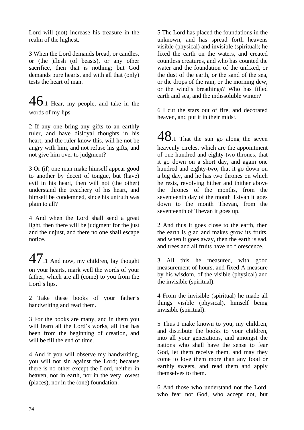Lord will (not) increase his treasure in the realm of the highest.

3 When the Lord demands bread, or candles, or (the )flesh (of beasts), or any other sacrifice, then that is nothing; but God demands pure hearts, and with all that (only) tests the heart of man.

 $46.1$  Hear, my people, and take in the words of my lips.

2 If any one bring any gifts to an earthly ruler, and have disloyal thoughts in his heart, and the ruler know this, will he not be angry with him, and not refuse his gifts, and not give him over to judgment?

3 Or (if) one man make himself appear good to another by deceit of tongue, but (have) evil in his heart, then will not (the other) understand the treachery of his heart, and himself be condemned, since his untruth was plain to all?

4 And when the Lord shall send a great light, then there will be judgment for the just and the unjust, and there no one shall escape notice.

47.1 And now, my children, lay thought on your hearts, mark well the words of your father, which are all (come) to you from the Lord's lips.

2 Take these books of your father's handwriting and read them.

3 For the books are many, and in them you will learn all the Lord's works, all that has been from the beginning of creation, and will be till the end of time.

4 And if you will observe my handwriting, you will not sin against the Lord; because there is no other except the Lord, neither in heaven, nor in earth, nor in the very lowest (places), nor in the (one) foundation.

5 The Lord has placed the foundations in the unknown, and has spread forth heavens visible (physical) and invisible (spiritual); he fixed the earth on the waters, and created countless creatures, and who has counted the water and the foundation of the unfixed, or the dust of the earth, or the sand of the sea, or the drops of the rain, or the morning dew, or the wind's breathings? Who has filled earth and sea, and the indissoluble winter?

6 I cut the stars out of fire, and decorated heaven, and put it in their midst.

48.1 That the sun go along the seven heavenly circles, which are the appointment of one hundred and eighty-two thrones, that it go down on a short day, and again one hundred and eighty-two, that it go down on a big day, and he has two thrones on which he rests, revolving hither and thither above the thrones of the months, from the seventeenth day of the month Tsivan it goes down to the month Thevan, from the seventeenth of Thevan it goes up.

2 And thus it goes close to the earth, then the earth is glad and makes grow its fruits, and when it goes away, then the earth is sad, and trees and all fruits have no florescence.

3 All this he measured, with good measurement of hours, and fixed A measure by his wisdom, of the visible (physical) and the invisible (spiritual).

4 From the invisible (spiritual) he made all things visible (physical), himself being invisible (spiritual).

5 Thus I make known to you, my children, and distribute the books to your children, into all your generations, and amongst the nations who shall have the sense to fear God, let them receive them, and may they come to love them more than any food or earthly sweets, and read them and apply themselves to them.

6 And those who understand not the Lord, who fear not God, who accept not, but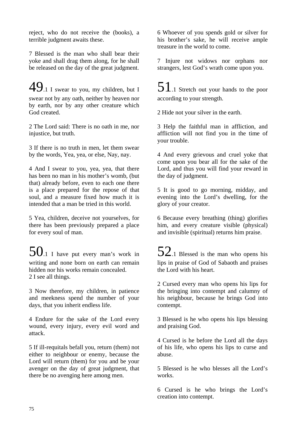reject, who do not receive the (books), a terrible judgment awaits these.

7 Blessed is the man who shall bear their yoke and shall drag them along, for he shall be released on the day of the great judgment.

49.1 I swear to you, my children, but I swear not by any oath, neither by heaven nor by earth, nor by any other creature which God created.

2 The Lord said: There is no oath in me, nor injustice, but truth.

3 If there is no truth in men, let them swear by the words, Yea, yea, or else, Nay, nay.

4 And I swear to you, yea, yea, that there has been no man in his mother's womb, (but that) already before, even to each one there is a place prepared for the repose of that soul, and a measure fixed how much it is intended that a man be tried in this world.

5 Yea, children, deceive not yourselves, for there has been previously prepared a place for every soul of man.

 $50<sub>1</sub>$  I have put every man's work in writing and none born on earth can remain hidden nor his works remain concealed. 2 I see all things.

3 Now therefore, my children, in patience and meekness spend the number of your days, that you inherit endless life.

4 Endure for the sake of the Lord every wound, every injury, every evil word and attack.

5 If ill-requitals befall you, return (them) not either to neighbour or enemy, because the Lord will return (them) for you and be your avenger on the day of great judgment, that there be no avenging here among men.

6 Whoever of you spends gold or silver for his brother's sake, he will receive ample treasure in the world to come.

7 Injure not widows nor orphans nor strangers, lest God's wrath come upon you.

51.1 Stretch out your hands to the poor according to your strength.

2 Hide not your silver in the earth.

3 Help the faithful man in affliction, and affliction will not find you in the time of your trouble.

4 And every grievous and cruel yoke that come upon you bear all for the sake of the Lord, and thus you will find your reward in the day of judgment.

5 It is good to go morning, midday, and evening into the Lord's dwelling, for the glory of your creator.

6 Because every breathing (thing) glorifies him, and every creature visible (physical) and invisible (spiritual) returns him praise.

 $52<sub>0.1</sub>$  Blessed is the man who opens his lips in praise of God of Sabaoth and praises the Lord with his heart.

2 Cursed every man who opens his lips for the bringing into contempt and calumny of his neighbour, because he brings God into contempt.

3 Blessed is he who opens his lips blessing and praising God.

4 Cursed is he before the Lord all the days of his life, who opens his lips to curse and abuse.

5 Blessed is he who blesses all the Lord's works.

6 Cursed is he who brings the Lord's creation into contempt.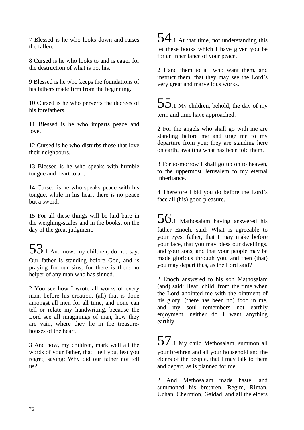7 Blessed is he who looks down and raises the fallen.

8 Cursed is he who looks to and is eager for the destruction of what is not his.

9 Blessed is he who keeps the foundations of his fathers made firm from the beginning.

10 Cursed is he who perverts the decrees of his forefathers.

11 Blessed is he who imparts peace and love.

12 Cursed is he who disturbs those that love their neighbours.

13 Blessed is he who speaks with humble tongue and heart to all.

14 Cursed is he who speaks peace with his tongue, while in his heart there is no peace but a sword.

15 For all these things will be laid bare in the weighing-scales and in the books, on the day of the great judgment.

 $53.1$  And now, my children, do not say: Our father is standing before God, and is praying for our sins, for there is there no helper of any man who has sinned.

2 You see how I wrote all works of every man, before his creation, (all) that is done amongst all men for all time, and none can tell or relate my handwriting, because the Lord see all imaginings of man, how they are vain, where they lie in the treasurehouses of the heart.

3 And now, my children, mark well all the words of your father, that I tell you, lest you regret, saying: Why did our father not tell us?

 $54$ .1 At that time, not understanding this let these books which I have given you be for an inheritance of your peace.

2 Hand them to all who want them, and instruct them, that they may see the Lord's very great and marvellous works.

 $55$ .1 My children, behold, the day of my term and time have approached.

2 For the angels who shall go with me are standing before me and urge me to my departure from you; they are standing here on earth, awaiting what has been told them.

3 For to-morrow I shall go up on to heaven, to the uppermost Jerusalem to my eternal inheritance.

4 Therefore I bid you do before the Lord's face all (his) good pleasure.

 $56$ .1 Mathosalam having answered his father Enoch, said: What is agreeable to your eyes, father, that I may make before your face, that you may bless our dwellings, and your sons, and that your people may be made glorious through you, and then (that) you may depart thus, as the Lord said?

2 Enoch answered to his son Mathosalam (and) said: Hear, child, from the time when the Lord anointed me with the ointment of his glory, (there has been no) food in me, and my soul remembers not earthly enjoyment, neither do I want anything earthly.

 $57<sub>.1</sub>$  My child Methosalam, summon all your brethren and all your household and the elders of the people, that I may talk to them and depart, as is planned for me.

2 And Methosalam made haste, and summoned his brethren, Regim, Riman, Uchan, Chermion, Gaidad, and all the elders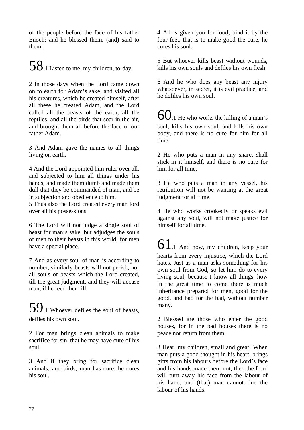of the people before the face of his father Enoch; and he blessed them, (and) said to them:

 $58$ .1 Listen to me, my children, to-day.

2 In those days when the Lord came down on to earth for Adam's sake, and visited all his creatures, which he created himself, after all these he created Adam, and the Lord called all the beasts of the earth, all the reptiles, and all the birds that soar in the air, and brought them all before the face of our father Adam.

3 And Adam gave the names to all things living on earth.

4 And the Lord appointed him ruler over all, and subjected to him all things under his hands, and made them dumb and made them dull that they be commanded of man, and be in subjection and obedience to him.

5 Thus also the Lord created every man lord over all his possessions.

6 The Lord will not judge a single soul of beast for man's sake, but adjudges the souls of men to their beasts in this world; for men have a special place.

7 And as every soul of man is according to number, similarly beasts will not perish, nor all souls of beasts which the Lord created, till the great judgment, and they will accuse man, if he feed them ill.

59.1 Whoever defiles the soul of beasts, defiles his own soul.

2 For man brings clean animals to make sacrifice for sin, that he may have cure of his soul.

3 And if they bring for sacrifice clean animals, and birds, man has cure, he cures his soul.

4 All is given you for food, bind it by the four feet, that is to make good the cure, he cures his soul.

5 But whoever kills beast without wounds, kills his own souls and defiles his own flesh.

6 And he who does any beast any injury whatsoever, in secret, it is evil practice, and he defiles his own soul.

 $60$ .1 He who works the killing of a man's soul, kills his own soul, and kills his own body, and there is no cure for him for all time.

2 He who puts a man in any snare, shall stick in it himself, and there is no cure for him for all time.

3 He who puts a man in any vessel, his retribution will not be wanting at the great judgment for all time.

4 He who works crookedly or speaks evil against any soul, will not make justice for himself for all time.

 $61$ .1 And now, my children, keep your hearts from every injustice, which the Lord hates. Just as a man asks something for his own soul from God, so let him do to every living soul, because I know all things, how in the great time to come there is much inheritance prepared for men, good for the good, and bad for the bad, without number many.

2 Blessed are those who enter the good houses, for in the bad houses there is no peace nor return from them.

3 Hear, my children, small and great! When man puts a good thought in his heart, brings gifts from his labours before the Lord's face and his hands made them not, then the Lord will turn away his face from the labour of his hand, and (that) man cannot find the labour of his hands.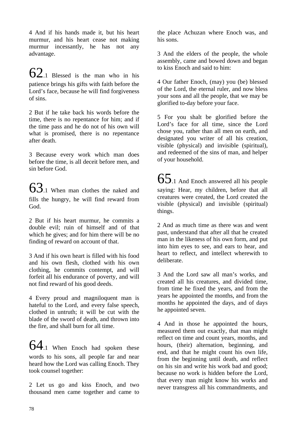4 And if his hands made it, but his heart murmur, and his heart cease not making murmur incessantly, he has not any advantage.

 $62.1$  Blessed is the man who in his patience brings his gifts with faith before the Lord's face, because he will find forgiveness of sins.

2 But if he take back his words before the time, there is no repentance for him; and if the time pass and he do not of his own will what is promised, there is no repentance after death.

3 Because every work which man does before the time, is all deceit before men, and sin before God.

 $63.1$  When man clothes the naked and fills the hungry, he will find reward from God.

2 But if his heart murmur, he commits a double evil; ruin of himself and of that which he gives; and for him there will be no finding of reward on account of that.

3 And if his own heart is filled with his food and his own flesh, clothed with his own clothing, he commits contempt, and will forfeit all his endurance of poverty, and will not find reward of his good deeds.

4 Every proud and magniloquent man is hateful to the Lord, and every false speech, clothed in untruth; it will be cut with the blade of the sword of death, and thrown into the fire, and shall burn for all time.

 $64_{.1}$  When Enoch had spoken these words to his sons, all people far and near heard how the Lord was calling Enoch. They took counsel together:

2 Let us go and kiss Enoch, and two thousand men came together and came to

the place Achuzan where Enoch was, and his sons.

3 And the elders of the people, the whole assembly, came and bowed down and began to kiss Enoch and said to him:

4 Our father Enoch, (may) you (be) blessed of the Lord, the eternal ruler, and now bless your sons and all the people, that we may be glorified to-day before your face.

5 For you shalt be glorified before the Lord's face for all time, since the Lord chose you, rather than all men on earth, and designated you writer of all his creation, visible (physical) and invisible (spiritual), and redeemed of the sins of man, and helper of your household.

65.1 And Enoch answered all his people saying: Hear, my children, before that all creatures were created, the Lord created the visible (physical) and invisible (spiritual) things.

2 And as much time as there was and went past, understand that after all that he created man in the likeness of his own form, and put into him eyes to see, and ears to hear, and heart to reflect, and intellect wherewith to deliberate.

3 And the Lord saw all man's works, and created all his creatures, and divided time, from time he fixed the years, and from the years he appointed the months, and from the months he appointed the days, and of days he appointed seven.

4 And in those he appointed the hours, measured them out exactly, that man might reflect on time and count years, months, and hours, (their) alternation, beginning, and end, and that he might count his own life, from the beginning until death, and reflect on his sin and write his work bad and good; because no work is hidden before the Lord, that every man might know his works and never transgress all his commandments, and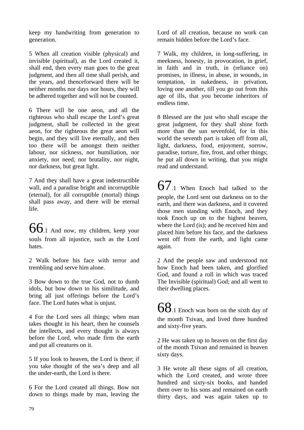keep my handwriting from generation to generation.

5 When all creation visible (physical) and invisible (spiritual), as the Lord created it, shall end, then every man goes to the great judgment, and then all time shall perish, and the years, and thenceforward there will be neither months nor days nor hours, they will be adhered together and will not be counted.

6 There will be one aeon, and all the righteous who shall escape the Lord's great judgment, shall be collected in the great aeon, for the righteous the great aeon will begin, and they will live eternally, and then too there will be amongst them neither labour, nor sickness, nor humiliation, nor anxiety, nor need, nor brutality, nor night, nor darkness, but great light.

7 And they shall have a great indestructible wall, and a paradise bright and incorruptible (eternal), for all corruptible (mortal) things shall pass away, and there will be eternal life.

 $66$ .1 And now, my children, keep your souls from all injustice, such as the Lord hates.

2 Walk before his face with terror and trembling and serve him alone.

3 Bow down to the true God, not to dumb idols, but bow down to his similitude, and bring all just offerings before the Lord's face. The Lord hates what is unjust.

4 For the Lord sees all things; when man takes thought in his heart, then he counsels the intellects, and every thought is always before the Lord, who made firm the earth and put all creatures on it.

5 If you look to heaven, the Lord is there; if you take thought of the sea's deep and all the under-earth, the Lord is there.

6 For the Lord created all things. Bow not down to things made by man, leaving the Lord of all creation, because no work can remain hidden before the Lord's face.

7 Walk, my children, in long-suffering, in meekness, honesty, in provocation, in grief, in faith and in truth, in (reliance on) promises, in illness, in abuse, in wounds, in temptation, in nakedness, in privation, loving one another, till you go out from this age of ills, that you become inheritors of endless time.

8 Blessed are the just who shall escape the great judgment, for they shall shine forth more than the sun sevenfold, for in this world the seventh part is taken off from all, light, darkness, food, enjoyment, sorrow, paradise, torture, fire, frost, and other things; he put all down in writing, that you might read and understand.

67.1 When Enoch had talked to the people, the Lord sent out darkness on to the earth, and there was darkness, and it covered those men standing with Enoch, and they took Enoch up on to the highest heaven, where the Lord (is); and he received him and placed him before his face, and the darkness went off from the earth, and light came again.

2 And the people saw and understood not how Enoch had been taken, and glorified God, and found a roll in which was traced The Invisible (spiritual) God; and all went to their dwelling places.

 $68.1$  Enoch was born on the sixth day of the month Tsivan, and lived three hundred and sixty-five years.

2 He was taken up to heaven on the first day of the month Tsivan and remained in heaven sixty days.

3 He wrote all these signs of all creation, which the Lord created, and wrote three hundred and sixty-six books, and handed them over to his sons and remained on earth thirty days, and was again taken up to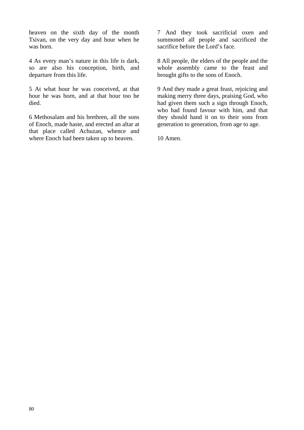heaven on the sixth day of the month Tsivan, on the very day and hour when he was born.

4 As every man's nature in this life is dark, so are also his conception, birth, and departure from this life.

5 At what hour he was conceived, at that hour he was born, and at that hour too he died.

6 Methosalam and his brethren, all the sons of Enoch, made haste, and erected an altar at that place called Achuzan, whence and where Enoch had been taken up to heaven. 10 Amen.

7 And they took sacrificial oxen and summoned all people and sacrificed the sacrifice before the Lord's face.

8 All people, the elders of the people and the whole assembly came to the feast and brought gifts to the sons of Enoch.

9 And they made a great feast, rejoicing and making merry three days, praising God, who had given them such a sign through Enoch, who had found favour with him, and that they should hand it on to their sons from generation to generation, from age to age.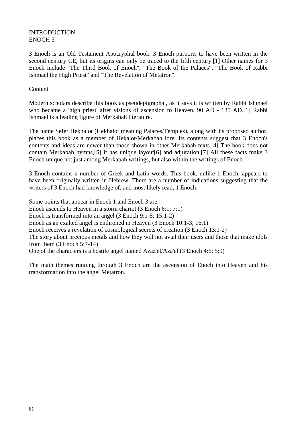## INTRODUCTION ENOCH 3

3 Enoch is an Old Testament Apocryphal book. 3 Enoch purports to have been written in the second century CE, but its origins can only be traced to the fifth century.[1] Other names for 3 Enoch include "The Third Book of Enoch", "The Book of the Palaces", "The Book of Rabbi Ishmael the High Priest" and "The Revelation of Metatron".

#### **Content**

Modern scholars describe this book as pseudepigraphal, as it says it is written by Rabbi Ishmael who became a 'high priest' after visions of ascension to Heaven, 90 AD - 135 AD.[1] Rabbi Ishmael is a leading figure of Merkabah literature.

The name Sefer Hekhalot (Hekhalot meaning Palaces/Temples), along with its proposed author, places this book as a member of Hekalot/Merkabah lore. Its contents suggest that 3 Enoch's contents and ideas are newer than those shown in other Merkabah texts.[4] The book does not contain Merkabah hymns,[5] it has unique layout[6] and adjuration.[7] All these facts make 3 Enoch unique not just among Merkabah writings, but also within the writings of Enoch.

3 Enoch contains a number of Greek and Latin words. This book, unlike 1 Enoch, appears to have been originally written in Hebrew. There are a number of indications suggesting that the writers of 3 Enoch had knowledge of, and most likely read, 1 Enoch.

Some points that appear in Enoch 1 and Enoch 3 are:

Enoch ascends to Heaven in a storm chariot (3 Enoch 6:1; 7:1)

Enoch is transformed into an angel (3 Enoch 9:1-5; 15:1-2)

Enoch as an exalted angel is enthroned in Heaven (3 Enoch 10:1-3; 16:1)

Enoch receives a revelation of cosmological secrets of creation (3 Enoch 13:1-2)

The story about precious metals and how they will not avail their users and those that make idols from them (3 Enoch 5:7-14)

One of the characters is a hostile angel named Azaz'el/Aza'el (3 Enoch 4:6; 5:9)

The main themes running through 3 Enoch are the ascension of Enoch into Heaven and his transformation into the angel Metatron.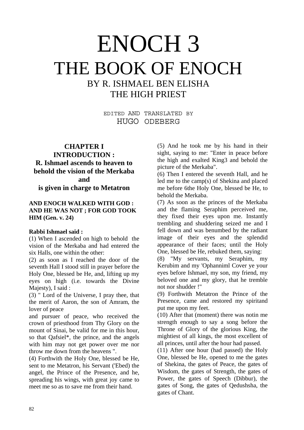# ENOCH 3 THE BOOK OF ENOCH

BY R. ISHMAEL BEN ELISHA THE HIGH PRIEST

> EDITED AND TRANSLATED BY HUGO ODEBERG

# **CHAPTER I INTRODUCTION : R. Ishmael ascends to heaven to behold the vision of the Merkaba and is given in charge to Metatron**

#### **AND ENOCH WALKED WITH GOD : AND HE WAS NOT ; FOR GOD TOOK HIM (Gen. v. 24)**

## **Rabbi Ishmael said :**

(1) When I ascended on high to behold the vision of the Merkaba and had entered the six Halls, one within the other:

(2) as soon as I reached the door of the seventh Hall I stood still in prayer before the Holy One, blessed be He, and, lifting up my eyes on high (i.e. towards the Divine Majesty), I said :

(3) " Lord of the Universe, I pray thee, that the merit of Aaron, the son of Amram, the lover of peace

and pursuer of peace, who received the crown of priesthood from Thy Glory on the mount of Sinai, be valid for me in this hour, so that Qafsiel\*, the prince, and the angels with him may not get power over me nor throw me down from the heavens ".

(4) Forthwith the Holy One, blessed be He, sent to me Metatron, his Servant ('Ebed) the angel, the Prince of the Presence, and he, spreading his wings, with great joy came to meet me so as to save me from their hand.

(5) And he took me by his hand in their sight, saying to me: "Enter in peace before the high and exalted King3 and behold the picture of the Merkaba".

(6) Then I entered the seventh Hall, and he led me to the camp(s) of Shekina and placed me before 6the Holy One, blessed be He, to behold the Merkaba.

(7) As soon as the princes of the Merkaba and the flaming Seraphim perceived me, they fixed their eyes upon me. Instantly trembling and shuddering seized me and I fell down and was benumbed by the radiant image of their eyes and the splendid appearance of their faces; until the Holy One, blessed be He, rebuked them, saying:

(8) "My servants, my Seraphim, my Kerubim and my 'Ophanniml Cover ye your eyes before Ishmael, my son, my friend, my beloved one and my glory, that he tremble not nor shudder !"

(9) Forthwith Metatron the Prince of the Presence, came and restored my spiritand put me upon my feet.

(10) After that (moment) there was notin me strength enough to say a song before the Throne of Glory of the glorious King, the mightiest of all kings, the most excellent of all princes, until after the hour had passed.

(11) After one hour (had passed) the Holy One, blessed be He, opened to me the gates of Shekina, the gates of Peace, the gates of Wisdom, the gates of Strength, the gates of Power, the gates of Speech (Dibbur), the gates of Song, the gates of Qedushsha, the gates of Chant.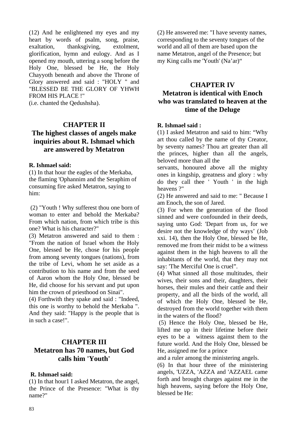(12) And he enlightened my eyes and my heart by words of psalm, song, praise, exaltation, thanksgiving, extolment, glorification, hymn and eulogy. And as I opened my mouth, uttering a song before the Holy One, blessed be He, the Holy Chayyoth beneath and above the Throne of Glory answered and said : "HOLY " and "BLESSED BE THE GLORY OF YHWH FROM HIS PLACE !"

(i.e. chanted the Qedushsha).

## **CHAPTER II**

# **The highest classes of angels make inquiries about R. Ishmael which are answered by Metatron**

#### **R. Ishmael said:**

(1) In that hour the eagles of the Merkaba, the flaming 'Ophannim and the Seraphim of consuming fire asked Metatron, saying to him:

 (2) "Youth ! Why sufferest thou one born of woman to enter and behold the Merkaba? From which nation, from which tribe is this one? What is his character?"

(3) Metatron answered and said to them : "From the nation of Israel whom the Holy One, blessed be He, chose for his people from among seventy tongues (nations), from the tribe of Levi, whom he set aside as a contribution to his name and from the seed of Aaron whom the Holy One, blessed be He, did choose for his servant and put upon him the crown of priesthood on Sinai".

(4) Forthwith they spake and said : "Indeed, this one is worthy to behold the Merkaba ". And they said: "Happy is the people that is in such a case!".

## **CHAPTER III Metatron has 70 names, but God calls him 'Youth'**

#### **R. Ishmael said:**

(1) In that hour1 I asked Metatron, the angel, the Prince of the Presence: "What is thy name?"

(2) He answered me: "I have seventy names, corresponding to the seventy tongues of the world and all of them are based upon the name Metatron, angel of the Presence; but my King calls me 'Youth' (Na'ar)"

# **CHAPTER IV Metatron is identical with Enoch who was translated to heaven at the time of the Deluge**

#### **R. Ishmael said :**

(1) I asked Metatron and said to him: "Why art thou called by the name of thy Creator, by seventy names? Thou art greater than all the princes, higher than all the angels, beloved more than all the

servants, honoured above all the mighty ones in kingship, greatness and glory : why do they call thee ' Youth ' in the high heavens ?"

(2) He answered and said to me: " Because I am Enoch, the son of Jared.

(3) For when the generation of the flood sinned and were confounded in their deeds, saying unto God: 'Depart from us, for we desire not the knowledge of thy ways' (Job xxi. 14), then the Holy One, blessed be He, removed me from their midst to be a witness against them in the high heavens to all the inhabitants of the world, that they may not say: 'The Merciful One is cruel".

(4) What sinned all those multitudes, their wives, their sons and their, daughters, their horses, their mules and their cattle and their property, and all the birds of the world, all of which the Holy One, blessed be He, destroyed from the world together with them in the waters of the flood?

 (5) Hence the Holy One, blessed be He, lifted me up in their lifetime before their eyes to be a witness against them to the future world. And the Holy One, blessed be He, assigned me for a prince

and a ruler among the ministering angels.

(6) In that hour three of the ministering angels, 'UZZA, 'AZZA and 'AZZAEL came forth and brought charges against me in the high heavens, saying before the Holy One, blessed be He: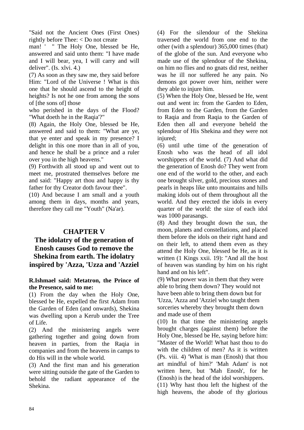"Said not the Ancient Ones (First Ones) rightly before Thee: < Do not create

man! ' " The Holy One, blessed be He, answered and said unto them: "I have made and I will bear, yea, I will carry and will deliver". (Is. xlvi. 4.)

(7) As soon as they saw me, they said before Him: "Lord of the Universe ! What is this one that he should ascend to the height of heights? Is not he one from among the sons of [the sons of] those

who perished in the days of the Flood? "What doeth he in the Raqia'?"

(8) Again, the Holy One, blessed be He, answered and said to them: "What are ye, that ye enter and speak in my presence? I delight in this one more than in all of you, and hence he shall be a prince and a ruler over you in the high heavens."

(9) Forthwith all stood up and went out to meet me, prostrated themselves before me and said: "Happy art thou and happy is thy father for thy Creator doth favour thee".

(10) And because I am small and a youth among them in days, months and years, therefore they call me "Youth" (Na'ar).

## **CHAPTER V**

## **The idolatry of the generation of Enosh causes God to remove the Shekina from earth. The idolatry inspired by 'Azza, 'Uzza and 'Azziel**

#### **R.Ishmael said: Metatron, the Prince of the Presence, said to me:**

(1) From the day when the Holy One, blessed be He, expelled the first Adam from the Garden of Eden (and onwards), Shekina was dwelling upon a Kerub under the Tree of Life.

(2) And the ministering angels were gathering together and going down from heaven in parties, from the Raqia in companies and from the heavens in camps to do His will in the whole world.

(3) And the first man and his generation were sitting outside the gate of the Garden to behold the radiant appearance of the Shekina.

(4) For the silendour of the Shekina traversed the world from one end to the other (with a splendour) 365,000 times (that) of the globe of the sun. And everyone who made use of the splendour of the Shekina, on him no flies and no gnats did rest, neither was he ill nor suffered he any pain. No demons got power over him, neither were they able to injure him.

(5) When the Holy One, blessed be He, went out and went in: from the Garden to Eden, from Eden to the Garden, from the Garden to Raqia and from Raqia to the Garden of Eden then all and everyone beheld the splendour of His Shekina and they were not injured;

(6) until uthe time of the generation of Enosh who was the head of all idol worshippers of the world. (7) And what did the generation of Enosh do? They went from one end of the world to the other, and each one brought silver, gold, precious stones and pearls in heaps like unto mountains and hills making idols out of them throughout all the world. And they erected the idols in every quarter of the world: the size of each idol was 1000 parasangs.

(8) And they brought down the sun, the moon, planets and constellations, and placed them before the idols on their right hand and on their left, to attend them even as they attend the Holy One, blessed be He, as it is written (1 Kings xxii. 19): "And all the host of heaven was standing by him on his right hand and on his left".

(9) What power was in them that they were able to bring them down? They would not have been able to bring them down but for 'Uzza, 'Azza and 'Azziel who taught them sorceries whereby they brought them down and made use of them

(10) In that time the ministering angels brought charges (against them) before the Holy One, blessed be He, saying before him: "Master of the World! What hast thou to do with the children of men? As it is written (Ps. viii. 4) 'What is man (Enosh) that thou art mindful of him?' 'Mah Adam' is not written here, but 'Mah Enosh', for he (Enosh) is the head of the idol worshippers.

(11) Why hast thou left the highest of the high heavens, the abode of thy glorious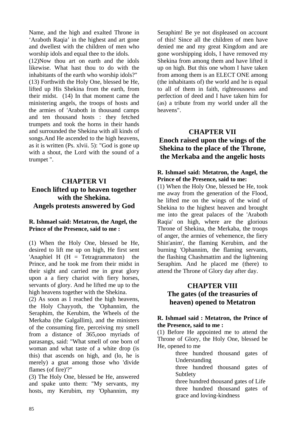Name, and the high and exalted Throne in 'Araboth Raqia' in the highest and art gone and dwellest with the children of men who worship idols and equal thee to the idols.

(12)Now thou art on earth and the idols likewise. What hast thou to do with the inhabitants of the earth who worship idols?" (13) Forthwith the Holy One, blessed be He, lifted up His Shekina from the earth, from their midst. (14) In that moment came the ministering angels, the troops of hosts and the armies of 'Araboth in thousand camps and ten thousand hosts : they fetched trumpets and took the horns in their hands and surrounded the Shekina with all kinds of songs.And He ascended to the high heavens, as it is written (Ps. xlvii. 5): "God is gone up with a shout, the Lord with the sound of a trumpet ".

# **CHAPTER VI Enoch lifted up to heaven together with the Shekina. Angels protests answered by God**

## **R. Ishmael said: Metatron, the Angel, the Prince of the Presence, said to me :**

(1) When the Holy One, blessed be He, desired to lift me up on high, He first sent 'Anaphiel H  $(H = Tetragrammaton)$  the Prince, and he took me from their midst in their sight and carried me in great glory upon a a fiery chariot with fiery horses, servants of glory. And he lifted me up to the high heavens together with the Shekina.

(2) As soon as I reached the high heavens, the Holy Chayyoth, the 'Ophannim, the Seraphim, the Kerubim, the Wheels of the Merkaba (the Galgallim), and the ministers of the consuming fire, perceiving my smell from a distance of 365,ooo myriads of parasangs, said: "What smell of one born of woman and what taste of a white drop (is this) that ascends on high, and (lo, he is merely) a gnat among those who 'divide flames (of fire)'?"

(3) The Holy One, blessed be He, answered and spake unto them: "My servants, my hosts, my Kerubim, my 'Ophannim, my

Seraphim! Be ye not displeased on account of this! Since all the children of men have denied me and my great Kingdom and are gone worshipping idols, I have removed my Shekina from among them and have lifted it up on high. But this one whom I have taken from among them is an ELECT ONE among (the inhabitants of) the world and he is equal to all of them in faith, righteousness and perfection of deed and I have taken him for (as) a tribute from my world under all the heavens".

## **CHAPTER VII**

**Enoch raised upon the wings of the Shekina to the place of the Throne, the Merkaba and the angelic hosts** 

## **R. Ishmael said: Metatron, the Angel, the Prince of the Presence, said to me:**

(1) When the Holy One, blessed be He, took me away from the generation of the Flood, he lifted me on the wings of the wind of Shekina to the highest heaven and brought me into the great palaces of the 'Araboth Raqia' on high, where are the glorious Throne of Shekina, the Merkaba, the troops of anger, the armies of vehemence, the fiery Shin'anim', the flaming Kerubim, and the burning 'Ophannim, the flaming servants, the flashing Chashmattim and the lightening Seraphim. And he placed me (there) to attend the Throne of Glory day after day.

# **CHAPTER VIII The gates (of the treasuries of heaven) opened to Metatron**

## **R. Ishmael said : Metatron, the Prince of the Presence, said to me :**

(1) Before He appointed me to attend the Throne of Glory, the Holy One, blessed be He, opened to me

> three hundred thousand gates of Understanding

three hundred thousand gates of Subtlety

three hundred thousand gates of Life three hundred thousand gates of grace and loving-kindness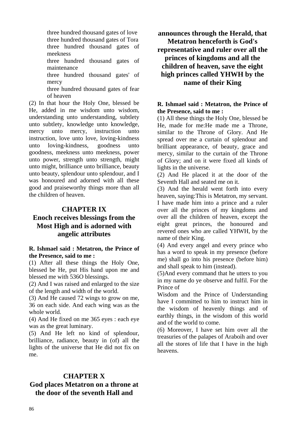three hundred thousand gates of love three hundred thousand gates of Tora three hundred thousand gates of meekness three hundred thousand gates of maintenance three hundred thousand gates' of mercy three hundred thousand gates of fear of heaven

(2) In that hour the Holy One, blessed be He, added in me wisdom unto wisdom, understanding unto understanding, subtlety unto subtlety, knowledge unto knowledge, mercy unto mercy, instruction unto instruction, love unto love, loving-kindness unto loving-kindness, goodness unto goodness, meekness unto meekness, power unto power, strength unto strength, might unto might, brilliance unto brilliance, beauty unto beauty, splendour unto splendour, and I was honoured and adorned with all these good and praiseworthy things more than all the children of heaven.

## **CHAPTER IX**

## **Enoch receives blessings from the Most High and is adorned with angelic attributes**

#### **R. Ishmael said : Metatron, the Prince of the Presence, said to me :**

(1) After all these things the Holy One, blessed be He, put His hand upon me and blessed me with 536O blessings.

(2) And I was raised and enlarged to the size of the length and width of the world.

(3) And He caused 72 wings to grow on me, 36 on each side. And each wing was as the whole world.

(4) And He fixed on me 365 eyes : each eye was as the great luminary.

(5) And He left no kind of splendour, brilliance, radiance, beauty in (of) all the lights of the universe that He did not fix on me.

# **announces through the Herald, that Metatron henceforth is God's representative and ruler over all the princes of kingdoms and all the children of heaven, save the eight high princes called YHWH by the name of their King**

#### **R. Ishmael said : Metatron, the Prince of the Presence, said to me :**

(1) All these things the Holy One, blessed be He, made for me:He made me a Throne, similar to the Throne of Glory. And He spread over me a curtain of splendour and brilliant appearance, of beauty, grace and mercy, similar to the curtain of the Throne of Glory; and on it were fixed all kinds of lights in the universe.

(2) And He placed it at the door of the Seventh Hall and seated me on it.

(3) And the herald went forth into every heaven, saying:This is Metatron, my servant. I have made him into a prince and a ruler over all the princes of my kingdoms and over all the children of heaven, except the eight great princes, the honoured and revered ones who are called YHWH, by the name of their King.

(4) And every angel and every prince who has a word to speak in my presence (before me) shall go into his presence (before him) and shall speak to him (instead).

(5)And every command that he utters to you in my name do ye observe and fulfil. For the Prince of

Wisdom and the Prince of Understanding have I committed to him to instruct him in the wisdom of heavenly things and of earthly things, in the wisdom of this world and of the world to come.

(6) Moreover, I have set him over all the treasuries of the palapes of Araboih and over all the stores of life that I have in the high heavens.

## **CHAPTER X**

# **God places Metatron on a throne at the door of the seventh Hall and**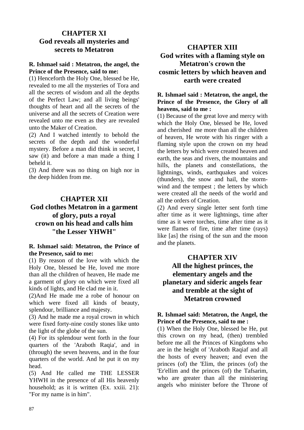# **CHAPTER XI God reveals all mysteries and secrets to Metatron**

#### **R. Ishmael said : Metatron, the angel, the Prince of the Presence, said to me:**

(1) Henceforth the Holy One, blessed be He, revealed to me all the mysteries of Tora and all the secrets of wisdom and all the depths of the Perfect Law; and all living beings' thoughts of heart and all the secrets of the universe and all the secrets of Creation were revealed unto me even as they are revealed unto the Maker of Creation.

(2) And I watched intently to behold the secrets of the depth and the wonderful mystery. Before a man did think in secret, I saw (it) and before a man made a thing I beheld it.

(3) And there was no thing on high nor in the deep hidden from me.

## **CHAPTER XII**

# **God clothes Metatron in a garment of glory, puts a royal crown on his head and calls him "the Lesser YHWH"**

#### **R. Ishmael said: Metatron, the Prince of the Presence, said to me:**

(1) By reason of the love with which the Holy One, blessed be He, loved me more than all the children of heaven, He made me a garment of glory on which were fixed all kinds of lights, and He clad me in it.

(2)And He made me a robe of honour on which were fixed all kinds of beauty, splendour, brilliance and majesty.

(3) And he made me a royal crown in which were fixed forty-nine costly stones like unto the light of the globe of the sun.

(4) For its splendour went forth in the four quarters of the 'Araboth Raqia', and in (through) the seven heavens, and in the four quarters of the world. And he put it on my head.

(5) And He called me THE LESSER YHWH in the presence of all His heavenly household; as it is written (Ex. xxiii. 21): "For my name is in him".

# **CHAPTER XIII God writes with a flaming style on Metatron's crown the cosmic letters by which heaven and earth were created**

#### **R. Ishmael said : Metatron, the angel, the Prince of the Presence, the Glory of all heavens, said to me :**

(1) Because of the great love and mercy with which the Holy One, blessed be He, loved and cherished me more than all the children of heaven, He wrote with his ringer with a flaming style upon the crown on my head the letters by which were created heaven and earth, the seas and rivers, the mountains and hills, the planets and constellations, the lightnings, winds, earthquakes and voices (thunders), the snow and hail, the stormwind and the tempest ; the letters by which were created all the needs of the world and all the orders of Creation.

(2) And every single letter sent forth time after time as it were lightnings, time after time as it were torches, time after time as it were flames of fire, time after time (rays) like [as] the rising of the sun and the moon and the planets.

## **CHAPTER XIV**

# **All the highest princes, the elementary angels and the planetary and sideric angels fear and tremble at the sight of Metatron crowned**

#### **R. Ishmael said: Metatron, the Angel, the Prince of the Presence, said to me :**

(1) When the Holy One, blessed be He, put this crown on my head, (then) trembled before me all the Princes of Kingdoms who are in the height of 'Araboth Raqiaf and all the hosts of every heaven; and even the princes (of) the 'Elim, the princes (of) the 'Er'ellim and the princes (of) the Tafsarim, who are greater than all the ministering angels who minister before the Throne of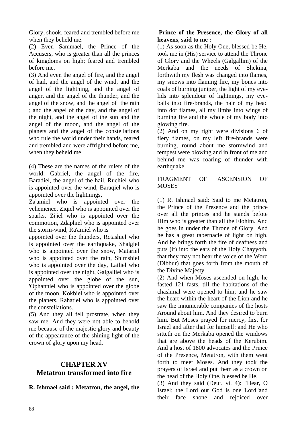Glory, shook, feared and trembled before me when they beheld me.

(2) Even Sammael, the Prince of the Accusers, who is greater than all the princes of kingdoms on high; feared and trembled before me.

(3) And even the angel of fire, and the angel of hail, and the angel of the wind, and the angel of the lightning, and the angel of anger, and the angel of the thunder, and the angel of the snow, and the angel of the rain ; and the angel of the day, and the angel of the night, and the angel of the sun and the angel of the moon, and the angel of the planets and the angel of the constellations who rule the world under their hands, feared and trembled and were affrighted before me, when they beheld me.

(4) These are the names of the rulers of the world: Gabriel, the angel of the fire, Baradiel, the angel of the hail, Ruchiel who is appointed over the wind, Baraqiel who is appointed over the lightnings,

Za'amiel who is appointed over the vehemence, Ziqiel who is appointed over the sparks, Zi'iel who is appointed over the commotion, Zdaphiel who is appointed over the storm-wind, Ra'amiel who is

appointed over the thunders, Rctashiel who is appointed over the earthquake, Shalgiel who is appointed over the snow, Matariel who is appointed over the rain, Shimshiel who is appointed over the day, Lailiel who is appointed over the night, Galgalliel who is appointed over the globe of the sun, 'Ophanniel who is appointed over the globe of the moon, Kokbiel who is appointed over the planets, Rahatiel who is appointed over the constellations.

(5) And they all fell prostrate, when they saw me. And they were not able to behold me because of the majestic glory and beauty of the appearance of the shining light of the crown of glory upon my head.

# **CHAPTER XV Metatron transformed into fire**

## **R. Ishmael said : Metatron, the angel, the**

## **Prince of the Presence, the Glory of all heavens, said to me :**

(1) As soon as the Holy One, blessed be He, took me in (His) service to attend the Throne of Glory and the Wheels (Galgallim) of the Merkaba and the needs of Shekina, forthwith my flesh was changed into flames, my sinews into flaming fire, my bones into coals of burning juniper, the light of my eyelids into splendour of lightnings, my eyeballs into fire-brands, the hair of my head into dot flames, all my limbs into wings of burning fire and the whole of my body into glowing fire.

(2) And on my right were divisions 6 of fiery flames, on my left fire-brands were burning, round about me stormwind and tempest were blowing and in front of me and behind me was roaring of thunder with earthquake.

## FRAGMENT OF 'ASCENSION OF MOSES'

(1) R. Ishmael said: Said to me Metatron, the Prince of the Presence and the prince over all the princes and he stands befote Him who is greater than all the Elohim. And he goes in under the Throne of Glory. And he has a great tabernacle of light on high. And he brings forth the fire of deafness and puts (it) into the ears of the Holy Chayyoth, that they may not hear the voice of the Word (Dibbur) that goes forth from the mouth of the Divine Majesty.

(2) And when Moses ascended on high, he fasted 121 fasts, till the habitations of the chashmal were opened to him; and he saw the heart within the heart of the Lion and he saw the innumerable companies of the hosts Around about him. And they desired to burn him. But Moses prayed for mercy, first for Israel and after that for himself: and He who sitteth on the Merkaba opened the windows that are above the heads of the Kerubim. And a host of 1800 advocates and the Prince of the Presence, Metatron, with them went forth to meet Moses. And they took the prayers of Israel and put them as a crown on the head of the Holy One, blessed be He.

(3) And they said (Deut. vi. 4): "Hear, O Israel; the Lord our God is one Lord"and their face shone and rejoiced over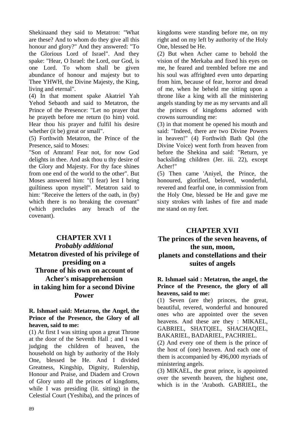Shekinaand they said to Metatron: "What are these? And to whom do they give all this honour and glory?" And they answered: "To the Glorious Lord of Israel". And they spake: "Hear, O Israel: the Lord, our God, is one Lord. To whom shall be given abundance of honour and majesty but to Thee YHWH, the Divine Majesty, the King, living and eternal".

(4) In that moment spake Akatriel Yah Yehod Sebaoth and said to Metatron, the Prince of the Presence: "Let no prayer that he prayeth before me return (to him) void. Hear thou his prayer and fulfil his desire whether (it be) great or small".

(5) Forthwith Metatron, the Prince of the Presence, said to Moses:

"Son of Amram! Fear not, for now God delights in thee. And ask thou u thy desire of the Glory and Majesty. For thy face shines from one end of the world to the other". But Moses answered him: "(I fear) lest I bring guiltiness upon myself". Metatron said to him: "Receive the letters of the oath, in (by) which there is no breaking the covenant" (which precludes any breach of the covenant).

# **CHAPTER XVI 1**  *Probably additional*  **Metatron divested of his privilege of presiding on a Throne of his own on account of Acher's misapprehension in taking him for a second Divine Power**

#### **R. Ishmael said: Metatron, the Angel, the Prince of the Presence, the Glory of all heaven, said to me:**

(1) At first I was sitting upon a great Throne at the door of the Seventh Hall ; and I was judging the children of heaven, the household on high by authority of the Holy One, blessed be He. And I divided Greatness, Kingship, Dignity, Rulership, Honour and Praise, and Diadem and Crown of Glory unto all the princes of kingdoms, while I was presiding (lit. sitting) in the Celestial Court (Yeshiba), and the princes of kingdoms were standing before me, on my right and on my left by authority of the Holy One, blessed be He.

(2) But when Acher came to behold the vision of the Merkaba and fixed his eyes on me, he feared and trembled before me and his soul was affrighted even unto departing from him, because of fear, horror and dread of me, when he beheld me sitting upon a throne like a king with all the ministering angels standing by me as my servants and all the princes of kingdoms adorned with crowns surrounding me:

(3) in that moment he opened his mouth and said: "Indeed, there are two Divine Powers in heaven!" (4) Forthwith Bath Qol (the Divine Voice) went forth from heaven from before the Shekina and said: "Return, ye backsliding children (Jer. iii. 22), except Acher!"

(5) Then came 'Aniyel, the Prince, the honoured, glorified, beloved, wonderful, revered and fearful one, in commission from the Holy One, blessed be He and gave me sixty strokes with lashes of fire and made me stand on my feet.

# **CHAPTER XVII**

## **The princes of the seven heavens, of the sun, moon, planets and constellations and their**

## **suites of angels**

## **R. Ishmael said : Metatron, the angel, the Prince of the Presence, the glory of all heavens, said to me:**

(1) Seven (are the) princes, the great, beautiful, revered, wonderful and honoured ones who are appointed over the seven heavens. And these are they : MIKAEL, GABRIEL, SHATQIEL, SHACHAQIEL, BAKARIEL, BADARIEL, PACHRIEL.

(2) And every one of them is the prince of the host of (one) heaven. And each one of them is accompanied by 496,000 myriads of ministering angels.

(3) MIKAEL, the great prince, is appointed over the seventh heaven, the highest one, which is in the 'Araboth. GABRIEL, the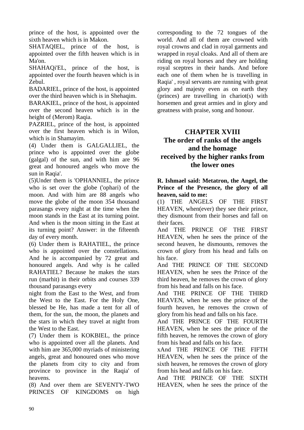prince of the host, is appointed over the sixth heaven which is in Makon.

SHATAQIEL, prince of the host, is appointed over the fifth heaven which is in Ma'on.

SHAHAQi'EL, prince of the host, is appointed over the fourth heaven which is in Zebul.

BADARIEL, prince of the host, is appointed over the third heaven which is in Shehaqim.

BARAKIEL, prince of the host, is appointed over the second heaven which is in the height of (Merom) Raqia.

PAZRIEL, prince of the host, is appointed over the first heaven which is in Wilon, which is in Shamayim.

(4) Under them is GALGALLIEL, the prince who is appointed over the globe (galgal) of the sun, and with him are 96 great and honoured angels who move the sun in Raqia'.

(5)Under them is 'OPHANNIEL, the prince who is set over the globe ('ophari) of the moon. And with him are 88 angels who move the globe of the moon 354 thousand parasangs every night at the time when the moon stands in the East at its turning point. And when is the moon sitting in the East at its turning point? Answer: in the fifteenth day of every month.

(6) Under them is RAHATIEL, the prince who is appointed over the constellations. And he is accompanied by 72 great and honoured angels. And why is he called RAHATIEL? Because he makes the stars run (marhit) in their orbits and courses 339 thousand parasangs every

night from the East to the West, and from the West to the East. For the Holy One, blessed be He, has made a tent for all of them, for the sun, the moon, the planets and the stars in which they travel at night from the West to the East.

(7) Under them is KOKBIEL, the prince who is appointed over all the planets. And with him are 365,000 myriads of ministering angels, great and honoured ones who move the planets from city to city and from province to province in the Raqia' of heavens.

(8) And over them are SEVENTY-TWO PRINCES OF KINGDOMS on high corresponding to the 72 tongues of the world. And all of them are crowned with royal crowns and clad in royal garments and wrapped in royal cloaks. And all of them are riding on royal horses and they are holding royal sceptres in their hands. And before each one of them when he is travelling in Raqia' , royal servants are running with great glory and majesty even as on earth they (princes) are travelling in chariot(s) with horsemen and great armies and in glory and greatness with praise, song and honour.

# **CHAPTER XVIII The order of ranks of the angels and the homage received by the higher ranks from the lower ones**

#### **R. Ishmael said: Metatron, the Angel, the Prince of the Presence, the glory of all heaven, said to me:**

(1) THE ANGELS OF THE FIRST HEAVEN, when(ever) they see their prince, they dismount from their horses and fall on their faces.

And THE PRINCE OF THE FIRST HEAVEN, when he sees the prince of the second heaven, he dismounts, removes the crown of glory from his head and falls on his face.

And THE PRINCE OF THE SECOND HEAVEN, when he sees the Prince of the third heaven, he removes the crown of glory from his head and falls on his face.

And THE PRINCE OF THE THIRD HEAVEN, when he sees the prince of the fourth heaven, he removes the crown of glory from his head and falls on his face.

And THE PRINCE OF THE FOURTH HEAVEN, when he sees the prince of the fifth heaven, he removes the crown of glory from his head and falls on his face.

xAnd THE PRINCE OF THE FIFTH HEAVEN, when he sees the prince of the sixth heaven, he removes the crown of glory from his head and falls on his face.

And THE PRINCE OF THE SIXTH HEAVEN, when he sees the prince of the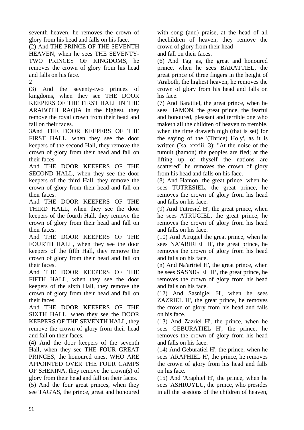seventh heaven, he removes the crown of glory from his head and falls on his face.

(2) And THE PRINCE OF THE SEVENTH HEAVEN, when he sees THE SEVENTY-TWO PRINCES OF KINGDOMS, he removes the crown of glory from his head and falls on his face.

2

(3) And the seventy-two princes of kingdoms, when they see THE DOOR KEEPERS OF THE FIRST HALL IN THE ARABOTH RAQIA in the highest, they remove the royal crown from their head and fall on their faces.

3And THE DOOR KEEPERS OF THE FIRST HALL, when they see the door keepers of the second Hall, they remove the crown of glory from their head and fall on their faces.

And THE DOOR KEEPERS OF THE SECOND HALL, when they see the door keepers of the third Hall, they remove the crown of glory from their head and fall on their faces.

And THE DOOR KEEPERS OF THE THIRD HALL, when they see the door keepers of the fourth Hall, they remove the crown of glory from their head and fall on their faces.

And THE DOOR KEEPERS OF THE FOURTH HALL, when they see the door keepers of the fifth Hall, they remove the crown of glory from their head and fall on their faces.

And THE DOOR KEEPERS OF THE FIFTH HALL, when they see the door keepers of the sixth Hall, they remove the crown of glory from their head and fall on their faces.

And THE DOOR KEEPERS OF THE SIXTH HALL, when they see the DOOR KEEPERS OF THE SEVENTH HALL, they remove the crown of glory from their head and fall on their faces.

(4) And the door keepers of the seventh Hall, when they see THE FOUR GREAT PRINCES, the honoured ones, WHO ARE APPOINTED OVER THE FOUR CAMPS OF SHEKINA, they remove the crown(s) of glory from their head and fall on their faces.

(5) And the four great princes, when they see TAG'AS, the prince, great and honoured with song (and) praise, at the head of all thechildren of heaven, they remove the crown of glory from their head

and fall on their faces.

(6) And Tag' as, the great and honoured prince, when he sees BARATTIEL, the great prince of three fingers in the height of 'Araboth, the highest heaven, he removes the crown of glory from his head and falls on his face.

(7) And Barattiel, the great prince, when he sees HAMON, the great prince, the fearful and honoured, pleasant and terrible one who maketh all the children of heaven to tremble, when the time draweth nigh (that is set) for the saying of the '(Thrice) Holy', as it is written (Isa. xxxiii. 3): "At the noise of the tumult (hamon) the peoples are fled; at the lifting up of thyself the nations are scattered" he removes the crown of glory from his head and falls on his face.

(8) And Hamon, the great prince, when he sees TUTRESIEL, the great prince, he removes the crown of glory from his head and falls on his face.

(9) And Tutresiel H', the great prince, when he sees ATRUGIEL, the great prince, he removes the crown of glory from his head and falls on his face.

(10) And Atrugiel the great prince, when he sees NA'ARIRIEL H', the great prince, he removes the crown of glory from his head and falls on his face.

(n) And Na'aririel H', the great prince, when he sees SASNIGIEL H', the great prince, he removes the crown of glory from his head and falls on his face.

(12) And Sasnigiel H', when he sees ZAZRIEL H', the great prince, he removes the crown of glory from his head and falls on his face.

(13) And Zazriel H', the prince, when he sees GEBURATIEL H', the prince, he removes the crown of glory from his head and falls on his face.

(14) And Geburatiel H', the prince, when he sees 'ARAPHIEL H', the prince, he removes the crown of glory from his head and falls on his face.

(15) And 'Araphiel H', the prince, when he sees 'ASHRUYLU, the prince, who presides in all the sessions of the children of heaven,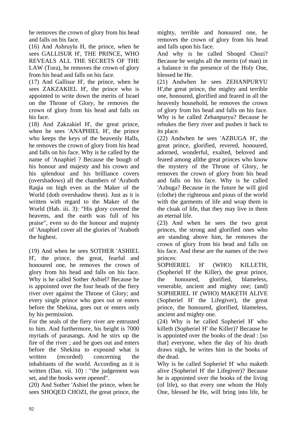he removes the crown of glory from his head and falls on his face.

(16) And Ashruylu H, the prince, when he sees GALLISUR H', THE PRINCE, WHO REVEALS ALL THE SECRETS OF THE LAW (Tora), he removes the crown of glory from his head and falls on his face.

(17) And Gallisur H', the prince, when he sees ZAKZAKIEL H', the prince who is appointed to write down the merits of Israel on the Throne of Glory, he removes the crown of glory from his head and falls on his face.

(18) And Zakzakiel H', the great prince, when he sees 'ANAPHIEL H', the prince who keeps the keys of the heavenly Halls, he removes the crown of glory from his head and falls on his face. Why is he called by the name of 'Anaphiel ? Because the bough of his honour and majesty and his crown and his splendour and his brilliance covers (overshadows) all the chambers of 'Araboth Raqia on high even as the Maker of the World (doth overshadow them). Just as it is written with regard to the Maker of the World (Hab. iii. 3): "His glory covered the heavens, and the earth was full of his praise", even so do the honour and majesty of 'Anaphiel cover all the glories of 'Araboth the highest.

(19) And when he sees SOTHER 'ASHIEL H', the prince, the great, fearful and honoured one, he removes the crown of glory from his head and falls on his face. Why is he called Sother Ashiel? Because he is appointed over the four heads of the fiery river over against the Throne of Glory; and every single prince who goes out or enters before the Shekina, goes out or enters only by his permission.

For the seals of the fiery river are entrusted to him. And furthermore, his height is 7000 myriads of parasangs. And he stirs up the fire of the river ; and he goes out and enters before the Shekina to expound what is written (recorded) concerning the inhabitants of the world. According as it is written (Dan. vii. 10) : "the judgement was set, and the books were opened".

(20) And Sother 'Ashiel the prince, when he sees SHOQED CHOZI, the great prince, the mighty, terrible and honoured one, he removes the crown of glory from his head and falls upon his face.

And why is he called Shoqed Chozi? Because he weighs all the merits (of man) in a balance in the presence of the Holy One, blessed be He.

(21) Andwhen he sees ZEHANPURYU H',the great prince, the mighty and terrible one, honoured, glorified and feared in all the heavenly household, he removes the crown of glory from his head and falls on his face. Why is he called Zehanpuryu? Because he rebukes the fiery river and pushes it back to its place.

(22) Andwhen he sees 'AZBUGA H', the great prince, glorified, revered, honoured, adorned, wonderful, exalted, beloved and feared among allthe great princes who know the mystery of the Throne of Glory, he removes the crown of glory from his head and falls on his face. Why is he called 'Azbuga? Because in the future he will gird (clothe) the righteous and pious of the world with the garments of life and wrap them in the cloak of life, that they may live in them an eternal life.

(23) And when he sees the two great princes, the strong and glorified ones who are standing above him, he removes the crown of glory from his head and falls on his face. And these are the names of the two princes:

SOPHERIEL H' (WHO) KILLETH, (Sopheriel H' the Killer), the great prince, the honoured, glorified, blameless, venerable, ancient and mighty one; (and) SOPHERIEL H' (WHO) MAKETH ALIVE (Sopheriel H' the Lifegiver), the great prince, the honoured, glorified, blameless, ancient and mighty one.

(24) Why is he called Sopheriel H' who killeth (Sopheriel H' the Killer)? Because he is appointed over the books of the dead : [so that] everyone, when the day of his death draws nigh, he writes him in the books of the dead.

Why is he called Sopheriel H' who maketh alive (Sopheriel H' the Lifegiver)? Because he is appointed over the books of the living (of life), so that every one whom the Holy One, blessed be He, will bring into life, he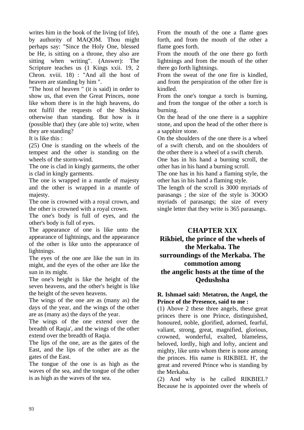writes him in the book of the living (of life), by authority of MAQOM. Thou might perhaps say: "Since the Holy One, blessed be He, is sitting on a throne, they also are sitting when writing". (Answer): The Scripture teaches us (1 Kings xxii. 19, 2 Chron. xviii. 18) : "And all the host of heaven are standing by him ".

"The host of heaven " (it is said) in order to show us, that even the Great Princes, none like whom there is in the high heavens, do not fulfil the requests of the Shekina otherwise than standing. But how is it (possible that) they (are able to) write, when they are standing?

It is like this :

(25) One is standing on the wheels of the tempest and the other is standing on the wheels of the storm-wind.

The one is clad in kingly garments, the other is clad in kingly garments.

The one is wrapped in a mantle of majesty and the other is wrapped in a mantle of majesty.

The one is crowned with a royal crown, and the other is crowned with a royal crown.

The one's body is full of eyes, and the other's body is full of eyes.

The appearance of one is like unto the appearance of lightnings, and the appearance of the other is like unto the appearance of lightnings.

The eyes of the one are like the sun in its might, and the eyes of the other are like the sun in its might.

The one's height is like the height of the seven heavens, and the other's height is like the height of the seven heavens.

The wings of the one are as (many as) the days of the year, and the wings of the other are as (many as) the days of the year.

The wings of the one extend over the breadth of Raqia', and the wings of the other extend over the breadth of Raqia.

The lips of the one, are as the gates of the East, and the lips of the other are as the gates of the East.

The tongue of the one is as high as the waves of the sea, and the tongue of the other is as high as the waves of the sea.

From the mouth of the one a flame goes forth, and from the mouth of the other a flame goes forth.

From the mouth of the one there go forth lightnings and from the mouth of the other there go forth lightnings.

From the sweat of the one fire is kindled, and from the perspiration of the other fire is kindled.

From the one's tongue a torch is burning, and from the tongue of the other a torch is burning.

On the head of the one there is a sapphire stone, and upon the head of the other there is a sapphire stone.

On the shoulders of the one there is a wheel of a swift cherub, and on the shoulders of the other there is a wheel of a swift cherub.

One has in his hand a burning scroll, the other has in his hand a burning scroll.

The one has in his hand a flaming style, the other has in his hand a flaming style.

The length of the scroll is 3000 myriads of parasangs ; the size of the style is 3OOO myriads of parasangs; the size of every single letter that they write is 365 parasangs.

## **CHAPTER XIX**

## **Rikbiel, the prince of the wheels of the Merkaba. The surroundings of the Merkaba. The commotion among the angelic hosts at the time of the Qedushsha**

#### **R. Ishmael said: Metatron, the Angel, the Prince of the Presence, said to me :**

(1) Above 2 these three angels, these great princes there is one Prince, distinguished, honoured, noble, glorified, adorned, fearful, valiant, strong, great, magnified, glorious, crowned, wonderful, exalted, blameless, beloved, lordly, high and lofty, ancient and mighty, like unto whom there is none among the princes. His name is RIKBIEL H', the great and revered Prince who is standing by the Merkaba.

(2) And why is he called RIKBIEL? Because he is appointed over the wheels of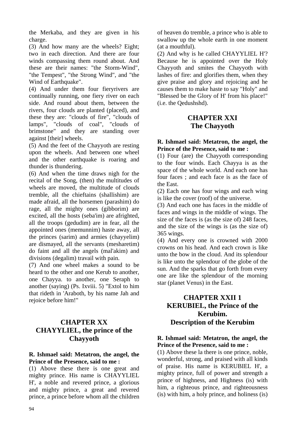the Merkaba, and they are given in his charge.

(3) And how many are the wheels? Eight; two in each direction. And there are four winds compassing them round about. And these are their names: "the Storm-Wind", "the Tempest", "the Strong Wind", and "the Wind of Earthquake".

(4) And under them four fieryrivers are continually running, one fiery river on each side. And round about them, between the rivers, four clouds are planted (placed), and these they are: "clouds of fire", "clouds of lamps", "clouds of coal", "clouds of brimstone" and they are standing over against [their] wheels.

(5) And the feet of the Chayyoth are resting upon the wheels. And between one wheel and the other earthquake is roaring and thunder is thundering.

(6) And when the time draws nigh for the recital of the Song, (then) the multitudes of wheels are moved, the multitude of clouds tremble, all the chieftains (shallishim) are made afraid, all the horsemen (parashim) do rage, all the mighty ones (gibborim) are excited, all the hosts (seba'im) are afrighted, all the troops (gedudim) are in fear, all the appointed ones (memunnim) haste away, all the princes (sarim) and armies (chayyelim) are dismayed, all the servants (mesharetim) do faint and all the angels (mal'akim) and divisions (degalim) travail with pain.

(7) And one wheel makes a sound to be heard to the other and one Kerub to another, one Chayya. to another, one Seraph to another (saying) (Ps. Ixviii. 5) "Extol to him that rideth in 'Araboth, by his name Jah and rejoice before him!"

# **CHAPTER XX CHAYYLIEL, the prince of the Chayyoth**

## **R. Ishmael said: Metatron, the angel, the Prince of the Presence, said to me :**

(1) Above these there is one great and mighty prince. His name is CHAYYLIEL H', a noble and revered prince, a glorious and mighty prince, a great and revered prince, a prince before whom all the children

of heaven do tremble, a prince who is able to swallow up the whole earth in one moment (at a mouthful).

(2) And why is he called CHAYYLIEL H'? Because he is appointed over the Holy Chayyoth and smites the Chayyoth with lashes of fire: and glorifies them, when they give praise and glory and rejoicing and he causes them to make haste to say "Holy" and "Blessed be the Glory of H' from his place!" (i.e. the Qedushshd).

# **CHAPTER XXI The Chayyoth**

#### **R. Ishmael said: Metatron, the angel, the Prince of the Presence, said to me :**

(1) Four (are) the Chayyoth corresponding to the four winds. Each Chayya is as the space of the whole world. And each one has four faces ; and each face is as the face of the East.

(2) Each one has four wings and each wing is like the cover (roof) of the universe.

(3) And each one has faces in the middle of faces and wings in the middle of wings. The size of the faces is (as the size of) 248 faces, and the size of the wings is (as the size of) 365 wings.

(4) And every one is crowned with 2000 crowns on his head. And each crown is like unto the bow in the cloud. And its splendour is like unto the splendour of the globe of the sun. And the sparks that go forth from every one are like the splendour of the morning star (planet Venus) in the East.

# **CHAPTER XXII 1 KERUBIEL, the Prince of the Kerubim. Description of the Kerubim**

## **R. Ishmael said: Metatron, the angel, the Prince of the Presence, said to me :**

(1) Above these la there is one prince, noble, wonderful, strong, and praised with all kinds of praise. His name is KERUBIEL H', a mighty prince, full of power and strength a prince of highness, and Highness (is) with him, a righteous prince, and righteousness (is) with him, a holy prince, and holiness (is)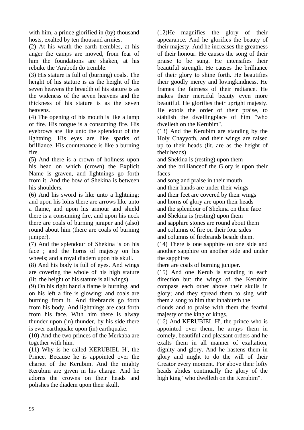with him, a prince glorified in (by) thousand hosts, exalted by ten thousand armies.

(2) At his wrath the earth trembles, at his anger the camps are moved, from fear of him the foundations are shaken, at his rebuke the 'Araboth do tremble.

(3) His stature is full of (burning) coals. The height of his stature is as the height of the seven heavens the breadth of his stature is as the wideness of the seven heavens and the thickness of his stature is as the seven heavens.

(4) The opening of his mouth is like a lamp of fire. His tongue is a consuming fire. His eyebrows are like unto the splendour of the lightning. His eyes are like sparks of brilliance. His countenance is like a burning fire.

(5) And there is a crown of holiness upon his head on which (crown) the Explicit Name is graven, and lightnings go forth from it. And the bow of Shekina is between his shoulders.

(6) And his sword is like unto a lightning; and upon his loins there are arrows like unto a flame, and upon his armour and shield there is a consuming fire, and upon his neck there are coals of burning juniper and (also) round about him (there are coals of burning juniper).

(7) And the splendour of Shekina is on his face ; and the horns of majesty on his wheels; and a royal diadem upon his skull.

(8) And his body is full of eyes. And wings are covering the whole of his high stature (lit. the height of his stature is all wings).

(9) On his right hand a flame is burning, and on his left a fire is glowing; and coals are burning from it. And firebrands go forth from his body. And lightnings are cast forth from his face. With him there is alway thunder upon (in) thunder, by his side there is ever earthquake upon (in) earthquake.

(10) And the two princes of the Merkaba are together with him.

(11) Why is he called KERUBIEL H', the Prince. Because he is appointed over the chariot of the Kerubim. And the mighty Kerubim are given in his charge. And he adorns the crowns on their heads and polishes the diadem upon their skull.

(12)He magnifies the glory of their appearance. And he glorifies the beauty of their majesty. And he increases the greatness of their honour. He causes the song of their praise to be sung. He intensifies their beautiful strength. He causes the brilliance of their glory to shine forth. He beautifies their goodly mercy and lovingkindness. He frames the fairness of their radiance. He makes their merciful beauty even more beautiful. He glorifies their upright majesty. He extols the order of their praise, to stablish the dwellingplace of him "who dwelleth on the Kerubim".

(13) And the Kerubim are standing by the Holy Chayyoth, and their wings are raised up to their heads (lit. are as the height of their heads)

and Shekina is (resting) upon them

and the brillianceof the Glory is upon their faces

and song and praise in their mouth and their hands are under their wings and their feet are covered by their wings and horns of glory are upon their heads and the splendour of Shekina on their face and Shekina is (resting) upon them and sapphire stones are round about them and columns of fire on their four sides and columns of firebrands beside them. (14) There is one sapphire on one side and another sapphire on another side and under the sapphires

there are coals of burning juniper.

(15) And one Kerub is standing in each direction but the wings of the Kerubim compass each other above their skulls in glory; and they spread them to sing with them a song to him that inhabiteth the

clouds and to praise with them the fearful majesty of the king of kings.

(16) And KERUBIEL H', the prince who is appointed over them, he arrays them in comely, beautiful and pleasant orders and he exalts them in all manner of exaltation, dignity and glory. And he hastens them in glory and might to do the will of their Creator every moment. For above their lofty heads abides continually the glory of the high king "who dwelleth on the Kerubim".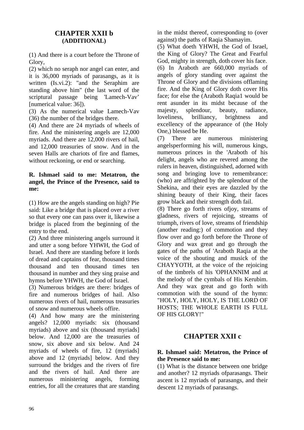## **CHAPTER XXII b (ADDITIONAL)**

(1) And there is a court before the Throne of Glory,

(2) which no seraph nor angel can enter, and it is 36,000 myriads of parasangs, as it is written (Is.vi.2): "and the Seraphim are standing above him" (the last word of the scriptural passage being 'Lamech-Vav' [numerical value: 36]).

(3) As the numerical value Lamech-Vav (36) the number of the bridges there.

(4) And there are 24 myriads of wheels of fire. And the ministering angels are 12,000 myriads. And there are 12,000 rivers of hail, and 12,000 treasuries of snow. And in the seven Halls are chariots of fire and flames, without reckoning, or end or searching.

#### **R. Ishmael said to me: Metatron, the angel, the Prince of the Presence, said to me:**

(1) How are the angels standing on high? Pie said: Like a bridge that is placed over a river so that every one can pass over it, likewise a bridge is placed from the beginning of the entry to the end.

(2) And three ministering angels surround it and utter a song before YHWH, the God of Israel. And there are standing before it lords of dread and captains of fear, thousand times thousand and ten thousand times ten thousand in number and they sing praise and hymns before YHWH, the God of Israel.

(3) Numerous bridges are there: bridges of fire and numerous bridges of hail. Also numerous rivers of hail, numerous treasuries of snow and numerous wheels offire.

(4) And how many are the ministering angels? 12,000 myriads: six (thousand myriads) above and six (thousand myriads] below. And 12,000 are the treasuries of snow, six above and six below. And 24 myriads of wheels of fire, 12 (myriads] above and 12 (myriads] below. And they surround the bridges and the rivers of fire and the rivers of hail. And there are numerous ministering angels, forming entries, for all the creatures that are standing

in the midst thereof, corresponding to (over against) the paths of Raqia Shamayim.

(5) What doeth YHWH, the God of Israel, the King of Glory? The Great and Fearful God, mighty in strength, doth cover his face. (6) In Araboth are 660,000 myriads of angels of glory standing over against the Throne of Glory and the divisions offlaming fire. And the King of Glory doth cover His face; for else the (Araboth Raqia1 would be rent asunder in its midst because of the majesty, splendour, beauty, radiance, loveliness, brilliancy, brightness and excellency of the appearance of (the Holy One,) blessed be He.

(7) There are numerous ministering angelsperforming his will, numerous kings, numerous princes in the 'Araboth of his delight, angels who are revered among the rulers in heaven, distinguished, adorned with song and bringing love to remembrance: (who) are affrighted by the splendour of the Shekina, and their eyes are dazzled by the shining beauty of their King, their faces grow black and their strength doth fail.

(8) There go forth rivers ofjoy, streams of gladness, rivers of rejoicing, streams of triumph, rivers of love, streams of friendship (another reading:) of commotion and they flow over and go forth before the Throne of Glory and wax great and go through the gates of the paths of 'Araboth Raqia at the voice of the shouting and musick of the CHAYYOTH, at the voice of the rejoicing of the timbrels of his 'OPHANNIM and at the melody of the cymbals of His Kerubim. And they wax great and go forth with commotion with the sound of the hymn: "HOLY, HOLY, HOLY, IS THE LORD OF HOSTS; THE WHOLE EARTH IS FULL OF HIS GLORY!"

# **CHAPTER XXII c**

## **R. Ishmael said: Metatron, the Prince of the Presence said to me:**

(1) What is the distance between one bridge and another? 12 myriads ofparasangs. Their ascent is 12 myriads of parasangs, and their descent 12 myriads of parasangs.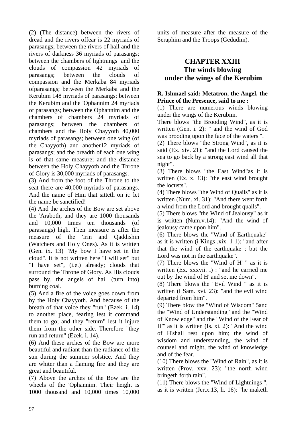(2) (The distance) between the rivers of dread and the rivers offear is 22 myriads of parasangs; between the rivers of hail and the rivers of darkness 36 myriads of parasangs; between the chambers of lightnings and the clouds of compassion 42 myriads of parasangs; between the clouds of compassion and the Merkaba 84 myriads ofparasangs; between the Merkaba and the Kerubim 148 myriads of parasangs; between the Kerubim and the 'Ophannim 24 myriads of parasangs; between the Ophannim and the chambers of chambers 24 myriads of parasangs; between the chambers of chambers and the Holy Chayyoth 40,000 myriads of parasangs; between one wing (of the Chayyoth) and another12 myriads of parasangs; and the breadth of each one wing is of that same measure; and the distance between the Holy Chayyoth and the Throne of Glory is 30,000 myriads of parasangs.

(3) And from the foot of the Throne to the seat there are 40,000 myriads of parasangs. And the name of Him that sitteth on it: let the name be sanctified!

(4) And the arches of the Bow are set above the 'Araboth, and they are 1000 thousands and 10,000 times ten thousands (of parasangs) high. Their measure is after the measure of the 'Irin and Qaddishin (Watchers and Holy Ones). As it is written (Gen. ix. 13) "My bow I have set in the cloud". It is not written here "I will set" but "I have set", (i.e.) already; clouds that surround the Throne of Glory. As His clouds pass by, the angels of hail (turn into) burning coal.

(5) And a fire of the voice goes down from by the Holy Chayyoth. And because of the breath of that voice they "run" (Ezek. i. 14) to another place, fearing lest it command them to go; and they "return" lest it injure them from the other side. Therefore "they run and return" (Ezek. i. 14).

(6) And these arches of the Bow are more beautiful and radiant than the radiance of the sun during the summer solstice. And they are whiter than a flaming fire and they are great and beautiful.

(7) Above the arches of the Bow are the wheels of the 'Ophannim. Their height is 1000 thousand and 10,000 times 10,000 units of measure after the measure of the Seraphim and the Troops (Gedudim).

# **CHAPTER XXIII The winds blowing under the wings of the Kerubim**

#### **R. Ishmael said: Metatron, the Angel, the Prince of the Presence, said to me :**

(1) There are numerous winds blowing under the wings of the Kerubim.

There blows "the Brooding Wind", as it is written (Gen. i. 2): " and the wind of God was brooding upon the face of the waters ".

(2) There blows "the Strong Wind", as it is said (Ex. xiv. 21): "and the Lord caused the sea to go back by a strong east wind all that night".

(3) There blows "the East Wind"as it is written (Ex. x. 13): "the east wind brought the locusts".

(4) There blows "the Wind of Quails" as it is written (Num. xi. 31): "And there went forth a wind from the Lord and brought quails".

(5) There blows "the Wind of Jealousy" as it is written (Num.v.14): "And the wind of jealousy came upon him".

(6) There blows the "Wind of Earthquake" as it is written (i Kings .xix. 1 1): "and after that the wind of the earthquake ; but the Lord was not in the earthquake".

(7) There blows the "Wind of H' " as it is written (Ex. xxxvii. i) : "and he carried me out by the wind of H' and set me down".

(8) There blows the "Evil Wind " as it is written (i Sam. xvi. 23): "and the evil wind departed from him".

(9) There blow the "Wind of Wisdom" 5and the "Wind of Understanding" and the "Wind of Knowledge" and the "Wind of the Fear of H'" as it is written (Is. xi. 2): "And the wind of H'shall rest upon him; the wind of wisdom and understanding, the wind of counsel and might, the wind of knowledge and of the fear.

(10) There blows the "Wind of Rain", as it is written (Prov. xxv. 23): "the north wind bringeth forth rain".

(11) There blows the "Wind of Lightnings ", as it is written (Jer.x.13, li. 16): "he maketh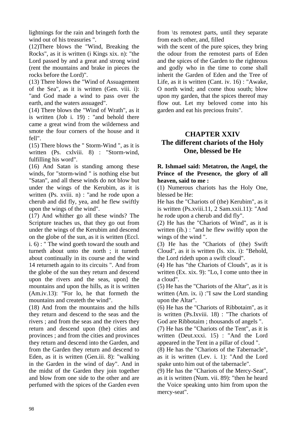lightnings for the rain and bringeth forth the wind out of his treasuries ".

(12)There blows the "Wind, Breaking the Rocks", as it is written (i Kings xix. n): "the Lord passed by and a great and strong wind (rent the mountains and brake in pieces the rocks before the Lord)".

(13) There blows the "Wind of Assuagement of the Sea", as it is written (Gen. viii. i): "and God made a wind to pass over the earth, and the waters assuaged".

(14) There blows the "Wind of Wrath", as it is written (Job i. 19) : "and behold there came a great wind from the wilderness and smote the four corners of the house and it fell".

(15) There blows the " Storm-Wind ", as it is written (Ps. cxlviii. 8) : "Storm-wind, fulfilling his word".

(16) And Satan is standing among these winds, for "storm-wind " is nothing else but "Satan", and all these winds do not blow but under the wings of the Kerubim, as it is written (Ps. xviii. n) : "and he rode upon a cherub and did fly, yea, and he flew swiftly upon the wings of the wind".

(17) And whither go all these winds? The Scripture teaches us, that they go out from under the wings of the Kerubim and descend on the globe of the sun, as it is written (Eccl. i. 6) : " The wind goeth toward the south and turneth about unto the north ; it turneth about continually in its course and the wind 14 returneth again to its circuits ". And from the globe of the sun they return and descend upon the rivers and the seas, upon] the mountains and upon the hills, as it is written (Am.iv.13): "For lo, he that formeth the mountains and createth the wind".

(18) And from the mountains and the hills they return and descend to the seas and the rivers ; and from the seas and the rivers they return and descend upon (the) cities and provinces ; and from the cities and provinces they return and descend into the Garden, and from the Garden they return and descend to Eden, as it is written (Gen.iii. 8): "walking in the Garden in the wind of day". And in the midst of the Garden they join together and blow from one side to the other and are perfumed with the spices of the Garden even

from \ts remotest parts, until they separate from each other, and, filled

with the scent of the pure spices, they bring the odour from the remotest parts of Eden and the spices of the Garden to the righteous and godly who in the time to come shall inherit the Garden of Eden and the Tree of Life, as it is written (Cant. iv. 16) : "Awake, O north wind; and come thou south; blow upon my garden, that the spices thereof may flow out. Let my beloved come into his garden and eat his precious fruits".

## **CHAPTER XXIV The different chariots of the Holy One, blessed be He**

**R. Ishmael said: Metatron, the Angel, the Prince of the Presence, the glory of all heaven, said to me :** 

(1) Numerous chariots has the Holy One, blessed be He:

He has the "Chariots of (the) Kerubim", as it is written (Ps.xviii.11, 2 Sam.xxii.11): "And he rode upon a cherub and did fly".

(2) He has the "Chariots of Wind", as it is written (ib.) : "and he flew swiftly upon the wings of the wind ".

(3) He has the "Chariots of (the) Swift Cloud", as it is written (Is. xix. i): "Behold, the Lord rideth upon a swift cloud".

(4) He has "the Chariots of Clouds", as it is written (Ex. xix. 9): "Lo, I come unto thee in a cloud".

(5) He has the "Chariots of the Altar", as it is written (Am. ix. i) :"I saw the Lord standing upon the Altar".

(6) He has the "Chariots of Ribbotaim", as it is written (Ps.Ixviii. 18) : "The chariots of God are Ribbotaim ; thousands of angels ".

(7) He has the "Chariots of the Tent", as it is written (Deut.xxxi. 15) : "And the Lord appeared in the Tent in a pillar of cloud ".

(8) He has the "Chariots of the Tabernacle", as it is written (Lev. i. 1): "And the Lord spake unto him out of the tabernacle".

(9) He has the "Chariots of the Mercy-Seat", as it is written (Num. vii. 89): "then he heard the Voice speaking unto him from upon the mercy-seat".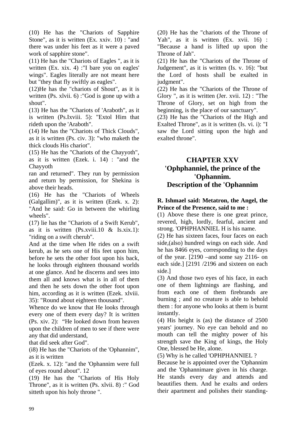(10) He has the "Chariots of Sapphire Stone", as it is written (Ex. xxiv. 10) : "and there was under his feet as it were a paved work of sapphire stone".

(11) He has the "Chariots of Eagles ", as it is written (Ex. xix. 4) :"I bare you on eagles' wings". Eagles literally are not meant here but "they that fly swiftly as eagles".

(12)He has the "chariots of Shout", as it is written (Ps. xlvii. 6) : "God is gone up with a shout".

(13) He has the "Chariots of 'Araboth", as it is written (Ps.Ixviii. 5): "Extol Him that rideth upon the 'Araboth".

(14) He has the "Chariots of Thick Clouds", as it is written (Ps. civ. 3): "who maketh the thick clouds His chariot".

(15) He has the "Chariots of the Chayyoth", as it is written (Ezek. i. 14) : "and the Chayyoth

ran and returned". They run by permission and return by permission, for Shekina is above their heads.

(16) He has the "Chariots of Wheels (Galgallim)", as it is written (Ezek. x. 2): "And he said: Go in between the whirling wheels".

(17) lie has the "Chariots of a Swift Kerub", as it is written  $(Ps.xviii.10 \& S.xix.1)$ : "riding on a swift cherub".

And at the time when He rides on a swift kerub, as he sets one of His feet upon him, before he sets the other foot upon his back, he looks through eighteen thousand worlds at one glance. And he discerns and sees into them all and knows what is in all of them and then he sets down the other foot upon him, according as it is written (Ezek. xlviii. 35): "Round about eighteen thousand".

Whence do we know that He looks through every one of them every day? It is written (Ps. xiv. 2): "He looked down from heaven upon the children of men to see if there were any that did understand,

that did seek after God".

(i8) He has the "Chariots of the 'Ophannim", as it is written

(Ezek. x. 12): "and the 'Ophannim were full of eyes round about". 12

(19) He has the "Chariots of His Holy Throne", as it is written (Ps. xlvii. 8) :" God sitteth upon his holy throne ".

(20) He has the "chariots of the Throne of Yah", as it is written (Ex. xvii. 16) : "Because a hand is lifted up upon the Throne of Jah".

(21) He has the "Chariots of the Throne of Judgement", as it is written (Is. v. 16): "but the Lord of hosts shall be exalted in judgment".

(22) He has the "Chariots of the Throne of Glory ", as it is written (Jer. xvii. 12) : "The Throne of Glory, set on high from the beginning, is the place of our sanctuary".

(23) He has the "Chariots of the High and Exalted Throne", as it is written (Is. vi. i): "I saw the Lord sitting upon the high and exalted throne".

# **CHAPTER XXV 'Ophphanniel, the prince of the 'Ophannim. Description of the 'Ophannim**

## **R. Ishmael said: Metatron, the Angel, the Prince of the Presence, said to me :**

(1) Above these there is one great prince, revered, high, lordly, fearful, ancient and strong. 'OPHPHANNIEL H is his name.

(2) He has sixteen faces, four faces on each side,(also) hundred wings on each side. And he has 8466 eyes, corresponding to the days of the year. [2190 –and some say 2116- on each side.] [2191 /2196 and sixteen on each side.]

(3) And those two eyes of his face, in each one of them lightnings are flashing, and from each one of them firebrands are burning ; and no creature is able to behold them : for anyone who looks at them is burnt instantly.

(4) His height is (as) the distance of 2500 years' journey. No eye can behold and no mouth can tell the mighty power of his strength save the King of kings, the Holy One, blessed be He, alone.

(5) Why is he called 'OPHPHANNIEL ?

Because he is appointed over the 'Ophannim and the 'Ophannimare given in his charge. He stands every day and attends and beautifies them. And he exalts and orders their apartment and polishes their standing-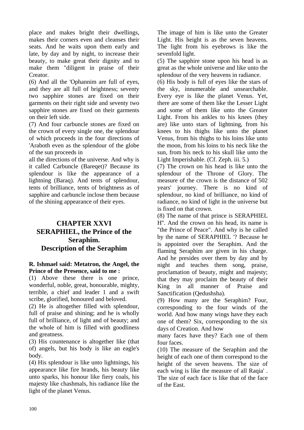place and makes bright their dwellings, makes their corners even and cleanses their seats. And he waits upon them early and late, by day and by night, to increase their beauty, to make great their dignity and to make them "diligent in praise of their Creator.

(6) And all the 'Ophannim are full of eyes, and they are all full of brightness; seventy two sapphire stones are fixed on their garments on their right side and seventy two sapphire stones are fixed on their garments on their left side.

(7) And four carbuncle stones are fixed on the crown of every single one, the splendour of which proceeds in the four directions of 'Araboth even as the splendour of the globe of the sun proceeds in

all the directions of the universe. And why is it called Carbuncle (Bareqet)? Because its splendour is like the appearance of a lightning (Baraq). And tents of splendour, tents of brilliance, tents of brightness as of sapphire and carbuncle inclose them because of the shining appearance of their eyes.

# **CHAPTER XXVI SERAPHIEL, the Prince of the Seraphim. Description of the Seraphim**

#### **R. Ishmael said: Metatron, the Angel, the Prince of the Presence, said to me :**

(1) Above these there is one prince, wonderful, noble, great, honourable, mighty, terrible, a chief and leader 1 and a swift scribe, glorified, honoured and beloved.

(2) He is altogether filled with splendour, full of praise and shining; and he is wholly full of brilliance, of light and of beauty; and the whole of him is filled with goodliness and greatness.

(3) His countenance is altogether like (that of) angels, but his body is like an eagle's body.

(4) His splendour is like unto lightnings, his appearance like fire brands, his beauty like unto sparks, his honour like fiery coals, his majesty like chashmals, his radiance like the light of the planet Venus.

The image of him is like unto the Greater Light. His height is as the seven heavens. The light from his eyebrows is like the sevenfold light.

(5) The sapphire stone upon his head is as great as the whole universe and like unto the splendour of the very heavens in radiance.

(6) His body is full of eyes like the stars of the sky, innumerable and unsearchable. Every eye is like the planet Venus. Yet, there are some of them like the Lesser Light and some of them like unto the Greater Light. From his ankles to his knees (they are) like unto stars of lightning, from his knees to his thighs like unto the planet Venus, from his thighs to his loins like unto the moon, from his loins to his neck like the sun, from his neck to his skull like unto the Light Imperishable. (Cf. Zeph. iii. 5.)

(7) The crown on his head is like unto the splendour of the Throne of Glory. The measure of the crown is the distance of 502 years' journey. There is no kind of splendour, no kind of brilliance, no kind of radiance, no kind of light in the universe but is fixed on that crown.

(8) The name of that prince is SERAPHIEL H''. And the crown on his head, its name is "the Prince of Peace". And why is he called by the name of SERAPHIEL '? Because he is appointed over the Seraphim. And the flaming Seraphim are given in his charge. And he presides over them by day and by night and teaches them song, praise, proclamation of beauty, might and majesty; that they may proclaim the beauty of their King in all manner of Praise and Sanctification (Qedushsha).

(9) How many are the Seraphim? Four, corresponding to the four winds of the world. And how many wings have they each one of them? Six, corresponding to the six days of Creation. And how

many faces have they? Each one of them four faces.

(10) The measure of the Seraphim and the height of each one of them correspond to the height of the seven heavens. The size of each wing is like the measure of all Raqia' . The size of each face is like that of the face of the East.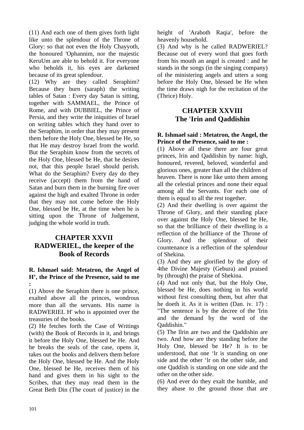(11) And each one of them gives forth light like unto the splendour of the Throne of Glory: so that not even the Holy Chayyoth, the honoured 'Ophannim, nor the majestic KeruUm are able to behold it. For everyone who beholds it, his eyes are darkened because of its great splendour.

(12) Why are they called Seraphim? Because they burn (saraph) the writing tables of Satan : Every day Satan is sitting, together with SAMMAEL, the Prince of Rome, and with DUBBIEL, the Prince of Persia, and they write the iniquities of Israel on writing tables which they hand over to the Seraphim, in order that they may present them before the Holy One, blessed be He, so that He may destroy Israel from the world. But the Seraphim know from the secrets of the Holy One, blessed be He, that he desires not, that this people Israel should perish. What do the Seraphim? Every day do they receive (accept) them from the hand of Satan and burn them in the burning fire over against the high and exalted Throne in order that they may not come before the Holy One, blessed be He, at the time when he is sitting upon the Throne of Judgement, judging the whole world in truth.

# **CHAPTER XXVII RADWERIEL, the keeper of the Book of Records**

#### **R. Ishmael said: Metatron, the Angel of H', the Prince of the Presence, said to me :**

(1) Above the Seraphim there is one prince, exalted above all the princes, wondrous more than all the servants. His name is RADWERIEL H' who is appointed over the treasuries of the books.

(2) He fetches forth the Case of Writings (with) the Book of Records in it, and brings it before the Holy One, blessed be He. And he breaks the seals of the case, opens it, takes out the books and delivers them before the Holy One, blessed be He. And the Holy One, blessed be He, receives them of his hand and gives them in his sight to the Scribes, that they may read them in the Great Beth Din (The court of justice) in the height of 'Araboth Raqia', before the heavenly household.

(3) And why is he called RADWERIEL? Because out of every word that goes forth from his mouth an angel is created : and he stands in the songs (in the singing company) of the ministering angels and utters a song before the Holy One, blessed be He when the time draws nigh for the recitation of the (Thrice) Holy.

## **CHAPTER XXVIII The 'Irin and Qaddishin**

## **R. Ishmael said : Metatron, the Angel, the Prince of the Presence, said to me :**

(1) Above all these there are four great princes, lrin and Qaddishin by name: high, honoured, revered, beloved, wonderful and glorious ones, greater than all the children of heaven. There is none like unto them among all the celestial princes and none their equal among all the Servants. For each one of them is equal to all the rest together.

(2) And their dwelling is over against the Throne of Glory, and their standing place over against the Holy One, blessed be He, so that the brilliance of their dwelling is a reflection of the brilliance of the Throne of Glory. And the splendour of their countenance is a reflection of the splendour of Shekina.

(3) And they are glorified by the glory of 4the Divine Majesty (Gebura) and praised by (through) the praise of Shekina.

(4) And not only that, but the Holy One, blessed be He, does nothing in his world without first consulting them, but after that he doeth it. As it is written (Dan. iv. 17) : "The sentence is by the decree of the 'Irin and the demand by the word of the Qaddishin."

(5) The llrin are two and the Qaddishin are two. And how are they standing before the Holy One, blessed be He? It is to be understood, that one 'lr is standing on one side and the other 'lr on the other side, and one Qaddish is standing on one side and the other on the other side.

(6) And ever do they exalt the humble, and they abase to the ground those that are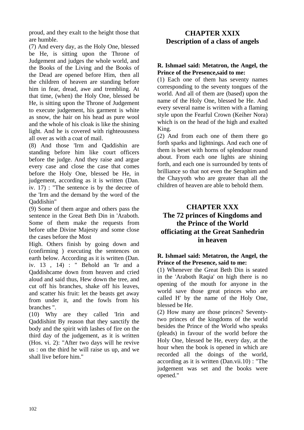proud, and they exalt to the height those that are humble.

(7) And every day, as the Holy One, blessed be He, is sitting upon the Throne of Judgement and judges the whole world, and the Books of the Living and the Books of the Dead are opened before Him, then all the children of heaven are standing before him in fear, dread, awe and trembling. At that time, (when) the Holy One, blessed be He, is sitting upon the Throne of Judgement to execute judgement, his garment is white as snow, the hair on his head as pure wool and the whole of his cloak is like the shining light. And he is covered with righteousness all over as with a coat of mail.

(8) And those 'Irm and Qaddishin are standing before him like court officers before the judge. And they raise and argue every case and close the case that comes before the Holy One, blessed be He, in judgement, according as it is written (Dan. iv. 17) : "The sentence is by the decree of the 'Irm and the demand by the word of the Qaddishin"

(9) Some of them argue and others pass the sentence in the Great Beth Din in 'Araboth. Some of them make the requests from before uthe Divine Majesty and some close the cases before the Most

High. Others finish by going down and (confirming ) executing the sentences on earth below. According as it is written (Dan. iv. 13 , 14) : " Behold an 'Ir and a Qaddishcame down from heaven and cried aloud and said thus, Hew down the tree, and cut off his branches, shake off his leaves, and scatter his fruit: let the beasts get away from under it, and the fowls from his branches ".

(10) Why are they called 'Irin and Qaddishint By reason that they sanctify the body and the spirit with lashes of fire on the third day of the judgement, as it is written (Hos. vi. 2): "After two days will he revive us : on the third he will raise us up, and we shall live before him."

# **CHAPTER XXIX Description of a class of angels**

#### **R. Ishmael said: Metatron, the Angel, the Prince of the Presence,said to me:**

(1) Each one of them has seventy names corresponding to the seventy tongues of the world. And all of them are (based) upon the name of the Holy One, blessed be He. And every several name is written with a flaming style upon the Fearful Crown (Keiher Nora) which is on the head of the high and exalted King.

(2) And from each one of them there go forth sparks and lightnings. And each one of them is beset with horns of splendour round about. From each one lights are shining forth, and each one is surrounded by tents of brilliance so that not even the Seraphim and the Chayyoth who are greater than all the children of heaven are able to behold them.

# **CHAPTER XXX The 72 princes of Kingdoms and the Prince of the World officiating at the Great Sanhedrin in heaven**

## **R. Ishmael said: Metatron, the Angel, the Prince of the Presence, said to me:**

(1) Whenever the Great Beth Din is seated in the 'Araboth Raqia' on high there is no opening of the mouth for anyone in the world save those great princes who are called H' by the name of the Holy One, blessed be He.

(2) How many are those princes? Seventytwo princes of the kingdoms of the world besides the Prince of the World who speaks (pleads) in favour of the world before the Holy One, blessed be He, every day, at the hour when the book is opened in which are recorded all the doings of the world, according as it is written (Dan.vii.10) : "The judgement was set and the books were opened."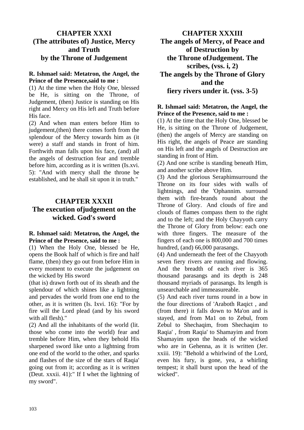# **CHAPTER XXXI (The attributes of) Justice, Mercy and Truth by the Throne of Judgement**

## **R. Ishmael said: Metatron, the Angel, the Prince of the Presence,said to me :**

(1) At the time when the Holy One, blessed be He, is sitting on the Throne, of Judgement, (then) Justice is standing on His right and Mercy on His left and Truth before His face.

(2) And when man enters before Him to judgement,(then) there comes forth from the splendour of the Mercy towards him as (it were) a staff and stands in front of him. Forthwith man falls upon his face, (and) all the angels of destruction fear and tremble before him, according as it is written (Is.xvi. 5): "And with mercy shall the throne be established, and he shall sit upon it in truth."

# **CHAPTER XXXII The execution ofjudgement on the wicked. God's sword**

#### **R. Ishmael said: Metatron, the Angel, the Prince of the Presence, said to me :**

(1) When the Holy One, blessed be He, opens the Book half of which is fire and half flame, (then) they go out from before Him in every moment to execute the judgement on the wicked by His sword

(that is) drawn forth out of its sheath and the splendour of which shines like a lightning and pervades the world from one end to the other, as it is written (Is. Ixvi. 16): "For by fire will the Lord plead (and by his sword with all flesh)."

(2) And all the inhabitants of the world (lit. those who come into the world) fear and tremble before Him, when they behold His sharpened sword like unto a lightning from one end of the world to the other, and sparks and flashes of the size of the stars of Raqia' going out from it; according as it is written (Deut. xxxii. 41):" If I whet the lightning of my sword".

**CHAPTER XXXIII The angels of Mercy, of Peace and of Destruction by the Throne ofJudgement. The scribes, (vss. i, 2) The angels by the Throne of Glory and the fiery rivers under it. (vss. 3-5)** 

#### **R. Ishmael said: Metatron, the Angel, the Prince of the Presence, said to me :**

(1) At the time that the Holy One, blessed be He, is sitting on the Throne of Judgement, (then) the angels of Mercy are standing on His right, the angels of Peace are standing on His left and the angels of Destruction are standing in front of Him.

(2) And one scribe is standing beneath Him, and another scribe above Him.

(3) And the glorious Seraphimsurround the Throne on its four sides with walls of lightnings, and the 'Ophannim. surround them with fire-brands round about the Throne of Glory. And clouds of fire and clouds of flames compass them to the right and to the left; and the Holy Chayyoth carry the Throne of Glory from below: each one with three fingers. The measure of the fingers of each one is 800,000 and 700 times hundred, (and) 66,000 parasangs.

(4) And underneath the feet of the Chayyoth seven fiery rivers are running and flowing. And the breadth of each river is 365 thousand parasangs and its depth is 248 thousand myriads of parasangs. Its length is unsearchable and immeasureable.

(5) And each river turns round in a bow in the four directions of 'Araboth Raqict , and (from there) it falls down to Ma'on and is stayed, and from Ma1 on to Zebul, from Zebul to Shechaqim, from Shechaqim to Raqia' , from Raqia' to Shamayim and from Shamayim upon the heads of the wicked who are in Gehenna, as it is written (Jer. xxiii. 19): "Behold a whirlwind of the Lord, even his fury, is gone, yea, a whirling tempest; it shall burst upon the head of the wicked".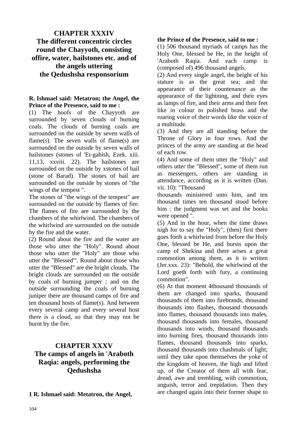# **CHAPTER XXXIV The different concentric circles round the Chayyoth, consisting offire, water, hailstones etc. and of the angels uttering the Qedushsha responsorium**

#### **R. Ishmael said: Metatron; the Angel, the Prince of the Presence, said to me :**

(1) The hoofs of the Chayyoth are surrounded by seven clouds of burning coals. The clouds of burning coals are surrounded on the outside by seven walls of flame(s). The seven walls of flame(s) are surrounded on the outside by seven walls of hailstones (stones of 'Et-gabish, Ezek. xiii. 11,13, xxviii. 22). The hailstones are surrounded on the outside by xstones of hail (stone of Barad). The stones of hail are surrounded on the outside by stones of "the wings of the tempest ".

The stones of "the wings of the tempest" are surrounded on the outside by flames of fire. The flames of fire are surrounded by the chambers of the whirlwind. The chambers of the whirlwind are surrounded on the outside by the fire and the water.

(2) Round about the fire and the water are those who utter the "Holy". Round about those who utter the "Holy" are those who utter the "Blessed"'. Round about those who utter the "Blessed" are the bright clouds. The bright clouds are surrounded on the outside by coals of burning jumper ; and on the outside surrounding the coals of burning juniper there are thousand camps of fire and ten thousand hosts of flame(s). And between every several camp and every several host there is a cloud, so that they may not be burnt by the fire.

# **CHAPTER XXXV The camps of angels in 'Araboth Raqia: angels, performing the Qedushsha**

## **1 R. Ishmael said: Metatron, the Angel,**

## **the Prince of the Presence, said to me :**

(1) 506 thousand myriads of camps has the Holy One, blessed be He, in the height of 'Araboth Raqia. And each camp is (composed of) 496 thousand angels.

(2) And every single angel, the height of his stature is as the great sea; and the appearance of their countenance as the appearance of the lightning, and their eyes as lamps of fire, and their arms and their feet like in colour to polished brass and the roaring voice of their words like the voice of a multitude.

(3) And they are all standing before the Throne of Glory in four rows. And the princes of the army are standing at the head of each row.

(4) And some of them utter the "Holy" and others utter the "Blessed", some of them run as messengers, others are standing in attendance, according as it is written (Dan. vii. 10): "Thousand

thousands ministered unto him, and ten thousand times ten thousand stood before him : the judgment was set and the books were opened ".

(5) And in the hour, when the time draws nigh for to say the "Holy", (then) first there goes forth a whirlwind from before the Holy One, blessed be He, and bursts upon the camp of Shekina and there arises a great commotion among them, as it is written (Jer.xxx. 23): "Behold, the whirlwind of the Lord goeth forth with fury, a continuing commotion".

(6) At that moment 4thousand thousands of them are changed into sparks, thousand thousands of them into firebrands, thousand thousands into flashes, thousand thousands into flames, thousand thousands into males, thousand thousands into females, thousand thousands into winds, thousand thousands into burning fires, thousand thousands into flames, thousand thousands into sparks, thousand thousands into chashmals of light; until they take upon themselves the yoke of the kingdom of heaven, the high and lifted up, of the Creator of them all with fear, dread, awe and trembling, with commotion, anguish, terror and trepidation. Then they are changed again into their former shape to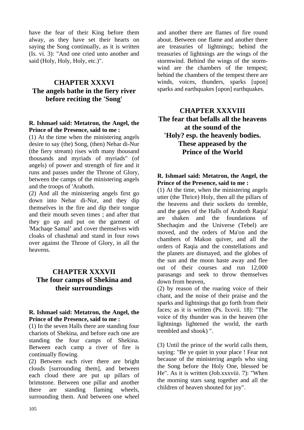have the fear of their King before them alway, as they have set their hearts on saying the Song continually, as it is written (Is. vi. 3): "And one cried unto another and said (Holy, Holy, Holy, etc.)".

# **CHAPTER XXXVI The angels bathe in the fiery river before reciting the 'Song'**

#### **R. Ishmael said: Metatron, the Angel, the Prince of the Presence, said to me :**

(1) At the time when the ministering angels desire to say (the) Song, (then) Nehar di-Nur (the fiery stream) rises with many thousand thousands and myriads of myriads" (of angels) of power and strength of fire and it runs and passes under the Throne of Glory, between the camps of the ministering angels and the troops of 'Araboth.

(2) And all the ministering angels first go down into Nehar di-Nur, and they dip themselves in the fire and dip their tongue and their mouth seven times ; and after that they go up and put on the garment of 'Machaqe Samal' and cover themselves with cloaks of chashmal and stand in four rows over against the Throne of Glory, in all the heavens.

# **CHAPTER XXXVII The four camps of Shekina and their surroundings**

#### **R. Ishmael said: Metatron, the Angel, the Prince of the Presence, said to me :**

(1) In the seven Halls there are standing four chariots of Shekina, and before each one are standing the four camps of Shekina. Between each camp a river of fire is continually flowing.

(2) Between each river there are bright clouds [surrounding them], and between each cloud there are put up pillars of brimstone. Between one pillar and another there are standing flaming wheels, surrounding them. And between one wheel

and another there are flames of fire round about. Between one flame and another there are treasuries of lightnings; behind the treasuries of lightnings are the wings of the stormwind. Behind the wings of the stormwind are the chambers of the tempest; behind the chambers of the tempest there are winds, voices, thunders, sparks [upon] sparks and earthquakes [upon] earthquakes.

# **CHAPTER XXXVIII The fear that befalls all the heavens at the sound of the 'Holy? esp. the heavenly bodies. These appeased by the Prince of the World**

#### **R. Ishmael said: Metatron, the Angel, the Prince of the Presence, said to me :**

(1) At the time, when the ministering angels utter (the Thrice) Holy, then all the pillars of the heavens and their sockets do tremble, and the gates of the Halls of Araboth Raqia' are shaken and the foundations of Shechaqim and the Universe (Tebel) are moved, and the orders of Ma'on and the chambers of Makon quiver, and all the orders of Raqia and the constellations and the planets are dismayed, and the globes of the sun and the moon haste away and flee out of their courses and run 12,000 parasangs and seek to throw themselves down from heaven,

(2) by reason of the roaring voice of their chant, and the noise of their praise and the sparks and lightnings that go forth from their faces; as it is written (Ps. Ixxvii. 18): "The voice of thy thunder was in the heaven (the lightnings lightened the world, the earth trembled and shook) ".

(3) Until the prince of the world calls them, saying: "Be ye quiet in your place ! Fear not because of the ministering angels who sing the Song before the Holy One, blessed be He". As it is written (Job.xxxviii. 7): "When the morning stars sang together and all the children of heaven shouted for joy".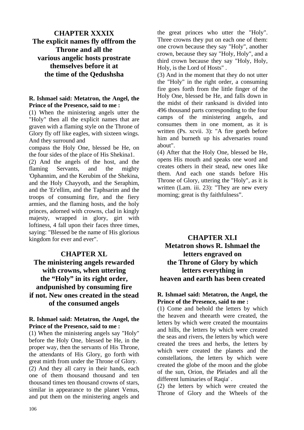# **CHAPTER XXXIX The explicit names fly offfrom the Throne and all the various angelic hosts prostrate themselves before it at the time of the Qedushsha**

#### **R. Ishmael said: Metatron, the Angel, the Prince of the Presence, said to me :**

(1) When the ministering angels utter the "Holy" then all the explicit names that are graven with a flaming style on the Throne of Glory fly off like eagles, with sixteen wings. And they surround and

compass the Holy One, blessed be He, on the four sides of the place of His Shekina1.

(2) And the angels of the host, and the flaming Servants, and the mighty 'Ophannim, and the Kerubim of the Shekina, and the Holy Chayyoth, and the Seraphim, and the 'Er'ellim, and the Taphsarim and the troops of consuming fire, and the fiery armies, and the flaming hosts, and the holy princes, adorned with crowns, clad in kingly majesty, wrapped in glory, girt with loftiness, 4 fall upon their faces three times, saying: "Blessed be the name of His glorious kingdom for ever and ever".

## **CHAPTER XL**

**The ministering angels rewarded with crowns, when uttering the "Holy" in its right order, andpunished by consuming fire if not. New ones created in the stead of the consumed angels**

#### **R. Ishmael said: Metatron, the Angel, the Prince of the Presence, said to me :**

(1) When the ministering angels say "Holy" before the Holy One, blessed be He, in the proper way, then the servants of His Throne, the attendants of His Glory, go forth with great mirth from under the Throne of Glory. (2) And they all carry in their hands, each one of them thousand thousand and ten thousand times ten thousand crowns of stars, similar in appearance to the planet Venus, and put them on the ministering angels and the great princes who utter the "Holy". Three crowns they put on each one of them: one crown because they say "Holy", another crown, because they say "Holy, Holy", and a third crown because they say "Holy, Holy, Holy, is the Lord of Hosts" .

(3) And in the moment that they do not utter the "Holy" in the right order, a consuming fire goes forth from the little finger of the Holy One, blessed be He, and falls down in the midst of their ranksand is divided into 496 thousand parts corresponding to the four camps of the ministering angels, and consumes them in one moment, as it is written (Ps. xcvii. 3): "A fire goeth before him and burneth up his adversaries round about".

(4) After that the Holy One, blessed be He, opens His mouth and speaks one word and creates others in their stead, new ones like them. And each one stands before His Throne of Glory, uttering the "Holy", as it is written (Lam. iii. 23): "They are new every morning; great is thy faithfulness".

## **CHAPTER XLI Metatron shows R. Ishmael the letters engraved on the Throne of Glory by which letters everything in heaven and earth has been created**

### **R. Ishmael said: Metatron, the Angel, the Prince of the Presence, said to me :**

(1) Come and behold the letters by which the heaven and theearth were created, the letters by which were created the mountains and hills, the letters by which were created the seas and rivers, the letters by which were created the trees and herbs, the letters by which were created the planets and the constellations, the letters by which were created the globe of the moon and the globe of the sun, Orion, the Pleiades and all the different luminaries of Raqia' .

(2) the letters by which were created the Throne of Glory and the Wheels of the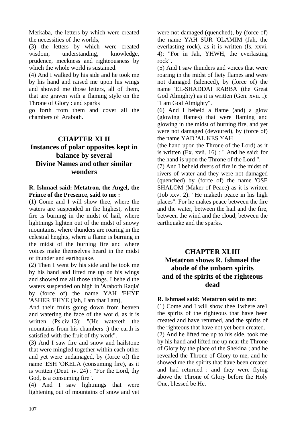Merkaba, the letters by which were created the necessities of the worlds,

(3) the letters by which were created wisdom, understanding, knowledge, prudence, meekness and righteousness by which the whole world is sustained.

(4) And I walked by his side and he took me by his hand and raised me upon his wings and showed me those letters, all of them, that are graven with a flaming style on the Throne of Glory : and sparks

go forth from them and cover all the chambers of 'Araboth.

# **CHAPTER XLII Instances of polar opposites kept in balance by several Divine Names and other similar wonders**

#### **R. Ishmael said: Metatron, the Angel, the Prince of the Presence, said to me :**

(1) Come and I will show thee, where the waters are suspended in the highest, where fire is burning in the midst of hail, where lightnings lighten out of the midst of snowy mountains, where thunders are roaring in the celestial heights, where a flame is burning in the midst of the burning fire and where voices make themselves heard in the midst of thunder and earthquake.

(2) Then I went by his side and he took me by his hand and lifted me up on his wings and showed me all those things. I beheld the waters suspended on high in 'Araboth Raqia' by (force of) the name YAH 'EHYE 'ASHER 'EHYE (Jah, I am that I am),

And their fruits going down from heaven and watering the face of the world, as it is written (Ps.civ.13): "(He watereth the mountains from his chambers :) the earth is satisfied with the fruit of thy work".

(3) And I saw fire and snow and hailstone that were mingled together within each other and yet were undamaged, by (force of) the name 'ESH 'OKELA (consuming fire), as it is written (Deut. iv. 24) : "For the Lord, thy God, is a consuming fire".

(4) And I saw lightnings that were lightening out of mountains of snow and yet were not damaged (quenched), by (force of) the name YAH SUR 'OLAMIM (Jah, the everlasting rock), as it is written (Is. xxvi. 4): "For in Jah, YHWH, the everlasting rock".

(5) And I saw thunders and voices that were roaring in the midst of fiety flames and were not damaged (silenced), by (force of) the name 'EL-SHADDAI RABBA (the Great God Almighty) as it is written (Gen. xvii. i): "I am God Almighty".

(6) And I beheld a flame (and) a glow (glowing flames) that were flaming and glowing in the midst of burning fire, and yet were not damaged (devoured), by (force of) the name YAD 'AL KES YAH

(the hand upon the Throne of the Lord) as it is written (Ex. xvii. 16) : " And he said: for the hand is upon the Throne of the Lord ".

(7) And I beheld rivers of fire in the midst of rivers of water and they were not damaged (quenched) by (force of) the name 'OSE SHALOM (Maker of Peace) as it is written (Job xxv. 2): "He maketh peace in his high places". For he makes peace between the fire and the water, between the hail and the fire, between the wind and the cloud, between the earthquake and the sparks.

# **CHAPTER XLIII Metatron shows R. Ishmael the abode of the unborn spirits and of the spirits of the righteous dead**

### **R. Ishmael said: Metatron said to me:**

(1) Come and I will show thee 1where are1 the spirits of the righteous that have been created and have returned, and the spirits of the righteous that have not yet been created. (2) And he lifted me up to his side, took me by his hand and lifted me up near the Throne of Glory by the place of the Shekina ; and he revealed the Throne of Glory to me, and he showed me the spirits that have been created and had returned : and they were flying above the Throne of Glory before the Holy One, blessed be He.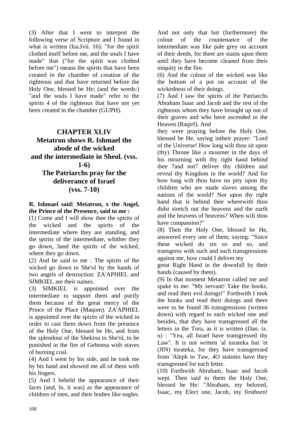(3) After that I went to interpret the following verse of Scripture and I found in what is written (Isa.Ivii. 16): "for the spirit clothed itself before me, and the souls I have made" that ("for the spirit was clothed before me") means the spirits that have been created in the chamber of creation of the righteous and that have returned before the Holy One, blessed be He; (and the words:) "and the souls I have made" refer to the spirits 4 of the righteous that have not yet been created in the chamber (GUPH).

## **CHAPTER XLIV Metatron shows R. Ishmael the abode of the wicked and the intermediate in Sheol. (vss. 1-6) The Patriarchs pray for the deliverance of Israel (vss. 7-10)**

### **R. Ishmael said: Metatron, x the Angel, the Prince of the Presence, said to me :**

(1) Come and I will show thee the spirits of the wicked and the spirits of the intermediate where they are standing, and the spirits of the intermediate, whither they go down, 3and the spirits of the wicked, where they go down.

(2) And he said to me : The spirits of the wicked go down to She'ol by the hands of two angels of destruction: ZA'APHIEL and SIMKIEL are their names.

(3) SIMKIEL is appointed over the intermediate to support them and purify them because of the great mercy of the Prince of the Place (Maqom). ZA'APHIEL is appointed over the spirits of the wicked in order to cast them down from the presence of the Holy One, blessed be He, and from the splendour of the Shekina to She'ol, to be punished in the fire of Gehenna with staves of burning coal.

(4) And I went by his side, and he took me by his hand and showed me all of them with his fingers.

(5) And I beheld the appearance of their faces (and, lo, it was) as the appearance of children of men, and their bodies like eagles.

And not only that but (furthermore) the colour of the countenance of the intermediate was like pale grey on account of their deeds, for there are stains upon them until they have become cleaned from their iniquity in the fire.

(6) And the colour of the wicked was like the bottom of a pot on account of the wickedness of their doings.

(7) And I saw the spirits of the Patriarchs Abraham Isaac and Jacob and the rest of the righteous whom they have brought up out of their graves and who have ascended to the Heaven (Raqirf). And

they were praying before the Holy One, blessed be He, saying intheir prayer: "Lord of the Universe! How long wilt thou sit upon (thy) Throne like a mourner in the days of his mourning with thy right hand behind thee 7and not7 deliver thy children and reveal thy Kingdom in the world? And for how long wilt thou have no pity upon thy children who are made slaves among the nations of the world? Nor upon thy right hand that is behind thee wherewith thou didst stretch out the heavens and the earth and the heavens of heavens? When wilt thou have compassion?"

(8) Then the Holy One, blessed be He, answered every one of them, saying: "Since these wicked do sin so and so, and transgress with such and such transgressions against me, how could I deliver my

great Right Hand in the downfall by their hands (caused by them).

(9) In that moment Metatron called me and spake to me: "My servant! Take the books, and read their evil doings!" Forthwith I took the books and read their doings and there were to be found 36 transgressions (written down) with regard to each wicked one and besides, that they have transgressed all the letters in the Tora, as it is written (Dan. ix. u) : "Yea, all Israel have transgressed thy Law". It is not written 'al torateka but 'et (JIN) torateka, for they have transgressed from 'Aleph to Taw, 4O statutes have they transgressed for each letter.

(10) Forthwith Abraham, Isaac and Jacob wept. Then said to them the Holy One, blessed be He: "Abraham, my beloved, Isaac, my Elect one, Jacob, my firstborn!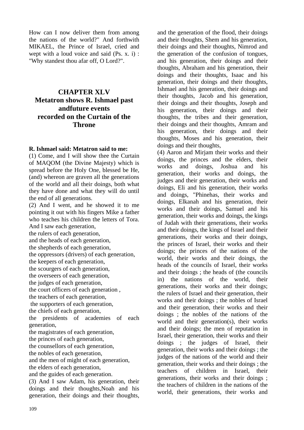How can I now deliver them from among the nations of the world?" And forthwith MIKAEL, the Prince of Israel, cried and wept with a loud voice and said (Ps. x. i) : "Why standest thou afar off, O Lord?".

# **CHAPTER XLV Metatron shows R. Ishmael past andfuture events recorded on the Curtain of the Throne**

#### **R. Ishmael said: Metatron said to me:**

(1) Come, and I will show thee the Curtain of MAQOM (the Divine Majesty) which is spread before the Holy One, blessed be He, (and) whereon are graven all the generations of the world and all their doings, both what they have done and what they will do until the end of all generations.

(2) And I went, and he showed it to me pointing it out with his fingers Mike a father who teaches his children the letters of Tora. And I saw each generation, the rulers of each generation, and the heads of each generation, the shepherds of each generation, the oppressors (drivers) of each generation, the keepers of each generation, the scourgers of each generation, the overseers of each generation, the judges of each generation, the court officers of each generation , the teachers of each generation, the supporters of each generation, the chiefs of each generation, the presidents of academies of each generation, the magistrates of each generation, the princes of each generation, the counsellors of each generation, the nobles of each generation, and the men of might of each generation, the elders of each generation, and the guides of each generation. (3) And I saw Adam, his generation, their doings and their thoughts,Noah and his generation, their doings and their thoughts,

and the generation of the flood, their doings and their thoughts, Shem and his generation, their doings and their thoughts, Nimrod and the generation of the confusion of tongues, and his generation, their doings and their thoughts, Abraham and his generation, their doings and their thoughts, Isaac and his generation, their doings and their thoughts, Ishmael and his generation, their doings and their thoughts, Jacob and his generation, their doings and their thoughts, Joseph and his generation, their doings and their thoughts, the tribes and their generation, their doings and their thoughts, Amram and his generation, their doings and their thoughts, Moses and his generation, their doings and their thoughts,

(4) Aaron and Mirjam their works and their doings, the princes and the elders, their works and doings, Joshua and his generation, their works and doings, the judges and their generation, their works and doings, Eli and his generation, their works and doings, "Phinehas, their works and doings, Elkanah and his generation, their works and their doings, Samuel and his generation, their works and doings, the kings of Judah with their generations, their works and their doings, the kings of Israel and their generations, their works and their doings, the princes of Israel, their works and their doings; the princes of the nations of the world, their works and their doings, the heads of the councils of Israel, their works and their doings ; the heads of (the councils in) the nations of the world, their generations, their works and their doings; the rulers of Israel and their generation, their works and their doings ; the nobles of Israel and their generation, their works and their doings ; the nobles of the nations of the world and their generation(s), their works and their doings; the men of reputation in Israel, their generation, their works and their doings ; the judges of Israel, their generation, their works and their doings ; the judges of the nations of the world and their generation, their works and their doings ; the teachers of children in Israel, their generations, their works and their doings ; the teachers of children in the nations of the world, their generations, their works and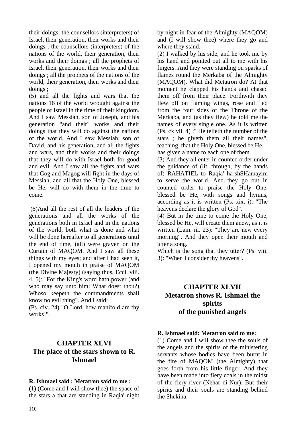their doings; the counsellors (interpreters) of Israel, their generation, their works and their doings ; the counsellors (interpreters) of the nations of the world, their generation, their works and their doings ; all the prophets of Israel, their generation, their works and their doings ; all the prophets of the nations of the world, their generation, their works and their doings ;

(5) and all the fights and wars that the nations 16 of the world wrought against the people of Israel in the time of their kingdom. And I saw Messiah, son of Joseph, and his generation "and their" works and their doings that they will do against the nations of the world. And I saw Messiah, son of David, and his generation, and all the fights and wars, and their works and their doings that they will do with Israel both for good and evil. And I saw all the fights and wars that Gog and Magog will fight in the days of Messiah, and all that the Holy One, blessed be He, will do with them in the time to come.

 (6)And all the rest of all the leaders of the generations and all the works of the generations both in Israel and in the nations of the world, both what is done and what will be done hereafter to all generations until the end of time, (all) were graven on the Curtain of MAQOM. And I saw all these things with my eyes; and after I had seen it, I opened my mouth in praise of MAQOM (the Divine Majesty) (saying thus, Eccl. viii. 4, 5): "For the King's word hath power (and who may say unto him: What doest thou?) Whoso keepeth the commandments shall know no evil thing". And I said:

(Ps. civ. 24) "O Lord, how manifold are thy works!".

# **CHAPTER XLVI The place of the stars shown to R. Ishmael**

### **R. Ishmael said : Metatron said to me :**

(1) (Come and I will show thee) the space of the stars a that are standing in Raqia' night by night in fear of the Almighty (MAQOM) and (I will show thee) where they go and where they stand.

(2) I walked by his side, and he took me by his hand and pointed out all to me with his fingers. And they were standing on sparks of flames round the Merkaba of the Almighty (MAQOM). What did Metatron do? At that moment he clapped his hands and chased them off from their place. Forthwith they flew off on flaming wings, rose and fled from the four sides of the Throne of the Merkaba, and (as they flew) he told me the names of every single one. As it is written (Ps. cxlvii. 4) :" He telleth the number of the stars ; he giveth them all their names", teaching, that the Holy One, blessed be He, has given a name to each one of them.

(3) And they all enter in counted order under the guidance of (lit. through, by the hands of) RAHATIEL to Raqia' ha-shSHamayim to serve the world. And they go out in counted order to praise the Holy One, blessed be He, with songs and hymns, according as it is written (Ps. xix. i): "The heavens declare the glory of God".

(4) But in the time to come the Holy One, blessed be He, will create them anew, as it is written (Lam. iii. 23): "They are new every morning". And they open their mouth and utter a song.

Which is the song that they utter? (Ps. viii. 3): "When I consider thy heavens".

## **CHAPTER XLVII Metatron shows R. Ishmael the spirits of the punished angels**

### **R. Ishmael said: Metatron said to me:**

(1) Come and I will show thee the souls of the angels and the spirits of the ministering servants whose bodies have been burnt in the fire of MAQOM (the Almighty) that goes forth from his little finger. And they have been made into fiery coals in the midst of the fiery river (Nehar di-Nur). But their spirits and their souls are standing behind the Shekina.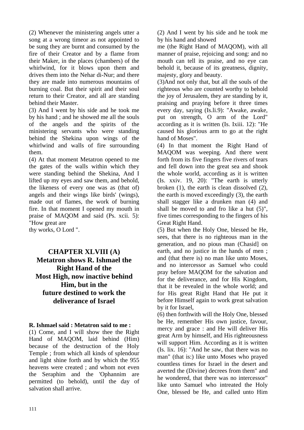(2) Whenever the ministering angels utter a song at a wrong timeor as not appointed to be sung they are burnt and consumed by the fire of their Creator and by a flame from their Maker, in the places (chambers) of the whirlwind, for it blows upon them and drives them into the Nehar di-Nur; and there they are made into numerous mountains of burning coal. But their spirit and their soul return to their Creator, and all are standing behind their Master.

(3) And I went by his side and he took me by his hand ; and he showed me all the souls of the angels and the spirits of the ministering servants who were standing behind the Shekina upon wings of the whirlwind and walls of fire surrounding them.

(4) At that moment Metatron opened to me the gates of the walls within which they were standing behind the Shekina, And I lifted up my eyes and saw them, and behold, the likeness of every one was as (that of) angels and their wings like birds' (wings), made out of flames, the work of burning fire. In that moment I opened my mouth in praise of MAQOM and said (Ps. xcii. 5): "How great are

thy works, O Lord ".

# **CHAPTER XLVIII (A) Metatron shows R. Ishmael the Right Hand of the Most High, now inactive behind Him, but in the future destined to work the deliverance of Israel**

### **R. Ishmael said : Metatron said to me :**

(1) Come, and I will show thee the Right Hand of MAQOM, laid behind (Him) because of the destruction of the Holy Temple ; from which all kinds of splendour and light shine forth and by which the 955 heavens were created ; and whom not even the Seraphim and the 'Ophannim are permitted (to behold), until the day of salvation shall arrive.

(2) And I went by his side and he took me by his hand and showed

me (the Right Hand of MAQOM), with all manner of praise, rejoicing and song: and no mouth can tell its praise, and no eye can behold it, because of its greatness, dignity, majesty, glory and beauty.

(3)And not only that, but all the souls of the righteous who are counted worthy to behold the joy of Jerusalem, they are standing by it, praising and praying before it three times every day, saying (Is.li.9): "Awake, awake, put on strength, O arm of the Lord" according as it is written (Is. Ixiii. 12): "He caused his glorious arm to go at the right hand of Moses".

(4) In that moment the Right Hand of MAQOM was weeping. And there went forth from its five fingers five rivers of tears and fell down into the great sea and shook the whole world, according as it is written (Is. xxiv. 19, 20): "The earth is utterly broken (1), the earth is clean dissolved (2), the earth is moved exceedingly (3), the earth shall stagger like a drunken man (4) and shall be moved to and fro like a hut (5)", five times corresponding to the fingers of his Great Right Hand.

(5) But when the Holy One, blessed be He, sees, that there is no righteous man in the generation, and no pious man (Chasid] on earth, and no justice in the hands of men ; and (that there is) no man like unto Moses, and no intercessor as Samuel who could pray before MAQOM for the salvation and for the deliverance, and for His Kingdom, that it be revealed in the whole world; and for His great Right Hand that He put it before Himself again to work great salvation by it for Israel,

(6) then forthwith will the Holy One, blessed be He, remember His own justice, favour, mercy and grace : and He will deliver His great Arm by himself, and His righteousness will support Him. According as it is written (Is. lix. 16): "And he saw, that there was no man" (that is:) like unto Moses who prayed countless times for Israel in the desert and averted the (Divine) decrees from them" and he wondered, that there was no intercessor" like unto Samuel who intreated the Holy One, blessed be He, and called unto Him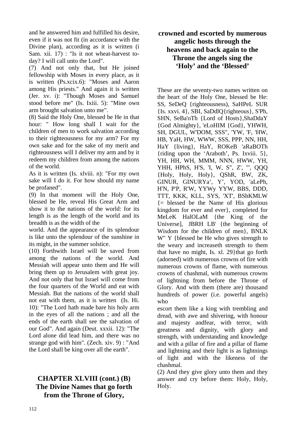and he answered him and fulfilled his desire, even if it was not fit (in accordance with the Divine plan), according as it is written (i Sam. xii. 17) : "Is it not wheat-harvest today? I will call unto the Lord".

(7) And not only that, but He joined fellowship with Moses in every place, as it is written (Ps.xcix.6): "Moses and Aaron among His priests." And again it is written (Jer. xv. i): "Though Moses and Samuel stood before me" (Is. Ixiii. 5): "Mine own arm brought salvation unto me".

(8) Said the Holy One, blessed be He in that hour: " How long shall I wait for the children of men to work salvation according to their righteousness for my arm? For my own sake and for the sake of my merit and righteousness will I deliver my arm and by it redeem my children from among the nations of the world.

As it is written (Is. xlviii. n): "For my own sake will I do it. For how should my name be profaned".

(9) In that moment will the Holy One, blessed be He, reveal His Great Arm and show it to the nations of the world: for its length is as the length of the world and its breadth is as the width of the

world. And the appearance of its splendour is like unto the splendour of the sunshine in its might, in the summer solstice.

(10) Forthwith Israel will be saved from among the nations of the world. And Messiah will appear unto them and He will bring them up to Jerusalem with great joy. And not only that but Israel will come from the four quarters of the World and eat with Messiah. But the nations of the world shall not eat with them, as it is written (Is. Hi. 10): "The Lord hath made bare his holy arm in the eyes of all the nations ; and all the ends of the earth shall see the salvation of our God". And again (Deut. xxxii. 12): "The Lord alone did lead him, and there was no strange god with him". (Zech. xiv. 9) : "And the Lord shall be king over all the earth".

# **CHAPTER XLVIII (cont.) (B) The Divine Names that go forth from the Throne of Glory,**

## **crowned and escorted by numerous angelic hosts through the heavens and back again to the Throne the angels sing the 'Holy' and the 'Blessed'**

These are the seventy-two names written on the heart of the Holy One, blessed be He: SS, SeDeQ {righteousness), SaHPeL SUR {Is. xxvi. 4}, SBI, SaDdlQ{righteous}, S'Ph, SHN, SeBa'oTh {Lord of Hosts},ShaDdaY {God Almighty}, 'eLoHIM {God}, YHWH, SH, DGUL, W'DOM, SSS", 'YW, 'F, 'HW, HB, YaH, HW, WWW, SSS, PPP, NN, HH, HaY {living}, HaY, ROKeB 'aRaBOTh {riding upon the 'Araboth', Ps. Ixviii. 5}, YH, HH, WH, MMM, NNN, HWW, YH, YHH, HPhS, H'S, 'I, W, S", Z', "', QQQ {Holy, Holy, Holy}, QShR, BW, ZK, GINUR, GINURYa', Y', YOD, 'aLePh, H'N, P'P, R'W, YYWy YYW, BBS, DDD, TTT, KKK, KLL, SYS, 'XT', BShKMLW  $\left\{\right.=\right.$  blessed be the Name of His glorious kingdom for ever and ever}, completed for MeLeK HalOLaM {the King of the Universe], JBRH LB' {the beginning of Wisdom for the children of men}, BNLK W" Y {blessed be He who gives strength to the weary and increaseth strength to them that have no might, Is. xl. 29}that go forth (adorned) with numerous crowns of fire with numerous crowns of flame, with numerous crowns of chashmal, with numerous crowns of lightning from before the Throne of Glory. And with them (there are) thousand hundreds of power (i.e. powerful angels) who

escort them like a king with trembling and dread, with awe and shivering, with honour and majesty andfear, with terror, with greatness and dignity, with glory and strength, with understanding and knowledge and with a pillar of fire and a pillar of flame and lightning and their light is as lightnings of light and with the likeness of the chashmal.

(2) And they give glory unto them and they answer and cry before them: Holy, Holy, Holy.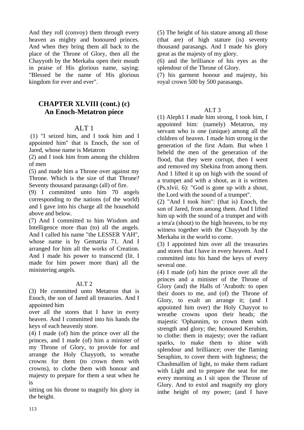And they roll (convoy) them through every heaven as mighty and honoured princes. And when they bring them all back to the place of the Throne of Glory, then all the Chayyoth by the Merkaba open their mouth in praise of His glorious name, saying: "Blessed be the name of His glorious kingdom for ever and ever".

## **CHAPTER XLVIII (cont.) (c) An Enoch-Metatron piece**

### ALT 1

 (1) "I seized him, and I took him and I appointed him" that is Enoch, the son of Jared, whose name is Metatron

(2) and I took him from among the children of men

(5) and made him a Throne over against my Throne. Which is the size of that Throne? Seventy thousand parasangs (all) of fire.

(9) I committed unto him 70 angels corresponding to the nations (of the world) and I gave into his charge all the household above and below.

(7) And I committed to him Wisdom and Intelligence more than (to) all the angels. And I called his name "the LESSER YAH", whose name is by Gematria 71. And I arranged for him all the works of Creation. And I made his power to transcend (lit. I made for him power more than) all the ministering angels.

### $ATT2$

(3) He committed unto Metatron that is Enoch, the son of Jared all treasuries. And I appointed him

over all the stores that I have in every heaven. And I committed into his hands the keys of each heavenly store.

(4) I made (of) him the prince over all the princes, and I made (of) him a minister of my Throne of Glory, to provide for and arrange the Holy Chayyoth, to wreathe crowns for them (to crown them with crowns), to clothe them with honour and majesty to prepare for them a seat when he is

sitting on his throne to magnify his glory in the height.

(5) The height of his stature among all those (that are) of high stature (is) seventy thousand parasangs. And I made his glory great as the majesty of my glory.

(6) and the brilliance of his eyes as the splendour of the Throne of Glory.

(7) his garment honour and majesty, his royal crown 500 by 500 parasangs.

### ALT 3

(1) Aleph1 I made him strong, I took him, I appointed him: (namely) Metatron, my servant who is one (unique) among all the children of heaven. I made him strong in the generation of the first Adam. But when I beheld the men of the generation of the flood, that they were corrupt, then I went and removed my Shekina from among them. And 1 lifted it up on high with the sound of a trumpet and with a shout, as it is written (Ps.xlvii. 6): "God is gone up with a shout, the Lord with the sound of a trumpet".

(2) "And I took him": (that is) Enoch, the son of Jared, from among them. And I lifted him up with the sound of a trumpet and with a tera'a (shout) to the high heavens, to be my witness together with the Chayyoth by the Merkaba in the world to come.

(3) I appointed him over all the treasuries and stores that I have in every heaven. And I committed into his hand the keys of every several one.

(4) I made (of) him the prince over all the princes and a minister of the Throne of Glory (and) the Halls of 'Araboth: to open their doors to me, and (of) the Throne of Glory, to exalt an arrange it; (and I appointed him over) the Holy Chayyot to wreathe crowns upon their heads; the majestic 'Ophannim, to crown them with strength and glory; the; honoured Kerubim, to clothe: them in majesty; over the radiant sparks, to make them to shine with splendour and brilliance; over the flaming Seraphim, to cover them with highness; the Chashmallim of light, to make them radiant with Light and to prepare the seat for me every morning as I sit upon the Throne of Glory. And to extol and magnify my glory inthe height of my power; (and I have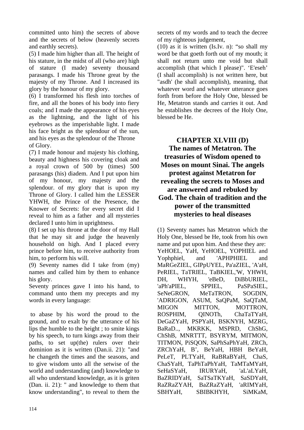committed unto him) the secrets of above and the secrets of below (heavenly secrets and earthly secrets).

(5) I made him higher than all. The height of his stature, in the midst of all (who are) high of stature (I made) seventy thousand parasangs. I made his Throne great by the majesty of my Throne. And I increased its glory by the honour of my glory.

(6) I transformed his flesh into torches of fire, and all the bones of his body into fiery coals; and I made the appearance of his eyes as the lightning, and the light of his eyebrows as the imperishable light. I made his face bright as the splendour of the sun, and his eyes as the splendour of the Throne of Glory.

(7) I made honour and majesty his clothing, beauty and highness his covering cloak and a royal crown of 500 by (times) 500 parasangs (his) diadem. And I put upon him of my honour, my majesty and the splendour. of my glory that is upon my Throne of Glory. I called him the LESSER YHWH, the Prince of the Presence, the Knower of Secrets: for every secret did I reveal to him as a father and all mysteries declared I unto him in uprightness.

(8) I set up his throne at the door of my Hall that he may sit and judge the heavenly household on high. And I placed every prince before him, to receive authority from him, to perform his will.

(9) Seventy names did I take from (my) names and called him by them to enhance his glory.

Seventy princes gave I into his hand, to command unto them my precepts and my words in every language:

 to abase by his word the proud to the ground, and to exalt by the utterance of his lips the humble to the height ; to smite kings by his speech, to turn kings away from their paths, to set up(the) rulers over their dominion as it is written (Dan.ii. 21): "and he changeth the times and the seasons, and to give wisdom unto all the setwise of the world and understanding (and) knowledge to all who understand knowledge, as it is griten (Dan. ii. 21): " and knowledge to them that know understanding", to reveal to them the

secrets of my words and to teach the decree of my righteous judgement,

(10) as it is written (Is.Iv. n): "so shall my word be that goeth forth out of my mouth; it shall not return unto me void but shall accomplish (that which I please)". 'E'eseh' (I shall accomplish) is not written here, but "asdh' (he shall accomplish), meaning, that whatever word and whatever utterance goes forth from before the Holy One, blessed be He, Metatron stands and carries it out. And he establishes the decrees of the Holy One, blessed be He.

**CHAPTER XLVIII (D) The names of Metatron. The treasuries of Wisdom opened to Moses on mount Sinai. The angels protest against Metatron for revealing the secrets to Moses and are answered and rebuked by God. The chain of tradition and the power of the transmitted mysteries to heal diseases** 

(1) Seventy names has Metatron which the Holy One, blessed be He, took from his own name and put upon him. And these they are: YeHOEL, YaH, YeHOEL, YOPHIEL and Yophphiel, and 'APHPHIEL and MaRGeZIEL, GIPpUYEL, Pa'aZIEL, 'A'aH, PeRIEL, TaTRIEL, TaBKIEL,'W, YHWH, DH, WHYH, 'eBeD, DiBbURIEL, 'aPh'aPIEL, SPPIEL, PaSPaSIEL, SeNeGRON, MeTaTRON, SOGDIN, 'ADRIGON, ASUM, SaQPaM, SaQTaM, MIGON MITTON, MOTTRON, ROSPHIM, QINOTh, ChaTaTYaH, DeGaZYaH, PSPYaH, BSKNYH, MZRG, BaRaD.., MKRKK, MSPRD, ChShG, ChShB, MNRTTT, BSYRYM, MITMON, TITMON, PiSQON, SaPhSaPhYaH, ZRCh, ZRChYaH, B', BeYaH, HBH BeYaH, PeLeT, PLTYaH, RaBRaBYaH, ChaS, ChaSYaH, TaPhTaPhYaH, TaMTaMYaH, SeHaSYaH, IRURYaH, 'aL'aLYaH, BaZRIDYaH, SaTSaTKYaH, SaSDYaH, RaZRaZYAH, BaZRaZYaH, 'aRIMYaH, SBHYaH, SBIBKHYH, SiMKaM,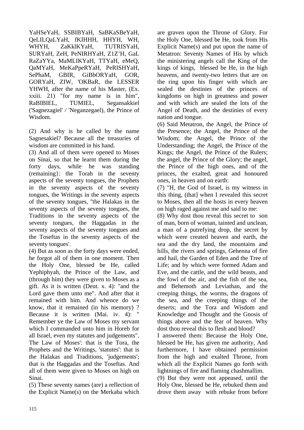YaHSeYaH, SSBIBYaH, SaBKaSBeYaH, QeLILQaLYaH, fKIHHH, HHYH, WH, WHYH, ZaKklKYaH, TUTRISYaH, SURYaH, ZeH, PeNIRHYaH, Z1Z'H, GaL RaZaYYa, MaMLIKYaH, TTYaH, eMeQ, QaMYaH, MeKaPpeRYaH, PeRISHYaH, SePhaM, GBIR, GiBbORYaH, GOR, GORYaH, ZIW, 'OKBaR, the LESSER YHWH, after the name of his Master, (Ex. xxiii. 21) "for my name is in him", RaBIBIEL, TUMIEL, Segansakkiel ('Sagnezagiel' / 'Neganzegael), the Prince of Wisdom.

(2) And why is he called by the name Sagnesakiel? Because all the treasuries of wisdom are committed in his hand.

(3) And all of them were opened to Moses on Sinai, so that he learnt them during the forty days, while he was standing (remaining}: the Torah in the seventy aspects of the seventy tongues, the Prophets in the seventy aspects of the seventy tongues, the Writings in the seventy aspects of the seventy tongues, ''the Halakas in the seventy aspects of the seventy tongues, the Traditions in the seventy aspects of the seventy tongues, the Haggadas in the seventy aspects of the seventy tongues and the Toseftas in the seventy aspects of the seventy tongues'.

(4) But as soon as the forty days were ended, he forgot all of them in one moment. Then the Holy One, blessed be He, called Yephiphyah, the Prince of the Law, and (through him) they were given to Moses as a gift. As it is written (Deut. x. 4): "and the Lord gave them unto me". And after that it remained with him. And whence do we know, that it remained (in his memory) ? Because it is written (Mai. iv. 4): " Remember ye the Law of Moses my servant which I commanded unto him in Horeb for all Israel, even my statutes and judgements". The Law of Moses': that is the Tora, the Prophets and the Writings, 'statutes': that is the Halakas and Traditions, 'judgements'; that is the Haggadas and the Toseftas. And all of them were given to Moses on high on Sinai.

(5) These seventy names (are) a reflection of the Explicit Name(s) on the Merkaba which are graven upon the Throne of Glory. For the Holy One, blessed be He, took from His Explicit Name(s) and put upon the name of Metatron: Seventy Names of His by which the ministering angels call the King of the kings of kings, blessed be He, in the high heavens, and twenty-two letters that are on the ring upon his finger with which are sealed the destinies of the princes of kingdoms on high in greatness and power and with which are sealed the lots of the Angel of Death, and the destinies of every nation and tongue.

(6) Said Metatron, the Angel, the Prince of the Presence; the Angel, the Prince of the Wisdom; the Angel, the Prince of the Understanding; the Angel, the Prince of the Kings; the Angel, the Prince of the Rulers; the angel, the Prince of the Glory; the angel, the Prince of the high ones, and of the princes, the exalted, great and honoured ones, in heaven and on earth:

(7) "H, the God of Israel, is my witness in this thing, (that] when I revealed this secret to Moses, then all the hosts in every heaven on high raged against me and said to me:

(8) Why dost thou reveal this secret to son of man, born of woman, tainted and unclean, a man of a putrefying drop, the secret by which were created heaven and earth, the sea and the dry land, the mountains and hills, the rivers and springs, Gehenna of fire and hail, the Garden of Eden and the Tree of Life; and by which were formed Adam and Eve, and the cattle, and the wild beasts, and the fowl of the air, and the fish of the sea, and Behemoth and Leviathan, and the creeping things, the worms, the dragons of the sea, and the creeping things of the deserts; and the Tora and Wisdom and Knowledge and Thought and the Gnosis of things above and the fear of heaven. Why dost thou reveal this to flesh and blood?

I answered them: Because the Holy One, blessed be He, has given me authority, And furthermore, I have obtained permission from the high and exalted Throne, from which all the Explicit Names go forth with lightnings of fire and flaming chashmallim.

(9) But they were not appeased, until the Holy One, blessed be He, rebuked them and drove them away with rebuke from before